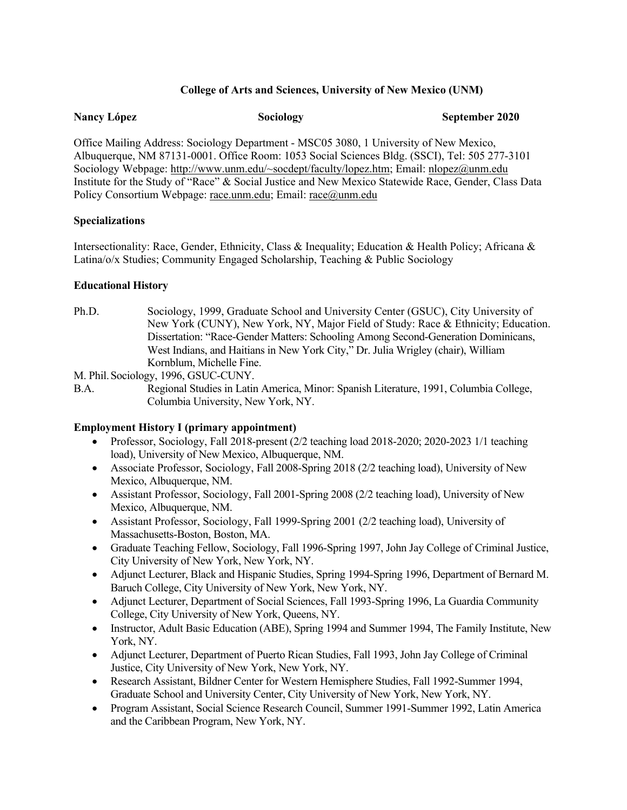# **College of Arts and Sciences, University of New Mexico (UNM)**

| <b>Nancy López</b> | Sociology | September 2020 |
|--------------------|-----------|----------------|
|--------------------|-----------|----------------|

Office Mailing Address: Sociology Department - MSC05 3080, 1 University of New Mexico, Albuquerque, NM 87131-0001. Office Room: 1053 Social Sciences Bldg. (SSCI), Tel: 505 277-3101 Sociology Webpage: http://www.unm.edu/~socdept/faculty/lopez.htm; Email: nlopez@unm.edu Institute for the Study of "Race" & Social Justice and New Mexico Statewide Race, Gender, Class Data Policy Consortium Webpage: race.unm.edu; Email: race@unm.edu

#### **Specializations**

Intersectionality: Race, Gender, Ethnicity, Class & Inequality; Education & Health Policy; Africana & Latina/o/x Studies; Community Engaged Scholarship, Teaching & Public Sociology

# **Educational History**

Ph.D. Sociology, 1999, Graduate School and University Center (GSUC), City University of New York (CUNY), New York, NY, Major Field of Study: Race & Ethnicity; Education. Dissertation: "Race-Gender Matters: Schooling Among Second-Generation Dominicans, West Indians, and Haitians in New York City," Dr. Julia Wrigley (chair), William Kornblum, Michelle Fine.

M. Phil.Sociology, 1996, GSUC-CUNY.

B.A. Regional Studies in Latin America, Minor: Spanish Literature, 1991, Columbia College, Columbia University, New York, NY.

#### **Employment History I (primary appointment)**

- Professor, Sociology, Fall 2018-present (2/2 teaching load 2018-2020; 2020-2023 1/1 teaching load), University of New Mexico, Albuquerque, NM.
- Associate Professor, Sociology, Fall 2008-Spring 2018 (2/2 teaching load), University of New Mexico, Albuquerque, NM.
- Assistant Professor, Sociology, Fall 2001-Spring 2008 (2/2 teaching load), University of New Mexico, Albuquerque, NM.
- Assistant Professor, Sociology, Fall 1999-Spring 2001 (2/2 teaching load), University of Massachusetts-Boston, Boston, MA.
- Graduate Teaching Fellow, Sociology, Fall 1996-Spring 1997, John Jay College of Criminal Justice, City University of New York, New York, NY.
- Adjunct Lecturer, Black and Hispanic Studies, Spring 1994-Spring 1996, Department of Bernard M. Baruch College, City University of New York, New York, NY.
- Adjunct Lecturer, Department of Social Sciences, Fall 1993-Spring 1996, La Guardia Community College, City University of New York, Queens, NY.
- Instructor, Adult Basic Education (ABE), Spring 1994 and Summer 1994, The Family Institute, New York, NY.
- Adjunct Lecturer, Department of Puerto Rican Studies, Fall 1993, John Jay College of Criminal Justice, City University of New York, New York, NY.
- Research Assistant, Bildner Center for Western Hemisphere Studies, Fall 1992-Summer 1994, Graduate School and University Center, City University of New York, New York, NY.
- Program Assistant, Social Science Research Council, Summer 1991-Summer 1992, Latin America and the Caribbean Program, New York, NY.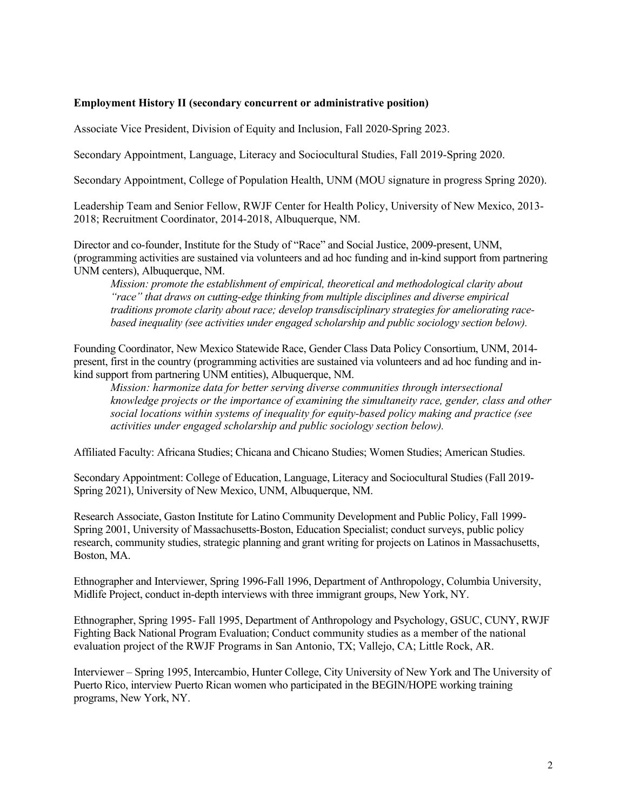#### **Employment History II (secondary concurrent or administrative position)**

Associate Vice President, Division of Equity and Inclusion, Fall 2020-Spring 2023.

Secondary Appointment, Language, Literacy and Sociocultural Studies, Fall 2019-Spring 2020.

Secondary Appointment, College of Population Health, UNM (MOU signature in progress Spring 2020).

Leadership Team and Senior Fellow, RWJF Center for Health Policy, University of New Mexico, 2013- 2018; Recruitment Coordinator, 2014-2018, Albuquerque, NM.

Director and co-founder, Institute for the Study of "Race" and Social Justice, 2009-present, UNM, (programming activities are sustained via volunteers and ad hoc funding and in-kind support from partnering UNM centers), Albuquerque, NM.

*Mission: promote the establishment of empirical, theoretical and methodological clarity about "race" that draws on cutting-edge thinking from multiple disciplines and diverse empirical traditions promote clarity about race; develop transdisciplinary strategies for ameliorating racebased inequality (see activities under engaged scholarship and public sociology section below).*

Founding Coordinator, New Mexico Statewide Race, Gender Class Data Policy Consortium, UNM, 2014 present, first in the country (programming activities are sustained via volunteers and ad hoc funding and inkind support from partnering UNM entities), Albuquerque, NM.

*Mission: harmonize data for better serving diverse communities through intersectional knowledge projects or the importance of examining the simultaneity race, gender, class and other social locations within systems of inequality for equity-based policy making and practice (see activities under engaged scholarship and public sociology section below).*

Affiliated Faculty: Africana Studies; Chicana and Chicano Studies; Women Studies; American Studies.

Secondary Appointment: College of Education, Language, Literacy and Sociocultural Studies (Fall 2019- Spring 2021), University of New Mexico, UNM, Albuquerque, NM.

Research Associate, Gaston Institute for Latino Community Development and Public Policy, Fall 1999- Spring 2001, University of Massachusetts-Boston, Education Specialist; conduct surveys, public policy research, community studies, strategic planning and grant writing for projects on Latinos in Massachusetts, Boston, MA.

Ethnographer and Interviewer, Spring 1996-Fall 1996, Department of Anthropology, Columbia University, Midlife Project, conduct in-depth interviews with three immigrant groups, New York, NY.

Ethnographer, Spring 1995- Fall 1995, Department of Anthropology and Psychology, GSUC, CUNY, RWJF Fighting Back National Program Evaluation; Conduct community studies as a member of the national evaluation project of the RWJF Programs in San Antonio, TX; Vallejo, CA; Little Rock, AR.

Interviewer – Spring 1995, Intercambio, Hunter College, City University of New York and The University of Puerto Rico, interview Puerto Rican women who participated in the BEGIN/HOPE working training programs, New York, NY.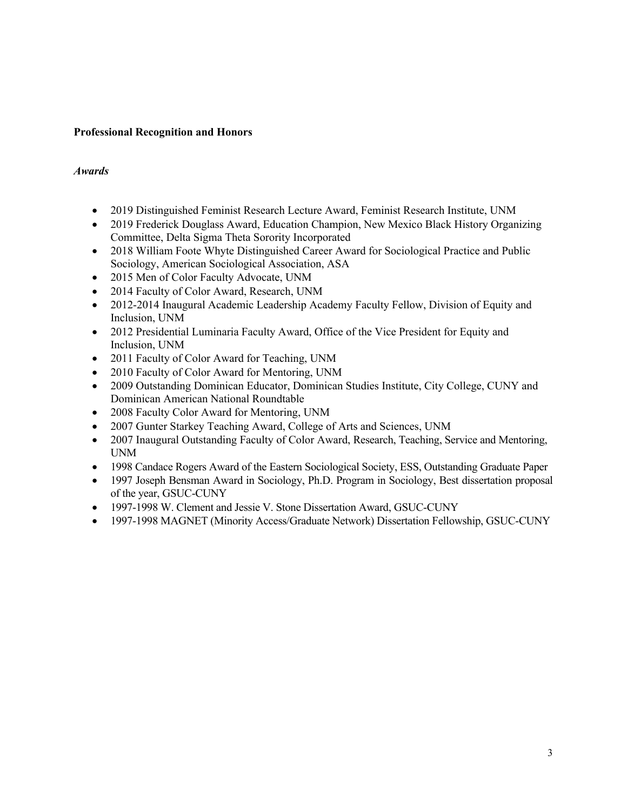# **Professional Recognition and Honors**

# *Awards*

- 2019 Distinguished Feminist Research Lecture Award, Feminist Research Institute, UNM
- 2019 Frederick Douglass Award, Education Champion, New Mexico Black History Organizing Committee, Delta Sigma Theta Sorority Incorporated
- 2018 William Foote Whyte Distinguished Career Award for Sociological Practice and Public Sociology, American Sociological Association, ASA
- 2015 Men of Color Faculty Advocate, UNM
- 2014 Faculty of Color Award, Research, UNM
- 2012-2014 Inaugural Academic Leadership Academy Faculty Fellow, Division of Equity and Inclusion, UNM
- 2012 Presidential Luminaria Faculty Award, Office of the Vice President for Equity and Inclusion, UNM
- 2011 Faculty of Color Award for Teaching, UNM
- 2010 Faculty of Color Award for Mentoring, UNM
- 2009 Outstanding Dominican Educator, Dominican Studies Institute, City College, CUNY and Dominican American National Roundtable
- 2008 Faculty Color Award for Mentoring, UNM
- 2007 Gunter Starkey Teaching Award, College of Arts and Sciences, UNM
- 2007 Inaugural Outstanding Faculty of Color Award, Research, Teaching, Service and Mentoring, UNM
- 1998 Candace Rogers Award of the Eastern Sociological Society, ESS, Outstanding Graduate Paper
- 1997 Joseph Bensman Award in Sociology, Ph.D. Program in Sociology, Best dissertation proposal of the year, GSUC-CUNY
- 1997-1998 W. Clement and Jessie V. Stone Dissertation Award, GSUC-CUNY
- 1997-1998 MAGNET (Minority Access/Graduate Network) Dissertation Fellowship, GSUC-CUNY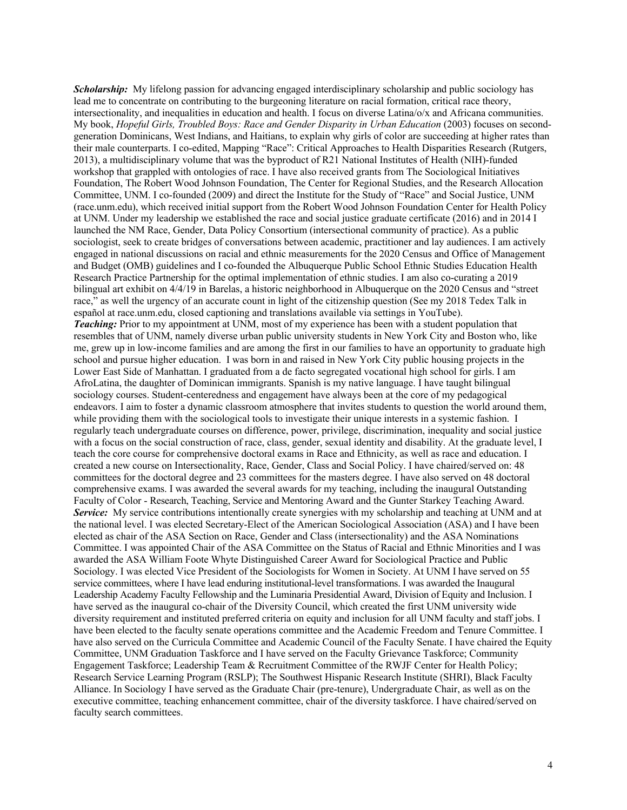*Scholarship:* My lifelong passion for advancing engaged interdisciplinary scholarship and public sociology has lead me to concentrate on contributing to the burgeoning literature on racial formation, critical race theory, intersectionality, and inequalities in education and health. I focus on diverse Latina/o/x and Africana communities. My book, *Hopeful Girls, Troubled Boys: Race and Gender Disparity in Urban Education* (2003) focuses on secondgeneration Dominicans, West Indians, and Haitians, to explain why girls of color are succeeding at higher rates than their male counterparts. I co-edited, Mapping "Race": Critical Approaches to Health Disparities Research (Rutgers, 2013), a multidisciplinary volume that was the byproduct of R21 National Institutes of Health (NIH)-funded workshop that grappled with ontologies of race. I have also received grants from The Sociological Initiatives Foundation, The Robert Wood Johnson Foundation, The Center for Regional Studies, and the Research Allocation Committee, UNM. I co-founded (2009) and direct the Institute for the Study of "Race" and Social Justice, UNM (race.unm.edu), which received initial support from the Robert Wood Johnson Foundation Center for Health Policy at UNM. Under my leadership we established the race and social justice graduate certificate (2016) and in 2014 I launched the NM Race, Gender, Data Policy Consortium (intersectional community of practice). As a public sociologist, seek to create bridges of conversations between academic, practitioner and lay audiences. I am actively engaged in national discussions on racial and ethnic measurements for the 2020 Census and Office of Management and Budget (OMB) guidelines and I co-founded the Albuquerque Public School Ethnic Studies Education Health Research Practice Partnership for the optimal implementation of ethnic studies. I am also co-curating a 2019 bilingual art exhibit on 4/4/19 in Barelas, a historic neighborhood in Albuquerque on the 2020 Census and "street race," as well the urgency of an accurate count in light of the citizenship question (See my 2018 Tedex Talk in español at race.unm.edu, closed captioning and translations available via settings in YouTube). *Teaching:* Prior to my appointment at UNM, most of my experience has been with a student population that resembles that of UNM, namely diverse urban public university students in New York City and Boston who, like me, grew up in low-income families and are among the first in our families to have an opportunity to graduate high school and pursue higher education. I was born in and raised in New York City public housing projects in the Lower East Side of Manhattan. I graduated from a de facto segregated vocational high school for girls. I am AfroLatina, the daughter of Dominican immigrants. Spanish is my native language. I have taught bilingual sociology courses. Student-centeredness and engagement have always been at the core of my pedagogical endeavors. I aim to foster a dynamic classroom atmosphere that invites students to question the world around them, while providing them with the sociological tools to investigate their unique interests in a systemic fashion. I regularly teach undergraduate courses on difference, power, privilege, discrimination, inequality and social justice with a focus on the social construction of race, class, gender, sexual identity and disability. At the graduate level, I teach the core course for comprehensive doctoral exams in Race and Ethnicity, as well as race and education. I created a new course on Intersectionality, Race, Gender, Class and Social Policy. I have chaired/served on: 48 committees for the doctoral degree and 23 committees for the masters degree. I have also served on 48 doctoral comprehensive exams. I was awarded the several awards for my teaching, including the inaugural Outstanding Faculty of Color - Research, Teaching, Service and Mentoring Award and the Gunter Starkey Teaching Award. *Service:* My service contributions intentionally create synergies with my scholarship and teaching at UNM and at the national level. I was elected Secretary-Elect of the American Sociological Association (ASA) and I have been elected as chair of the ASA Section on Race, Gender and Class (intersectionality) and the ASA Nominations Committee. I was appointed Chair of the ASA Committee on the Status of Racial and Ethnic Minorities and I was awarded the ASA William Foote Whyte Distinguished Career Award for Sociological Practice and Public Sociology. I was elected Vice President of the Sociologists for Women in Society. At UNM I have served on 55 service committees, where I have lead enduring institutional-level transformations. I was awarded the Inaugural Leadership Academy Faculty Fellowship and the Luminaria Presidential Award, Division of Equity and Inclusion. I have served as the inaugural co-chair of the Diversity Council, which created the first UNM university wide diversity requirement and instituted preferred criteria on equity and inclusion for all UNM faculty and staff jobs. I have been elected to the faculty senate operations committee and the Academic Freedom and Tenure Committee. I have also served on the Curricula Committee and Academic Council of the Faculty Senate. I have chaired the Equity Committee, UNM Graduation Taskforce and I have served on the Faculty Grievance Taskforce; Community Engagement Taskforce; Leadership Team & Recruitment Committee of the RWJF Center for Health Policy; Research Service Learning Program (RSLP); The Southwest Hispanic Research Institute (SHRI), Black Faculty Alliance. In Sociology I have served as the Graduate Chair (pre-tenure), Undergraduate Chair, as well as on the executive committee, teaching enhancement committee, chair of the diversity taskforce. I have chaired/served on faculty search committees.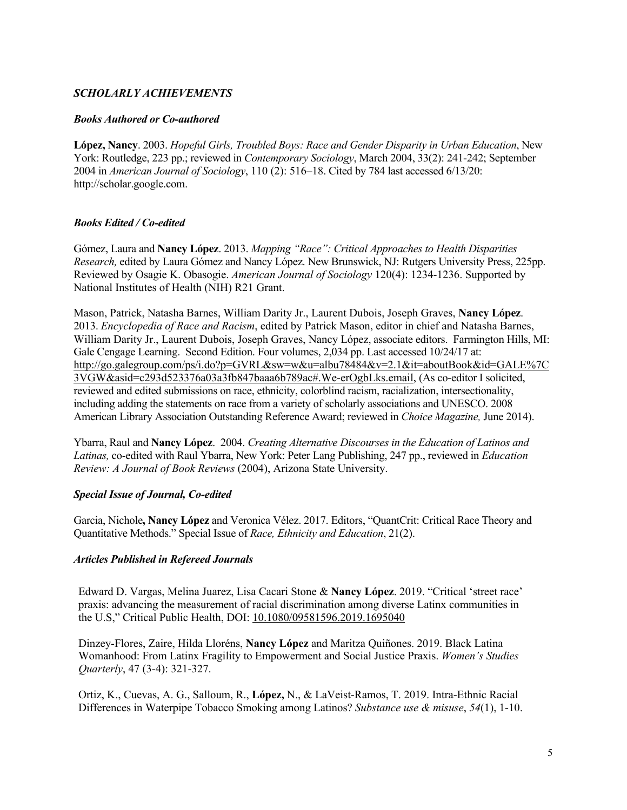# *SCHOLARLY ACHIEVEMENTS*

# *Books Authored or Co-authored*

**López, Nancy**. 2003. *Hopeful Girls, Troubled Boys: Race and Gender Disparity in Urban Education*, New York: Routledge, 223 pp.; reviewed in *Contemporary Sociology*, March 2004, 33(2): 241-242; September 2004 in *American Journal of Sociology*, 110 (2): 516–18. Cited by 784 last accessed 6/13/20: http://scholar.google.com.

# *Books Edited / Co-edited*

Gómez, Laura and **Nancy López**. 2013. *Mapping "Race": Critical Approaches to Health Disparities Research,* edited by Laura Gómez and Nancy López. New Brunswick, NJ: Rutgers University Press, 225pp. Reviewed by Osagie K. Obasogie. *American Journal of Sociology* 120(4): 1234-1236. Supported by National Institutes of Health (NIH) R21 Grant.

Mason, Patrick, Natasha Barnes, William Darity Jr., Laurent Dubois, Joseph Graves, **Nancy López**. 2013. *Encyclopedia of Race and Racism*, edited by Patrick Mason, editor in chief and Natasha Barnes, William Darity Jr., Laurent Dubois, Joseph Graves, Nancy López, associate editors. Farmington Hills, MI: Gale Cengage Learning. Second Edition. Four volumes, 2,034 pp. Last accessed 10/24/17 at: http://go.galegroup.com/ps/i.do?p=GVRL&sw=w&u=albu78484&v=2.1&it=aboutBook&id=GALE%7C 3VGW&asid=c293d523376a03a3fb847baaa6b789ac#.We-erOgbLks.email, (As co-editor I solicited, reviewed and edited submissions on race, ethnicity, colorblind racism, racialization, intersectionality, including adding the statements on race from a variety of scholarly associations and UNESCO. 2008 American Library Association Outstanding Reference Award; reviewed in *Choice Magazine,* June 2014).

Ybarra, Raul and **Nancy López**. 2004. *Creating Alternative Discourses in the Education of Latinos and Latinas,* co-edited with Raul Ybarra, New York: Peter Lang Publishing, 247 pp., reviewed in *Education Review: A Journal of Book Reviews* (2004), Arizona State University.

# *Special Issue of Journal, Co-edited*

Garcia, Nichole**, Nancy López** and Veronica Vélez. 2017. Editors, "QuantCrit: Critical Race Theory and Quantitative Methods." Special Issue of *Race, Ethnicity and Education*, 21(2).

# *Articles Published in Refereed Journals*

Edward D. Vargas, Melina Juarez, Lisa Cacari Stone & **Nancy López**. 2019. "Critical 'street race' praxis: advancing the measurement of racial discrimination among diverse Latinx communities in the U.S," Critical Public Health, DOI: 10.1080/09581596.2019.1695040

Dinzey-Flores, Zaire, Hilda Lloréns, **Nancy López** and Maritza Quiñones. 2019. Black Latina Womanhood: From Latinx Fragility to Empowerment and Social Justice Praxis. *Women's Studies Quarterly*, 47 (3-4): 321-327.

Ortiz, K., Cuevas, A. G., Salloum, R., **López,** N., & LaVeist-Ramos, T. 2019. Intra-Ethnic Racial Differences in Waterpipe Tobacco Smoking among Latinos? *Substance use & misuse*, *54*(1), 1-10.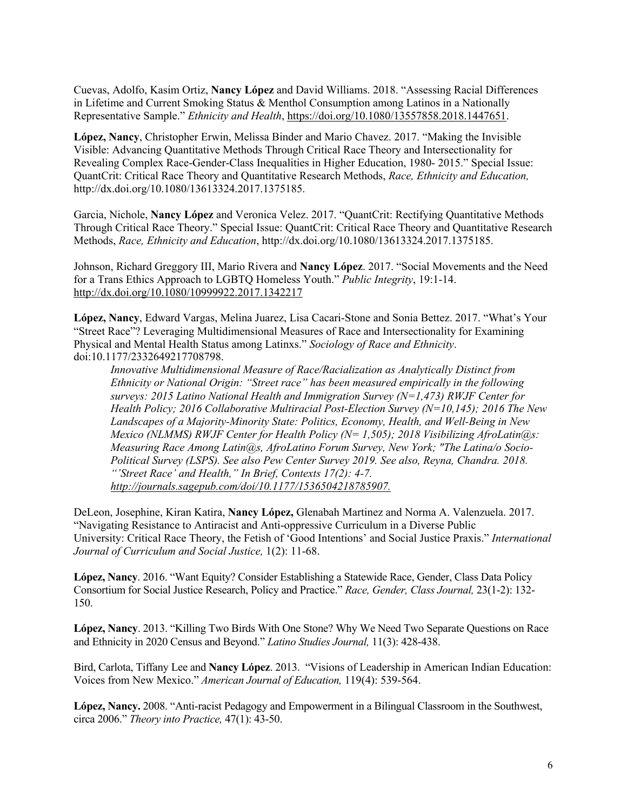Cuevas, Adolfo, Kasim Ortiz, **Nancy López** and David Williams. 2018. "Assessing Racial Differences in Lifetime and Current Smoking Status & Menthol Consumption among Latinos in a Nationally Representative Sample." *Ethnicity and Health*, https://doi.org/10.1080/13557858.2018.1447651.

**López, Nancy**, Christopher Erwin, Melissa Binder and Mario Chavez. 2017. "Making the Invisible Visible: Advancing Quantitative Methods Through Critical Race Theory and Intersectionality for Revealing Complex Race-Gender-Class Inequalities in Higher Education, 1980- 2015." Special Issue: QuantCrit: Critical Race Theory and Quantitative Research Methods, *Race, Ethnicity and Education,* http://dx.doi.org/10.1080/13613324.2017.1375185.

Garcia, Nichole, **Nancy López** and Veronica Velez. 2017. "QuantCrit: Rectifying Quantitative Methods Through Critical Race Theory." Special Issue: QuantCrit: Critical Race Theory and Quantitative Research Methods, *Race, Ethnicity and Education*, http://dx.doi.org/10.1080/13613324.2017.1375185.

Johnson, Richard Greggory III, Mario Rivera and **Nancy López**. 2017. "Social Movements and the Need for a Trans Ethics Approach to LGBTQ Homeless Youth." *Public Integrity*, 19:1-14. http://dx.doi.org/10.1080/10999922.2017.1342217

**López, Nancy**, Edward Vargas, Melina Juarez, Lisa Cacari-Stone and Sonia Bettez. 2017. "What's Your "Street Race"? Leveraging Multidimensional Measures of Race and Intersectionality for Examining Physical and Mental Health Status among Latinxs." *Sociology of Race and Ethnicity*. doi:10.1177/2332649217708798.

*Innovative Multidimensional Measure of Race/Racialization as Analytically Distinct from Ethnicity or National Origin: "Street race" has been measured empirically in the following surveys: 2015 Latino National Health and Immigration Survey (N=1,473) RWJF Center for Health Policy; 2016 Collaborative Multiracial Post-Election Survey (N=10,145); 2016 The New Landscapes of a Majority-Minority State: Politics, Economy, Health, and Well-Being in New Mexico (NLMMS) RWJF Center for Health Policy (N= 1,505); 2018 Visibilizing AfroLatin@s: Measuring Race Among Latin@s, AfroLatino Forum Survey, New York; "The Latina/o Socio-Political Survey (LSPS). See also Pew Center Survey 2019. See also, Reyna, Chandra. 2018. "'Street Race' and Health," In Brief, Contexts 17(2): 4-7. http://journals.sagepub.com/doi/10.1177/1536504218785907.*

DeLeon, Josephine, Kiran Katira, **Nancy López,** Glenabah Martinez and Norma A. Valenzuela. 2017. "Navigating Resistance to Antiracist and Anti-oppressive Curriculum in a Diverse Public University: Critical Race Theory, the Fetish of 'Good Intentions' and Social Justice Praxis." *International Journal of Curriculum and Social Justice,* 1(2): 11-68.

**López, Nancy**. 2016. "Want Equity? Consider Establishing a Statewide Race, Gender, Class Data Policy Consortium for Social Justice Research, Policy and Practice." *Race, Gender, Class Journal,* 23(1-2): 132- 150.

**López, Nancy**. 2013. "Killing Two Birds With One Stone? Why We Need Two Separate Questions on Race and Ethnicity in 2020 Census and Beyond." *Latino Studies Journal,* 11(3): 428-438.

Bird, Carlota, Tiffany Lee and **Nancy López**. 2013. "Visions of Leadership in American Indian Education: Voices from New Mexico." *American Journal of Education,* 119(4): 539-564.

**López, Nancy.** 2008. "Anti-racist Pedagogy and Empowerment in a Bilingual Classroom in the Southwest, circa 2006." *Theory into Practice,* 47(1): 43-50.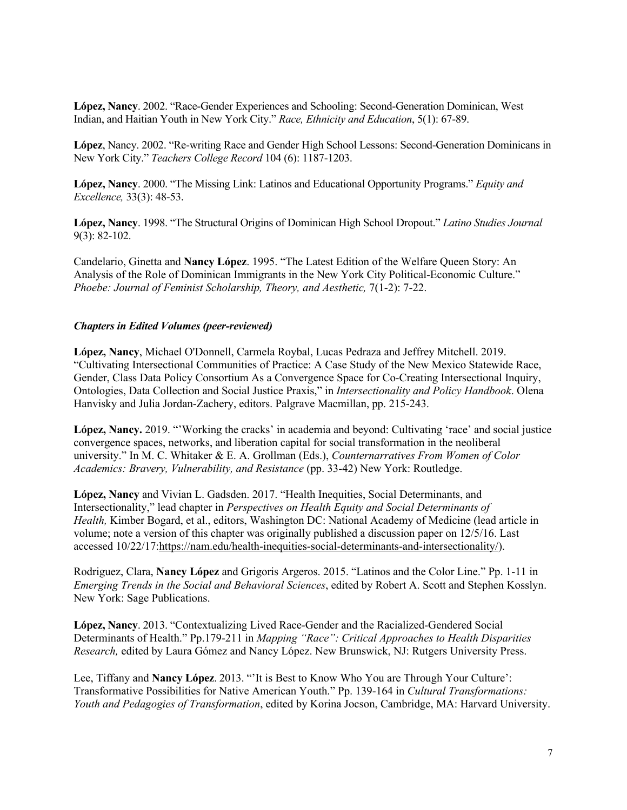**López, Nancy**. 2002. "Race-Gender Experiences and Schooling: Second-Generation Dominican, West Indian, and Haitian Youth in New York City." *Race, Ethnicity and Education*, 5(1): 67-89.

**López**, Nancy. 2002. "Re-writing Race and Gender High School Lessons: Second-Generation Dominicans in New York City." *Teachers College Record* 104 (6): 1187-1203.

**López, Nancy**. 2000. "The Missing Link: Latinos and Educational Opportunity Programs." *Equity and Excellence,* 33(3): 48-53.

**López, Nancy**. 1998. "The Structural Origins of Dominican High School Dropout." *Latino Studies Journal* 9(3): 82-102.

Candelario, Ginetta and **Nancy López**. 1995. "The Latest Edition of the Welfare Queen Story: An Analysis of the Role of Dominican Immigrants in the New York City Political-Economic Culture." *Phoebe: Journal of Feminist Scholarship, Theory, and Aesthetic,* 7(1-2): 7-22.

#### *Chapters in Edited Volumes (peer-reviewed)*

**López, Nancy**, Michael O'Donnell, Carmela Roybal, Lucas Pedraza and Jeffrey Mitchell. 2019. "Cultivating Intersectional Communities of Practice: A Case Study of the New Mexico Statewide Race, Gender, Class Data Policy Consortium As a Convergence Space for Co-Creating Intersectional Inquiry, Ontologies, Data Collection and Social Justice Praxis," in *Intersectionality and Policy Handbook*. Olena Hanvisky and Julia Jordan-Zachery, editors. Palgrave Macmillan, pp. 215-243.

**López, Nancy.** 2019. "'Working the cracks' in academia and beyond: Cultivating 'race' and social justice convergence spaces, networks, and liberation capital for social transformation in the neoliberal university." In M. C. Whitaker & E. A. Grollman (Eds.), *Counternarratives From Women of Color Academics: Bravery, Vulnerability, and Resistance* (pp. 33-42) New York: Routledge.

**López, Nancy** and Vivian L. Gadsden. 2017. "Health Inequities, Social Determinants, and Intersectionality," lead chapter in *Perspectives on Health Equity and Social Determinants of Health,* Kimber Bogard, et al., editors, Washington DC: National Academy of Medicine (lead article in volume; note a version of this chapter was originally published a discussion paper on 12/5/16. Last accessed 10/22/17:https://nam.edu/health-inequities-social-determinants-and-intersectionality/).

Rodriguez, Clara, **Nancy López** and Grigoris Argeros. 2015. "Latinos and the Color Line." Pp. 1-11 in *Emerging Trends in the Social and Behavioral Sciences*, edited by Robert A. Scott and Stephen Kosslyn. New York: Sage Publications.

**López, Nancy**. 2013. "Contextualizing Lived Race-Gender and the Racialized-Gendered Social Determinants of Health." Pp.179-211 in *Mapping "Race": Critical Approaches to Health Disparities Research,* edited by Laura Gómez and Nancy López. New Brunswick, NJ: Rutgers University Press.

Lee, Tiffany and **Nancy López**. 2013. "'It is Best to Know Who You are Through Your Culture': Transformative Possibilities for Native American Youth." Pp. 139-164 in *Cultural Transformations: Youth and Pedagogies of Transformation*, edited by Korina Jocson, Cambridge, MA: Harvard University.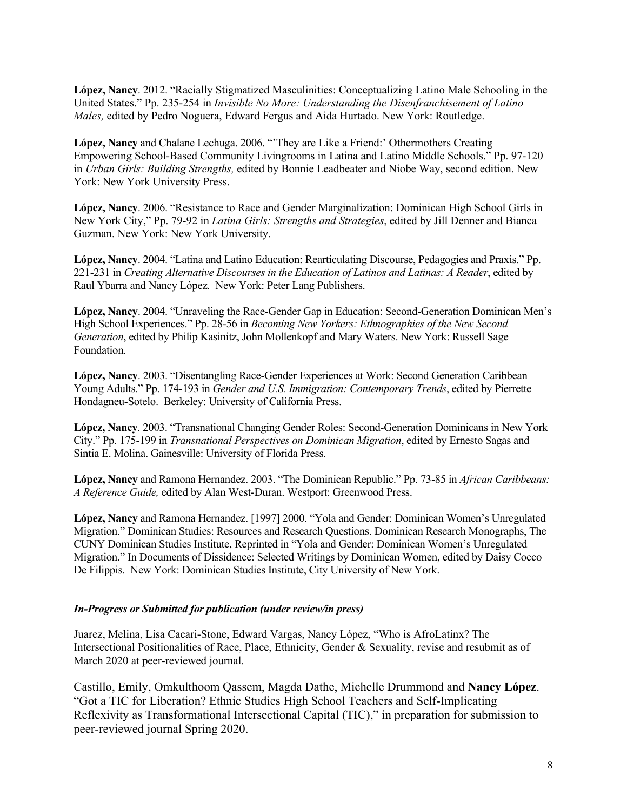**López, Nancy**. 2012. "Racially Stigmatized Masculinities: Conceptualizing Latino Male Schooling in the United States." Pp. 235-254 in *Invisible No More: Understanding the Disenfranchisement of Latino Males,* edited by Pedro Noguera, Edward Fergus and Aida Hurtado. New York: Routledge.

**López, Nancy** and Chalane Lechuga. 2006. "'They are Like a Friend:' Othermothers Creating Empowering School-Based Community Livingrooms in Latina and Latino Middle Schools." Pp. 97-120 in *Urban Girls: Building Strengths,* edited by Bonnie Leadbeater and Niobe Way, second edition. New York: New York University Press.

**López, Nancy**. 2006. "Resistance to Race and Gender Marginalization: Dominican High School Girls in New York City," Pp. 79-92 in *Latina Girls: Strengths and Strategies*, edited by Jill Denner and Bianca Guzman. New York: New York University.

**López, Nancy**. 2004. "Latina and Latino Education: Rearticulating Discourse, Pedagogies and Praxis." Pp. 221-231 in *Creating Alternative Discourses in the Education of Latinos and Latinas: A Reader*, edited by Raul Ybarra and Nancy López. New York: Peter Lang Publishers.

**López, Nancy**. 2004. "Unraveling the Race-Gender Gap in Education: Second-Generation Dominican Men's High School Experiences." Pp. 28-56 in *Becoming New Yorkers: Ethnographies of the New Second Generation*, edited by Philip Kasinitz, John Mollenkopf and Mary Waters. New York: Russell Sage Foundation.

**López, Nancy**. 2003. "Disentangling Race-Gender Experiences at Work: Second Generation Caribbean Young Adults." Pp. 174-193 in *Gender and U.S. Immigration: Contemporary Trends*, edited by Pierrette Hondagneu-Sotelo. Berkeley: University of California Press.

**López, Nancy**. 2003. "Transnational Changing Gender Roles: Second-Generation Dominicans in New York City." Pp. 175-199 in *Transnational Perspectives on Dominican Migration*, edited by Ernesto Sagas and Sintia E. Molina. Gainesville: University of Florida Press.

**López, Nancy** and Ramona Hernandez. 2003. "The Dominican Republic." Pp. 73-85 in *African Caribbeans: A Reference Guide,* edited by Alan West-Duran. Westport: Greenwood Press.

**López, Nancy** and Ramona Hernandez. [1997] 2000. "Yola and Gender: Dominican Women's Unregulated Migration." Dominican Studies: Resources and Research Questions. Dominican Research Monographs, The CUNY Dominican Studies Institute, Reprinted in "Yola and Gender: Dominican Women's Unregulated Migration." In Documents of Dissidence: Selected Writings by Dominican Women, edited by Daisy Cocco De Filippis. New York: Dominican Studies Institute, City University of New York.

#### *In-Progress or Submitted for publication (under review/in press)*

Juarez, Melina, Lisa Cacari-Stone, Edward Vargas, Nancy López, "Who is AfroLatinx? The Intersectional Positionalities of Race, Place, Ethnicity, Gender & Sexuality, revise and resubmit as of March 2020 at peer-reviewed journal.

Castillo, Emily, Omkulthoom Qassem, Magda Dathe, Michelle Drummond and **Nancy López**. "Got a TIC for Liberation? Ethnic Studies High School Teachers and Self-Implicating Reflexivity as Transformational Intersectional Capital (TIC)," in preparation for submission to peer-reviewed journal Spring 2020.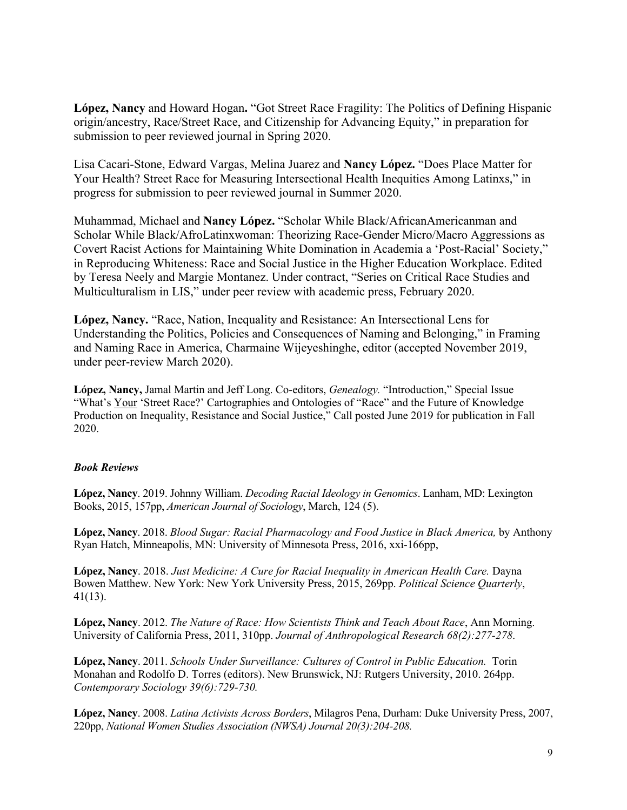**López, Nancy** and Howard Hogan**.** "Got Street Race Fragility: The Politics of Defining Hispanic origin/ancestry, Race/Street Race, and Citizenship for Advancing Equity," in preparation for submission to peer reviewed journal in Spring 2020.

Lisa Cacari-Stone, Edward Vargas, Melina Juarez and **Nancy López.** "Does Place Matter for Your Health? Street Race for Measuring Intersectional Health Inequities Among Latinxs," in progress for submission to peer reviewed journal in Summer 2020.

Muhammad, Michael and **Nancy López.** "Scholar While Black/AfricanAmericanman and Scholar While Black/AfroLatinxwoman: Theorizing Race-Gender Micro/Macro Aggressions as Covert Racist Actions for Maintaining White Domination in Academia a 'Post-Racial' Society," in Reproducing Whiteness: Race and Social Justice in the Higher Education Workplace. Edited by Teresa Neely and Margie Montanez. Under contract, "Series on Critical Race Studies and Multiculturalism in LIS," under peer review with academic press, February 2020.

**López, Nancy.** "Race, Nation, Inequality and Resistance: An Intersectional Lens for Understanding the Politics, Policies and Consequences of Naming and Belonging," in Framing and Naming Race in America, Charmaine Wijeyeshinghe, editor (accepted November 2019, under peer-review March 2020).

**López, Nancy,** Jamal Martin and Jeff Long. Co-editors, *Genealogy.* "Introduction," Special Issue "What's Your 'Street Race?' Cartographies and Ontologies of "Race" and the Future of Knowledge Production on Inequality, Resistance and Social Justice," Call posted June 2019 for publication in Fall 2020.

#### *Book Reviews*

**López, Nancy**. 2019. Johnny William. *Decoding Racial Ideology in Genomics*. Lanham, MD: Lexington Books, 2015, 157pp, *American Journal of Sociology*, March, 124 (5).

**López, Nancy**. 2018. *Blood Sugar: Racial Pharmacology and Food Justice in Black America,* by Anthony Ryan Hatch, Minneapolis, MN: University of Minnesota Press, 2016, xxi-166pp,

**López, Nancy**. 2018. *Just Medicine: A Cure for Racial Inequality in American Health Care.* Dayna Bowen Matthew. New York: New York University Press, 2015, 269pp. *Political Science Quarterly*, 41(13).

**López, Nancy**. 2012. *The Nature of Race: How Scientists Think and Teach About Race*, Ann Morning. University of California Press, 2011, 310pp. *Journal of Anthropological Research 68(2):277-278*.

**López, Nancy**. 2011. *Schools Under Surveillance: Cultures of Control in Public Education.* Torin Monahan and Rodolfo D. Torres (editors). New Brunswick, NJ: Rutgers University, 2010. 264pp. *Contemporary Sociology 39(6):729-730.*

**López, Nancy**. 2008. *Latina Activists Across Borders*, Milagros Pena, Durham: Duke University Press, 2007, 220pp, *National Women Studies Association (NWSA) Journal 20(3):204-208.*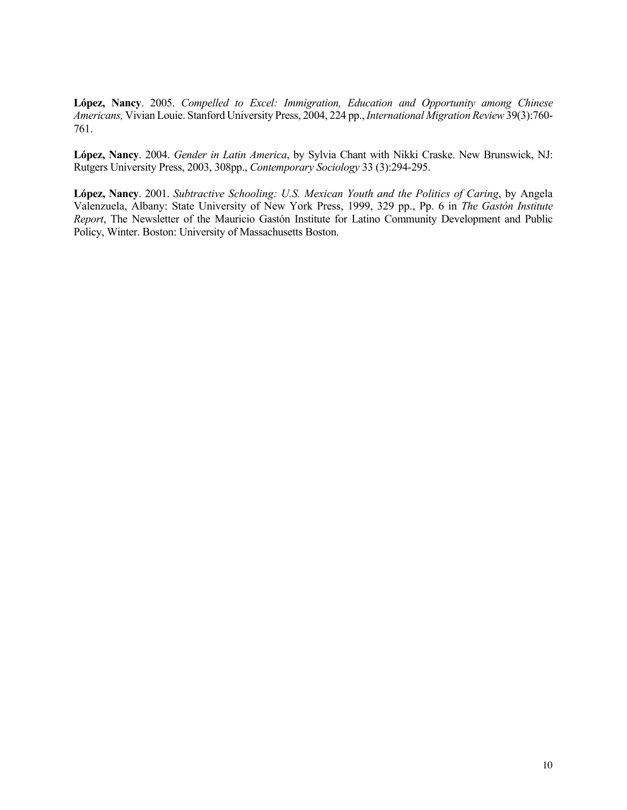**López, Nancy**. 2005. *Compelled to Excel: Immigration, Education and Opportunity among Chinese Americans,* Vivian Louie. Stanford University Press, 2004, 224 pp., *International Migration Review* 39(3):760- 761.

**López, Nancy**. 2004. *Gender in Latin America*, by Sylvia Chant with Nikki Craske. New Brunswick, NJ: Rutgers University Press, 2003, 308pp., *Contemporary Sociology* 33 (3):294-295.

**López, Nancy**. 2001. *Subtractive Schooling: U.S. Mexican Youth and the Politics of Caring*, by Angela Valenzuela, Albany: State University of New York Press, 1999, 329 pp., Pp. 6 in *The Gastón Institute Report*, The Newsletter of the Mauricio Gastón Institute for Latino Community Development and Public Policy, Winter. Boston: University of Massachusetts Boston.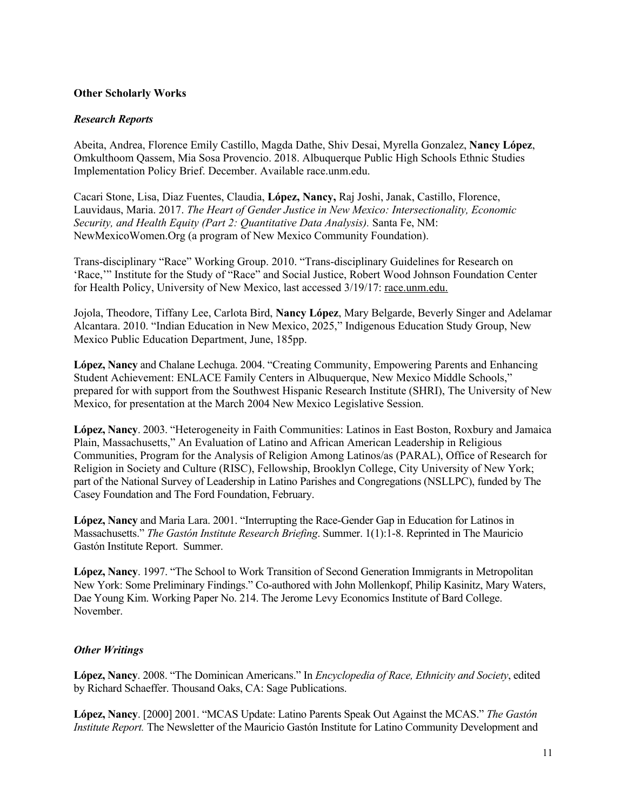#### **Other Scholarly Works**

#### *Research Reports*

Abeita, Andrea, Florence Emily Castillo, Magda Dathe, Shiv Desai, Myrella Gonzalez, **Nancy López**, Omkulthoom Qassem, Mia Sosa Provencio. 2018. Albuquerque Public High Schools Ethnic Studies Implementation Policy Brief. December. Available race.unm.edu.

Cacari Stone, Lisa, Diaz Fuentes, Claudia, **López, Nancy,** Raj Joshi, Janak, Castillo, Florence, Lauvidaus, Maria. 2017. *The Heart of Gender Justice in New Mexico: Intersectionality, Economic Security, and Health Equity (Part 2: Quantitative Data Analysis).* Santa Fe, NM: NewMexicoWomen.Org (a program of New Mexico Community Foundation).

Trans-disciplinary "Race" Working Group. 2010. "Trans-disciplinary Guidelines for Research on 'Race,'" Institute for the Study of "Race" and Social Justice, Robert Wood Johnson Foundation Center for Health Policy, University of New Mexico, last accessed 3/19/17: race.unm.edu.

Jojola, Theodore, Tiffany Lee, Carlota Bird, **Nancy López**, Mary Belgarde, Beverly Singer and Adelamar Alcantara. 2010. "Indian Education in New Mexico, 2025," Indigenous Education Study Group, New Mexico Public Education Department, June, 185pp.

**López, Nancy** and Chalane Lechuga. 2004. "Creating Community, Empowering Parents and Enhancing Student Achievement: ENLACE Family Centers in Albuquerque, New Mexico Middle Schools," prepared for with support from the Southwest Hispanic Research Institute (SHRI), The University of New Mexico, for presentation at the March 2004 New Mexico Legislative Session.

**López, Nancy**. 2003. "Heterogeneity in Faith Communities: Latinos in East Boston, Roxbury and Jamaica Plain, Massachusetts," An Evaluation of Latino and African American Leadership in Religious Communities, Program for the Analysis of Religion Among Latinos/as (PARAL), Office of Research for Religion in Society and Culture (RISC), Fellowship, Brooklyn College, City University of New York; part of the National Survey of Leadership in Latino Parishes and Congregations (NSLLPC), funded by The Casey Foundation and The Ford Foundation, February.

**López, Nancy** and Maria Lara. 2001. "Interrupting the Race-Gender Gap in Education for Latinos in Massachusetts." *The Gastón Institute Research Briefing*. Summer. 1(1):1-8. Reprinted in The Mauricio Gastón Institute Report. Summer.

**López, Nancy**. 1997. "The School to Work Transition of Second Generation Immigrants in Metropolitan New York: Some Preliminary Findings." Co-authored with John Mollenkopf, Philip Kasinitz, Mary Waters, Dae Young Kim. Working Paper No. 214. The Jerome Levy Economics Institute of Bard College. November.

# *Other Writings*

**López, Nancy**. 2008. "The Dominican Americans." In *Encyclopedia of Race, Ethnicity and Society*, edited by Richard Schaeffer. Thousand Oaks, CA: Sage Publications.

**López, Nancy**. [2000] 2001. "MCAS Update: Latino Parents Speak Out Against the MCAS." *The Gastón Institute Report.* The Newsletter of the Mauricio Gastón Institute for Latino Community Development and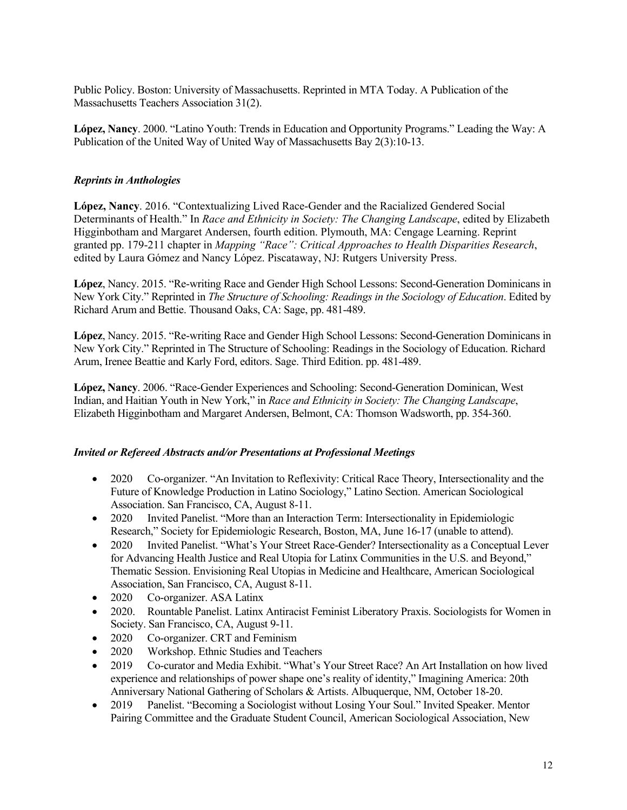Public Policy. Boston: University of Massachusetts. Reprinted in MTA Today. A Publication of the Massachusetts Teachers Association 31(2).

**López, Nancy**. 2000. "Latino Youth: Trends in Education and Opportunity Programs." Leading the Way: A Publication of the United Way of United Way of Massachusetts Bay 2(3):10-13.

# *Reprints in Anthologies*

**López, Nancy**. 2016. "Contextualizing Lived Race-Gender and the Racialized Gendered Social Determinants of Health." In *Race and Ethnicity in Society: The Changing Landscape*, edited by Elizabeth Higginbotham and Margaret Andersen, fourth edition. Plymouth, MA: Cengage Learning. Reprint granted pp. 179-211 chapter in *Mapping "Race": Critical Approaches to Health Disparities Research*, edited by Laura Gómez and Nancy López. Piscataway, NJ: Rutgers University Press.

**López**, Nancy. 2015. "Re-writing Race and Gender High School Lessons: Second-Generation Dominicans in New York City." Reprinted in *The Structure of Schooling: Readings in the Sociology of Education*. Edited by Richard Arum and Bettie. Thousand Oaks, CA: Sage, pp. 481-489.

**López**, Nancy. 2015. "Re-writing Race and Gender High School Lessons: Second-Generation Dominicans in New York City." Reprinted in The Structure of Schooling: Readings in the Sociology of Education. Richard Arum, Irenee Beattie and Karly Ford, editors. Sage. Third Edition. pp. 481-489.

**López, Nancy**. 2006. "Race-Gender Experiences and Schooling: Second-Generation Dominican, West Indian, and Haitian Youth in New York," in *Race and Ethnicity in Society: The Changing Landscape*, Elizabeth Higginbotham and Margaret Andersen, Belmont, CA: Thomson Wadsworth, pp. 354-360.

#### *Invited or Refereed Abstracts and/or Presentations at Professional Meetings*

- 2020 Co-organizer. "An Invitation to Reflexivity: Critical Race Theory, Intersectionality and the Future of Knowledge Production in Latino Sociology," Latino Section. American Sociological Association. San Francisco, CA, August 8-11.
- 2020 Invited Panelist. "More than an Interaction Term: Intersectionality in Epidemiologic Research," Society for Epidemiologic Research, Boston, MA, June 16-17 (unable to attend).
- 2020 Invited Panelist. "What's Your Street Race-Gender? Intersectionality as a Conceptual Lever for Advancing Health Justice and Real Utopia for Latinx Communities in the U.S. and Beyond," Thematic Session. Envisioning Real Utopias in Medicine and Healthcare, American Sociological Association, San Francisco, CA, August 8-11.
- 2020 Co-organizer. ASA Latinx
- 2020. Rountable Panelist. Latinx Antiracist Feminist Liberatory Praxis. Sociologists for Women in Society. San Francisco, CA, August 9-11.
- 2020 Co-organizer. CRT and Feminism
- 2020 Workshop. Ethnic Studies and Teachers
- 2019 Co-curator and Media Exhibit. "What's Your Street Race? An Art Installation on how lived experience and relationships of power shape one's reality of identity," Imagining America: 20th Anniversary National Gathering of Scholars & Artists. Albuquerque, NM, October 18-20.
- 2019 Panelist. "Becoming a Sociologist without Losing Your Soul." Invited Speaker. Mentor Pairing Committee and the Graduate Student Council, American Sociological Association, New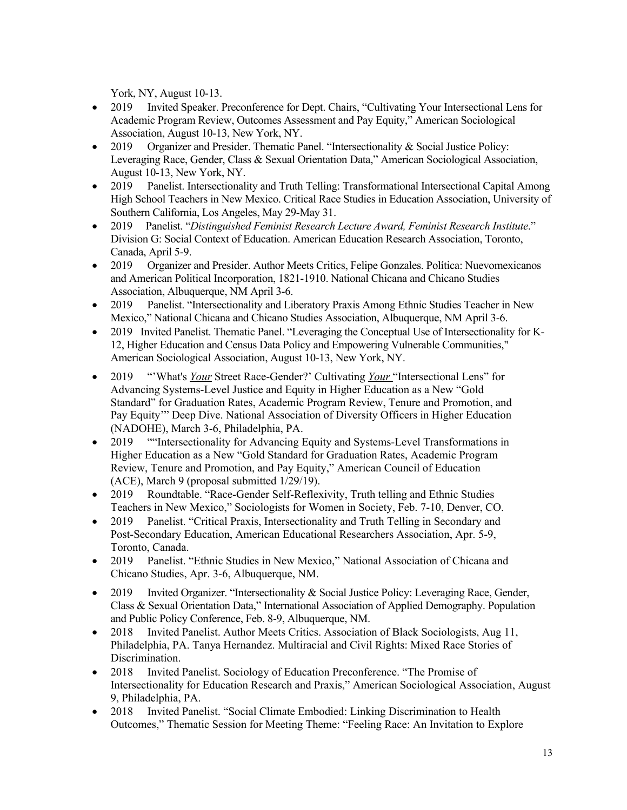York, NY, August 10-13.

- 2019 Invited Speaker. Preconference for Dept. Chairs, "Cultivating Your Intersectional Lens for Academic Program Review, Outcomes Assessment and Pay Equity," American Sociological Association, August 10-13, New York, NY.
- 2019 Organizer and Presider. Thematic Panel. "Intersectionality & Social Justice Policy: Leveraging Race, Gender, Class & Sexual Orientation Data," American Sociological Association, August 10-13, New York, NY.
- 2019 Panelist. Intersectionality and Truth Telling: Transformational Intersectional Capital Among High School Teachers in New Mexico. Critical Race Studies in Education Association, University of Southern California, Los Angeles, May 29-May 31.
- 2019 Panelist. "*Distinguished Feminist Research Lecture Award, Feminist Research Institute*." Division G: Social Context of Education. American Education Research Association, Toronto, Canada, April 5-9.
- 2019 Organizer and Presider. Author Meets Critics, Felipe Gonzales. Política: Nuevomexicanos and American Political Incorporation, 1821-1910. National Chicana and Chicano Studies Association, Albuquerque, NM April 3-6.
- 2019 Panelist. "Intersectionality and Liberatory Praxis Among Ethnic Studies Teacher in New Mexico," National Chicana and Chicano Studies Association, Albuquerque, NM April 3-6.
- 2019 Invited Panelist. Thematic Panel. "Leveraging the Conceptual Use of Intersectionality for K-12, Higher Education and Census Data Policy and Empowering Vulnerable Communities," American Sociological Association, August 10-13, New York, NY.
- 2019 "'What's *Your* Street Race-Gender?' Cultivating *Your* "Intersectional Lens" for Advancing Systems-Level Justice and Equity in Higher Education as a New "Gold Standard" for Graduation Rates, Academic Program Review, Tenure and Promotion, and Pay Equity'" Deep Dive. National Association of Diversity Officers in Higher Education (NADOHE), March 3-6, Philadelphia, PA.
- 2019 "Intersectionality for Advancing Equity and Systems-Level Transformations in Higher Education as a New "Gold Standard for Graduation Rates, Academic Program Review, Tenure and Promotion, and Pay Equity," American Council of Education (ACE), March 9 (proposal submitted 1/29/19).
- 2019 Roundtable. "Race-Gender Self-Reflexivity, Truth telling and Ethnic Studies Teachers in New Mexico," Sociologists for Women in Society, Feb. 7-10, Denver, CO.
- 2019 Panelist. "Critical Praxis, Intersectionality and Truth Telling in Secondary and Post-Secondary Education, American Educational Researchers Association, Apr. 5-9, Toronto, Canada.
- 2019 Panelist. "Ethnic Studies in New Mexico," National Association of Chicana and Chicano Studies, Apr. 3-6, Albuquerque, NM.
- 2019 Invited Organizer. "Intersectionality & Social Justice Policy: Leveraging Race, Gender, Class & Sexual Orientation Data," International Association of Applied Demography. Population and Public Policy Conference, Feb. 8-9, Albuquerque, NM.
- 2018 Invited Panelist. Author Meets Critics. Association of Black Sociologists, Aug 11, Philadelphia, PA. Tanya Hernandez. Multiracial and Civil Rights: Mixed Race Stories of Discrimination.
- 2018 Invited Panelist. Sociology of Education Preconference. "The Promise of Intersectionality for Education Research and Praxis," American Sociological Association, August 9, Philadelphia, PA.
- 2018 Invited Panelist. "Social Climate Embodied: Linking Discrimination to Health Outcomes," Thematic Session for Meeting Theme: "Feeling Race: An Invitation to Explore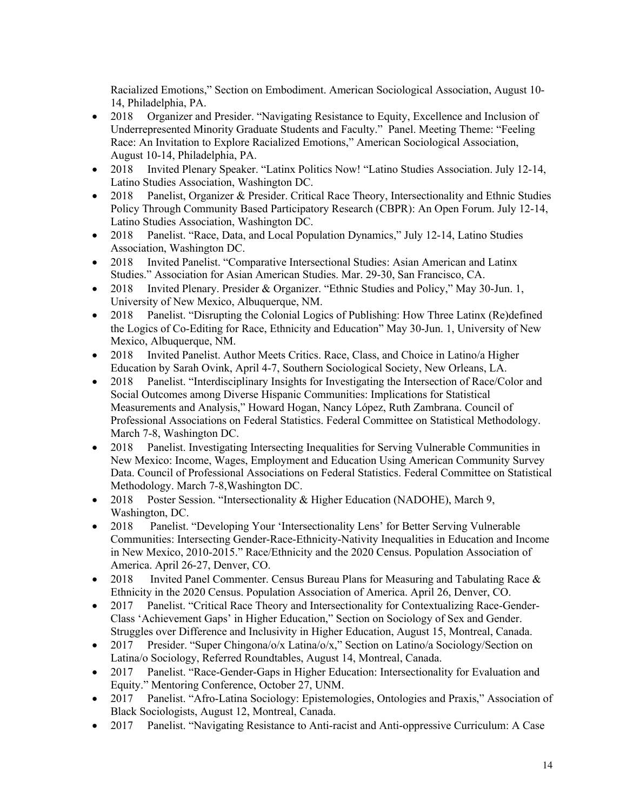Racialized Emotions," Section on Embodiment. American Sociological Association, August 10- 14, Philadelphia, PA.

- 2018 Organizer and Presider. "Navigating Resistance to Equity, Excellence and Inclusion of Underrepresented Minority Graduate Students and Faculty." Panel. Meeting Theme: "Feeling Race: An Invitation to Explore Racialized Emotions," American Sociological Association, August 10-14, Philadelphia, PA.
- 2018 Invited Plenary Speaker. "Latinx Politics Now! "Latino Studies Association. July 12-14, Latino Studies Association, Washington DC.
- 2018 Panelist, Organizer & Presider. Critical Race Theory, Intersectionality and Ethnic Studies Policy Through Community Based Participatory Research (CBPR): An Open Forum. July 12-14, Latino Studies Association, Washington DC.
- 2018 Panelist. "Race, Data, and Local Population Dynamics," July 12-14, Latino Studies Association, Washington DC.
- 2018 Invited Panelist. "Comparative Intersectional Studies: Asian American and Latinx Studies." Association for Asian American Studies. Mar. 29-30, San Francisco, CA.
- 2018 Invited Plenary. Presider & Organizer. "Ethnic Studies and Policy," May 30-Jun. 1, University of New Mexico, Albuquerque, NM.
- 2018 Panelist. "Disrupting the Colonial Logics of Publishing: How Three Latinx (Re)defined the Logics of Co-Editing for Race, Ethnicity and Education" May 30-Jun. 1, University of New Mexico, Albuquerque, NM.
- 2018 Invited Panelist. Author Meets Critics. Race, Class, and Choice in Latino/a Higher Education by Sarah Ovink, April 4-7, Southern Sociological Society, New Orleans, LA.
- 2018 Panelist. "Interdisciplinary Insights for Investigating the Intersection of Race/Color and Social Outcomes among Diverse Hispanic Communities: Implications for Statistical Measurements and Analysis," Howard Hogan, Nancy López, Ruth Zambrana. Council of Professional Associations on Federal Statistics. Federal Committee on Statistical Methodology. March 7-8, Washington DC.
- 2018 Panelist. Investigating Intersecting Inequalities for Serving Vulnerable Communities in New Mexico: Income, Wages, Employment and Education Using American Community Survey Data. Council of Professional Associations on Federal Statistics. Federal Committee on Statistical Methodology. March 7-8,Washington DC.
- 2018 Poster Session. "Intersectionality & Higher Education (NADOHE), March 9, Washington, DC.
- 2018 Panelist. "Developing Your 'Intersectionality Lens' for Better Serving Vulnerable Communities: Intersecting Gender-Race-Ethnicity-Nativity Inequalities in Education and Income in New Mexico, 2010-2015." Race/Ethnicity and the 2020 Census. Population Association of America. April 26-27, Denver, CO.
- 2018 Invited Panel Commenter. Census Bureau Plans for Measuring and Tabulating Race & Ethnicity in the 2020 Census. Population Association of America. April 26, Denver, CO.
- 2017 Panelist. "Critical Race Theory and Intersectionality for Contextualizing Race-Gender-Class 'Achievement Gaps' in Higher Education," Section on Sociology of Sex and Gender. Struggles over Difference and Inclusivity in Higher Education, August 15, Montreal, Canada.
- 2017 Presider. "Super Chingona/o/x Latina/o/x," Section on Latino/a Sociology/Section on Latina/o Sociology, Referred Roundtables, August 14, Montreal, Canada.
- 2017 Panelist. "Race-Gender-Gaps in Higher Education: Intersectionality for Evaluation and Equity." Mentoring Conference, October 27, UNM.
- 2017 Panelist. "Afro-Latina Sociology: Epistemologies, Ontologies and Praxis," Association of Black Sociologists, August 12, Montreal, Canada.
- 2017 Panelist. "Navigating Resistance to Anti-racist and Anti-oppressive Curriculum: A Case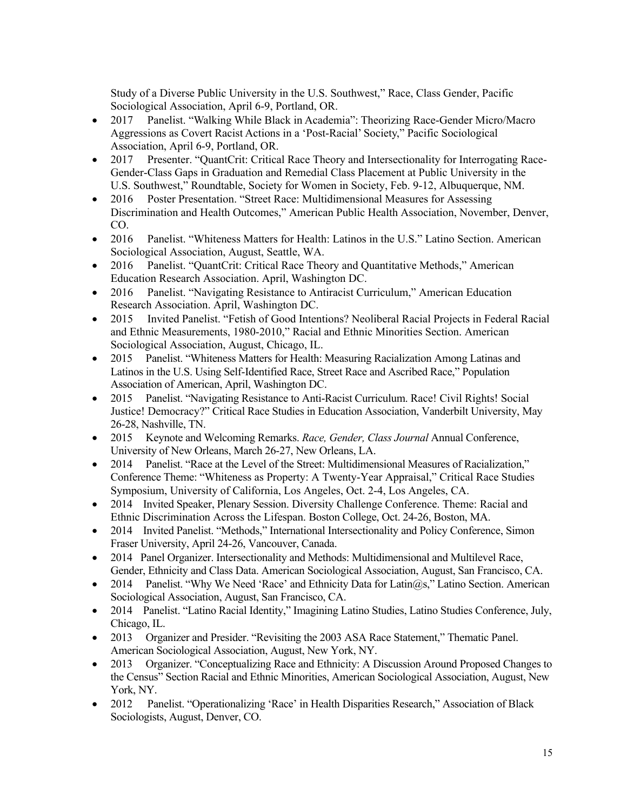Study of a Diverse Public University in the U.S. Southwest," Race, Class Gender, Pacific Sociological Association, April 6-9, Portland, OR.

- 2017 Panelist. "Walking While Black in Academia": Theorizing Race-Gender Micro/Macro Aggressions as Covert Racist Actions in a 'Post-Racial' Society," Pacific Sociological Association, April 6-9, Portland, OR.
- 2017 Presenter. "QuantCrit: Critical Race Theory and Intersectionality for Interrogating Race-Gender-Class Gaps in Graduation and Remedial Class Placement at Public University in the U.S. Southwest," Roundtable, Society for Women in Society, Feb. 9-12, Albuquerque, NM.
- 2016 Poster Presentation. "Street Race: Multidimensional Measures for Assessing Discrimination and Health Outcomes," American Public Health Association, November, Denver, CO.
- 2016 Panelist. "Whiteness Matters for Health: Latinos in the U.S." Latino Section. American Sociological Association, August, Seattle, WA.
- 2016 Panelist. "QuantCrit: Critical Race Theory and Quantitative Methods," American Education Research Association. April, Washington DC.
- 2016 Panelist. "Navigating Resistance to Antiracist Curriculum," American Education Research Association. April, Washington DC.
- 2015 Invited Panelist. "Fetish of Good Intentions? Neoliberal Racial Projects in Federal Racial and Ethnic Measurements, 1980-2010," Racial and Ethnic Minorities Section. American Sociological Association, August, Chicago, IL.
- 2015 Panelist. "Whiteness Matters for Health: Measuring Racialization Among Latinas and Latinos in the U.S. Using Self-Identified Race, Street Race and Ascribed Race," Population Association of American, April, Washington DC.
- 2015 Panelist. "Navigating Resistance to Anti-Racist Curriculum. Race! Civil Rights! Social Justice! Democracy?" Critical Race Studies in Education Association, Vanderbilt University, May 26-28, Nashville, TN.
- 2015 Keynote and Welcoming Remarks. *Race, Gender, Class Journal* Annual Conference, University of New Orleans, March 26-27, New Orleans, LA.
- 2014 Panelist. "Race at the Level of the Street: Multidimensional Measures of Racialization," Conference Theme: "Whiteness as Property: A Twenty-Year Appraisal," Critical Race Studies Symposium, University of California, Los Angeles, Oct. 2-4, Los Angeles, CA.
- 2014 Invited Speaker, Plenary Session. Diversity Challenge Conference. Theme: Racial and Ethnic Discrimination Across the Lifespan. Boston College, Oct. 24-26, Boston, MA.
- 2014 Invited Panelist. "Methods," International Intersectionality and Policy Conference, Simon Fraser University, April 24-26, Vancouver, Canada.
- 2014 Panel Organizer. Intersectionality and Methods: Multidimensional and Multilevel Race, Gender, Ethnicity and Class Data. American Sociological Association, August, San Francisco, CA.
- 2014 Panelist. "Why We Need 'Race' and Ethnicity Data for Latin $(a)$ s," Latino Section. American Sociological Association, August, San Francisco, CA.
- 2014 Panelist. "Latino Racial Identity," Imagining Latino Studies, Latino Studies Conference, July, Chicago, IL.
- 2013 Organizer and Presider. "Revisiting the 2003 ASA Race Statement," Thematic Panel. American Sociological Association, August, New York, NY.
- 2013 Organizer. "Conceptualizing Race and Ethnicity: A Discussion Around Proposed Changes to the Census" Section Racial and Ethnic Minorities, American Sociological Association, August, New York, NY.
- 2012 Panelist. "Operationalizing 'Race' in Health Disparities Research," Association of Black Sociologists, August, Denver, CO.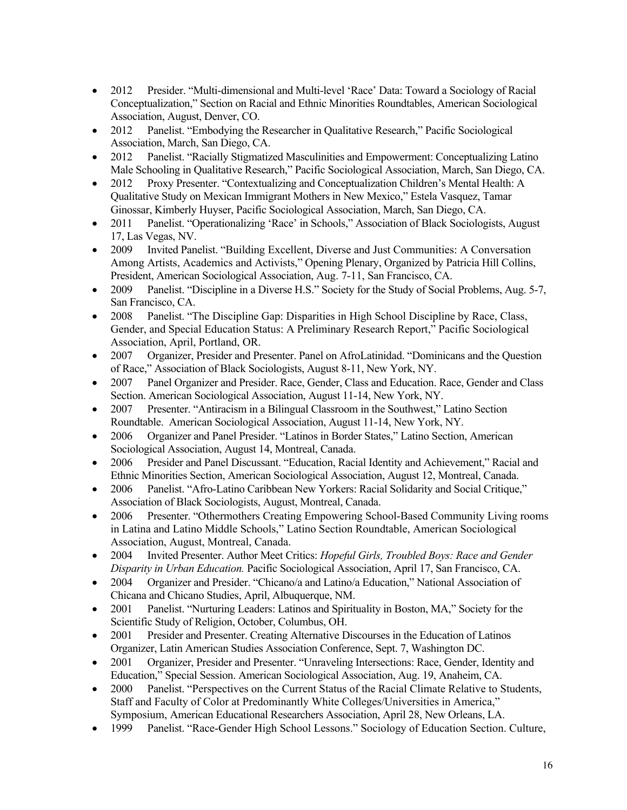- 2012 Presider. "Multi-dimensional and Multi-level 'Race' Data: Toward a Sociology of Racial Conceptualization," Section on Racial and Ethnic Minorities Roundtables, American Sociological Association, August, Denver, CO.
- 2012 Panelist. "Embodying the Researcher in Qualitative Research," Pacific Sociological Association, March, San Diego, CA.
- 2012 Panelist. "Racially Stigmatized Masculinities and Empowerment: Conceptualizing Latino Male Schooling in Qualitative Research," Pacific Sociological Association, March, San Diego, CA.
- 2012 Proxy Presenter. "Contextualizing and Conceptualization Children's Mental Health: A Qualitative Study on Mexican Immigrant Mothers in New Mexico," Estela Vasquez, Tamar Ginossar, Kimberly Huyser, Pacific Sociological Association, March, San Diego, CA.
- 2011 Panelist. "Operationalizing 'Race' in Schools," Association of Black Sociologists, August 17, Las Vegas, NV.
- 2009 Invited Panelist. "Building Excellent, Diverse and Just Communities: A Conversation Among Artists, Academics and Activists," Opening Plenary, Organized by Patricia Hill Collins, President, American Sociological Association, Aug. 7-11, San Francisco, CA.
- 2009 Panelist. "Discipline in a Diverse H.S." Society for the Study of Social Problems, Aug. 5-7, San Francisco, CA.
- 2008 Panelist. "The Discipline Gap: Disparities in High School Discipline by Race, Class, Gender, and Special Education Status: A Preliminary Research Report," Pacific Sociological Association, April, Portland, OR.
- 2007 Organizer, Presider and Presenter. Panel on AfroLatinidad. "Dominicans and the Question of Race," Association of Black Sociologists, August 8-11, New York, NY.
- 2007 Panel Organizer and Presider. Race, Gender, Class and Education. Race, Gender and Class Section. American Sociological Association, August 11-14, New York, NY.
- 2007 Presenter. "Antiracism in a Bilingual Classroom in the Southwest," Latino Section Roundtable. American Sociological Association, August 11-14, New York, NY.
- 2006 Organizer and Panel Presider. "Latinos in Border States," Latino Section, American Sociological Association, August 14, Montreal, Canada.
- 2006 Presider and Panel Discussant. "Education, Racial Identity and Achievement," Racial and Ethnic Minorities Section, American Sociological Association, August 12, Montreal, Canada.
- 2006 Panelist. "Afro-Latino Caribbean New Yorkers: Racial Solidarity and Social Critique," Association of Black Sociologists, August, Montreal, Canada.
- 2006 Presenter. "Othermothers Creating Empowering School-Based Community Living rooms in Latina and Latino Middle Schools," Latino Section Roundtable, American Sociological Association, August, Montreal, Canada.
- 2004 Invited Presenter. Author Meet Critics: *Hopeful Girls, Troubled Boys: Race and Gender Disparity in Urban Education.* Pacific Sociological Association, April 17, San Francisco, CA.
- 2004 Organizer and Presider. "Chicano/a and Latino/a Education," National Association of Chicana and Chicano Studies, April, Albuquerque, NM.
- 2001 Panelist. "Nurturing Leaders: Latinos and Spirituality in Boston, MA," Society for the Scientific Study of Religion, October, Columbus, OH.
- 2001 Presider and Presenter. Creating Alternative Discourses in the Education of Latinos Organizer, Latin American Studies Association Conference, Sept. 7, Washington DC.
- 2001 Organizer, Presider and Presenter. "Unraveling Intersections: Race, Gender, Identity and Education," Special Session. American Sociological Association, Aug. 19, Anaheim, CA.
- 2000 Panelist. "Perspectives on the Current Status of the Racial Climate Relative to Students, Staff and Faculty of Color at Predominantly White Colleges/Universities in America," Symposium, American Educational Researchers Association, April 28, New Orleans, LA.
- 1999 Panelist. "Race-Gender High School Lessons." Sociology of Education Section. Culture,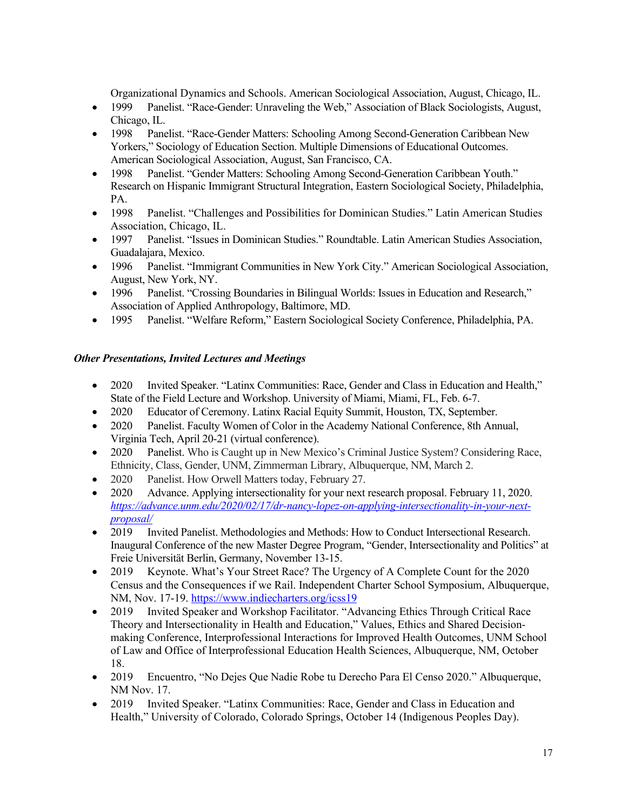Organizational Dynamics and Schools. American Sociological Association, August, Chicago, IL.

- 1999 Panelist. "Race-Gender: Unraveling the Web," Association of Black Sociologists, August, Chicago, IL.
- 1998 Panelist. "Race-Gender Matters: Schooling Among Second-Generation Caribbean New Yorkers," Sociology of Education Section. Multiple Dimensions of Educational Outcomes. American Sociological Association, August, San Francisco, CA.
- 1998 Panelist. "Gender Matters: Schooling Among Second-Generation Caribbean Youth." Research on Hispanic Immigrant Structural Integration, Eastern Sociological Society, Philadelphia, PA.
- 1998 Panelist. "Challenges and Possibilities for Dominican Studies." Latin American Studies Association, Chicago, IL.
- 1997 Panelist. "Issues in Dominican Studies." Roundtable. Latin American Studies Association, Guadalajara, Mexico.
- 1996 Panelist. "Immigrant Communities in New York City." American Sociological Association, August, New York, NY.
- 1996 Panelist. "Crossing Boundaries in Bilingual Worlds: Issues in Education and Research," Association of Applied Anthropology, Baltimore, MD.
- 1995 Panelist. "Welfare Reform," Eastern Sociological Society Conference, Philadelphia, PA.

#### *Other Presentations, Invited Lectures and Meetings*

- 2020 Invited Speaker. "Latinx Communities: Race, Gender and Class in Education and Health," State of the Field Lecture and Workshop. University of Miami, Miami, FL, Feb. 6-7.
- 2020 Educator of Ceremony. Latinx Racial Equity Summit, Houston, TX, September.
- 2020 Panelist. Faculty Women of Color in the Academy National Conference, 8th Annual, Virginia Tech, April 20-21 (virtual conference).
- 2020 Panelist. Who is Caught up in New Mexico's Criminal Justice System? Considering Race, Ethnicity, Class, Gender, UNM, Zimmerman Library, Albuquerque, NM, March 2.
- 2020 Panelist. How Orwell Matters today, February 27.
- 2020 Advance. Applying intersectionality for your next research proposal. February 11, 2020. *https://advance.unm.edu/2020/02/17/dr-nancy-lopez-on-applying-intersectionality-in-your-nextproposal/*
- 2019 Invited Panelist. Methodologies and Methods: How to Conduct Intersectional Research. Inaugural Conference of the new Master Degree Program, "Gender, Intersectionality and Politics" at Freie Universität Berlin, Germany, November 13-15.
- 2019 Keynote. What's Your Street Race? The Urgency of A Complete Count for the 2020 Census and the Consequences if we Rail. Independent Charter School Symposium, Albuquerque, NM, Nov. 17-19. https://www.indiecharters.org/icss19
- 2019 Invited Speaker and Workshop Facilitator. "Advancing Ethics Through Critical Race Theory and Intersectionality in Health and Education," Values, Ethics and Shared Decisionmaking Conference, Interprofessional Interactions for Improved Health Outcomes, UNM School of Law and Office of Interprofessional Education Health Sciences, Albuquerque, NM, October 18.
- 2019 Encuentro, "No Dejes Que Nadie Robe tu Derecho Para El Censo 2020." Albuquerque, NM Nov. 17.
- 2019 Invited Speaker. "Latinx Communities: Race, Gender and Class in Education and Health," University of Colorado, Colorado Springs, October 14 (Indigenous Peoples Day).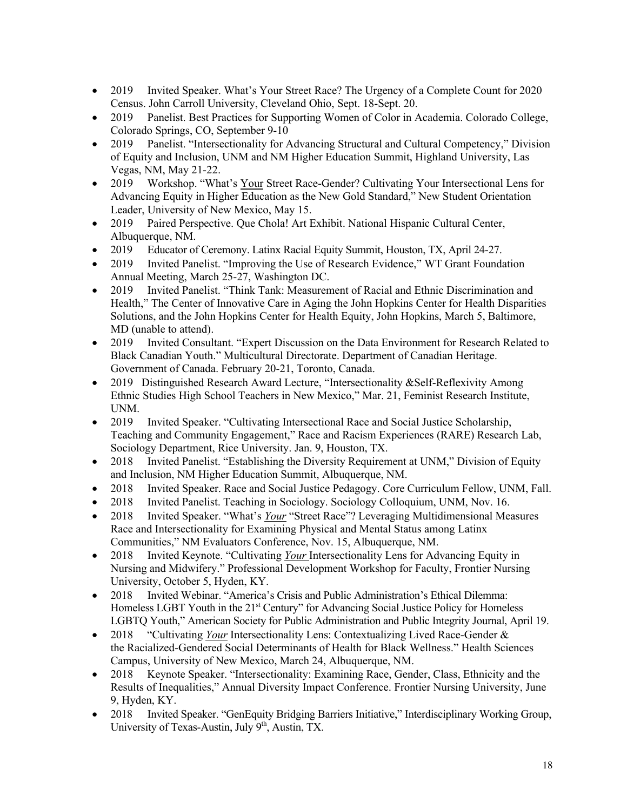- 2019 Invited Speaker. What's Your Street Race? The Urgency of a Complete Count for 2020 Census. John Carroll University, Cleveland Ohio, Sept. 18-Sept. 20.
- 2019 Panelist. Best Practices for Supporting Women of Color in Academia. Colorado College, Colorado Springs, CO, September 9-10
- 2019 Panelist. "Intersectionality for Advancing Structural and Cultural Competency," Division of Equity and Inclusion, UNM and NM Higher Education Summit, Highland University, Las Vegas, NM, May 21-22.
- 2019 Workshop. "What's Your Street Race-Gender? Cultivating Your Intersectional Lens for Advancing Equity in Higher Education as the New Gold Standard," New Student Orientation Leader, University of New Mexico, May 15.
- 2019 Paired Perspective. Que Chola! Art Exhibit. National Hispanic Cultural Center, Albuquerque, NM.
- 2019 Educator of Ceremony. Latinx Racial Equity Summit, Houston, TX, April 24-27.
- 2019 Invited Panelist. "Improving the Use of Research Evidence," WT Grant Foundation Annual Meeting, March 25-27, Washington DC.
- 2019 Invited Panelist. "Think Tank: Measurement of Racial and Ethnic Discrimination and Health," The Center of Innovative Care in Aging the John Hopkins Center for Health Disparities Solutions, and the John Hopkins Center for Health Equity, John Hopkins, March 5, Baltimore, MD (unable to attend).
- 2019 Invited Consultant. "Expert Discussion on the Data Environment for Research Related to Black Canadian Youth." Multicultural Directorate. Department of Canadian Heritage. Government of Canada. February 20-21, Toronto, Canada.
- 2019 Distinguished Research Award Lecture, "Intersectionality & Self-Reflexivity Among Ethnic Studies High School Teachers in New Mexico," Mar. 21, Feminist Research Institute, UNM.
- 2019 Invited Speaker. "Cultivating Intersectional Race and Social Justice Scholarship, Teaching and Community Engagement," Race and Racism Experiences (RARE) Research Lab, Sociology Department, Rice University. Jan. 9, Houston, TX.
- 2018 Invited Panelist. "Establishing the Diversity Requirement at UNM," Division of Equity and Inclusion, NM Higher Education Summit, Albuquerque, NM.
- 2018 Invited Speaker. Race and Social Justice Pedagogy. Core Curriculum Fellow, UNM, Fall.
- 2018 Invited Panelist. Teaching in Sociology. Sociology Colloquium, UNM, Nov. 16.
- 2018 Invited Speaker. "What's *Your* "Street Race"? Leveraging Multidimensional Measures Race and Intersectionality for Examining Physical and Mental Status among Latinx Communities," NM Evaluators Conference, Nov. 15, Albuquerque, NM.
- 2018 Invited Keynote. "Cultivating *Your* Intersectionality Lens for Advancing Equity in Nursing and Midwifery." Professional Development Workshop for Faculty, Frontier Nursing University, October 5, Hyden, KY.
- 2018 Invited Webinar. "America's Crisis and Public Administration's Ethical Dilemma: Homeless LGBT Youth in the 21<sup>st</sup> Century" for Advancing Social Justice Policy for Homeless LGBTQ Youth," American Society for Public Administration and Public Integrity Journal, April 19.
- 2018 "Cultivating *Your* Intersectionality Lens: Contextualizing Lived Race-Gender & the Racialized-Gendered Social Determinants of Health for Black Wellness." Health Sciences Campus, University of New Mexico, March 24, Albuquerque, NM.
- 2018 Keynote Speaker. "Intersectionality: Examining Race, Gender, Class, Ethnicity and the Results of Inequalities," Annual Diversity Impact Conference. Frontier Nursing University, June 9, Hyden, KY.
- 2018 Invited Speaker. "GenEquity Bridging Barriers Initiative," Interdisciplinary Working Group, University of Texas-Austin, July  $9<sup>th</sup>$ , Austin, TX.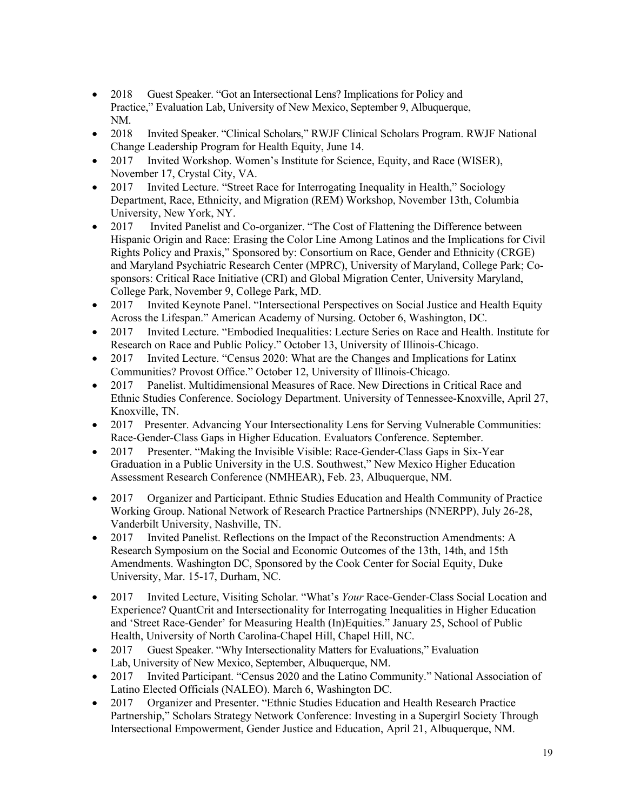- 2018 Guest Speaker. "Got an Intersectional Lens? Implications for Policy and Practice," Evaluation Lab, University of New Mexico, September 9, Albuquerque, NM.
- 2018 Invited Speaker. "Clinical Scholars," RWJF Clinical Scholars Program. RWJF National Change Leadership Program for Health Equity, June 14.
- 2017 Invited Workshop. Women's Institute for Science, Equity, and Race (WISER), November 17, Crystal City, VA.
- 2017 Invited Lecture. "Street Race for Interrogating Inequality in Health," Sociology Department, Race, Ethnicity, and Migration (REM) Workshop, November 13th, Columbia University, New York, NY.
- 2017 Invited Panelist and Co-organizer. "The Cost of Flattening the Difference between Hispanic Origin and Race: Erasing the Color Line Among Latinos and the Implications for Civil Rights Policy and Praxis," Sponsored by: Consortium on Race, Gender and Ethnicity (CRGE) and Maryland Psychiatric Research Center (MPRC), University of Maryland, College Park; Cosponsors: Critical Race Initiative (CRI) and Global Migration Center, University Maryland, College Park, November 9, College Park, MD.
- 2017 Invited Keynote Panel. "Intersectional Perspectives on Social Justice and Health Equity Across the Lifespan." American Academy of Nursing. October 6, Washington, DC.
- 2017 Invited Lecture. "Embodied Inequalities: Lecture Series on Race and Health. Institute for Research on Race and Public Policy." October 13, University of Illinois-Chicago.
- 2017 Invited Lecture. "Census 2020: What are the Changes and Implications for Latinx Communities? Provost Office." October 12, University of Illinois-Chicago.
- 2017 Panelist. Multidimensional Measures of Race. New Directions in Critical Race and Ethnic Studies Conference. Sociology Department. University of Tennessee-Knoxville, April 27, Knoxville, TN.
- 2017 Presenter. Advancing Your Intersectionality Lens for Serving Vulnerable Communities: Race-Gender-Class Gaps in Higher Education. Evaluators Conference. September.
- 2017 Presenter. "Making the Invisible Visible: Race-Gender-Class Gaps in Six-Year Graduation in a Public University in the U.S. Southwest," New Mexico Higher Education Assessment Research Conference (NMHEAR), Feb. 23, Albuquerque, NM.
- 2017 Organizer and Participant. Ethnic Studies Education and Health Community of Practice Working Group. National Network of Research Practice Partnerships (NNERPP), July 26-28, Vanderbilt University, Nashville, TN.
- 2017 Invited Panelist. Reflections on the Impact of the Reconstruction Amendments: A Research Symposium on the Social and Economic Outcomes of the 13th, 14th, and 15th Amendments. Washington DC, Sponsored by the Cook Center for Social Equity, Duke University, Mar. 15-17, Durham, NC.
- 2017 Invited Lecture, Visiting Scholar. "What's *Your* Race-Gender-Class Social Location and Experience? QuantCrit and Intersectionality for Interrogating Inequalities in Higher Education and 'Street Race-Gender' for Measuring Health (In)Equities." January 25, School of Public Health, University of North Carolina-Chapel Hill, Chapel Hill, NC.
- 2017 Guest Speaker. "Why Intersectionality Matters for Evaluations," Evaluation Lab, University of New Mexico, September, Albuquerque, NM.
- 2017 Invited Participant. "Census 2020 and the Latino Community." National Association of Latino Elected Officials (NALEO). March 6, Washington DC.
- 2017 Organizer and Presenter. "Ethnic Studies Education and Health Research Practice Partnership," Scholars Strategy Network Conference: Investing in a Supergirl Society Through Intersectional Empowerment, Gender Justice and Education, April 21, Albuquerque, NM.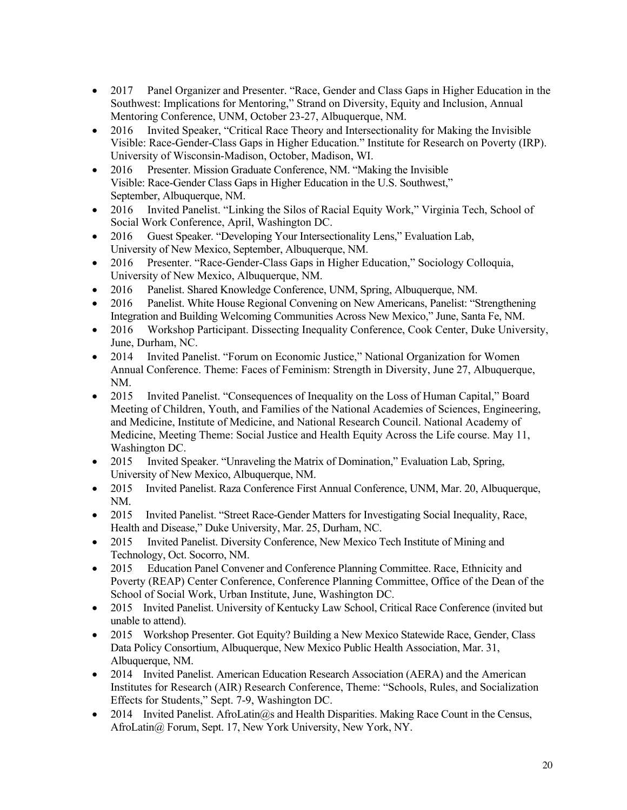- 2017 Panel Organizer and Presenter. "Race, Gender and Class Gaps in Higher Education in the Southwest: Implications for Mentoring," Strand on Diversity, Equity and Inclusion, Annual Mentoring Conference, UNM, October 23-27, Albuquerque, NM.
- 2016 Invited Speaker, "Critical Race Theory and Intersectionality for Making the Invisible Visible: Race-Gender-Class Gaps in Higher Education." Institute for Research on Poverty (IRP). University of Wisconsin-Madison, October, Madison, WI.
- 2016 Presenter. Mission Graduate Conference, NM. "Making the Invisible Visible: Race-Gender Class Gaps in Higher Education in the U.S. Southwest," September, Albuquerque, NM.
- 2016 Invited Panelist. "Linking the Silos of Racial Equity Work," Virginia Tech, School of Social Work Conference, April, Washington DC.
- 2016 Guest Speaker. "Developing Your Intersectionality Lens," Evaluation Lab, University of New Mexico, September, Albuquerque, NM.
- 2016 Presenter. "Race-Gender-Class Gaps in Higher Education," Sociology Colloquia, University of New Mexico, Albuquerque, NM.
- 2016 Panelist. Shared Knowledge Conference, UNM, Spring, Albuquerque, NM.
- 2016 Panelist. White House Regional Convening on New Americans, Panelist: "Strengthening Integration and Building Welcoming Communities Across New Mexico," June, Santa Fe, NM.
- 2016 Workshop Participant. Dissecting Inequality Conference, Cook Center, Duke University, June, Durham, NC.
- 2014 Invited Panelist. "Forum on Economic Justice," National Organization for Women Annual Conference. Theme: Faces of Feminism: Strength in Diversity, June 27, Albuquerque, NM.
- 2015 Invited Panelist. "Consequences of Inequality on the Loss of Human Capital," Board Meeting of Children, Youth, and Families of the National Academies of Sciences, Engineering, and Medicine, Institute of Medicine, and National Research Council. National Academy of Medicine, Meeting Theme: Social Justice and Health Equity Across the Life course. May 11, Washington DC.
- 2015 Invited Speaker. "Unraveling the Matrix of Domination," Evaluation Lab, Spring, University of New Mexico, Albuquerque, NM.
- 2015 Invited Panelist. Raza Conference First Annual Conference, UNM, Mar. 20, Albuquerque, NM.
- 2015 Invited Panelist. "Street Race-Gender Matters for Investigating Social Inequality, Race, Health and Disease," Duke University, Mar. 25, Durham, NC.
- 2015 Invited Panelist. Diversity Conference, New Mexico Tech Institute of Mining and Technology, Oct. Socorro, NM.
- 2015 Education Panel Convener and Conference Planning Committee. Race, Ethnicity and Poverty (REAP) Center Conference, Conference Planning Committee, Office of the Dean of the School of Social Work, Urban Institute, June, Washington DC.
- 2015 Invited Panelist. University of Kentucky Law School, Critical Race Conference (invited but unable to attend).
- 2015 Workshop Presenter. Got Equity? Building a New Mexico Statewide Race, Gender, Class Data Policy Consortium, Albuquerque, New Mexico Public Health Association, Mar. 31, Albuquerque, NM.
- 2014 Invited Panelist. American Education Research Association (AERA) and the American Institutes for Research (AIR) Research Conference, Theme: "Schools, Rules, and Socialization Effects for Students," Sept. 7-9, Washington DC.
- 2014 Invited Panelist. AfroLatin@s and Health Disparities. Making Race Count in the Census, AfroLatin@ Forum, Sept. 17, New York University, New York, NY.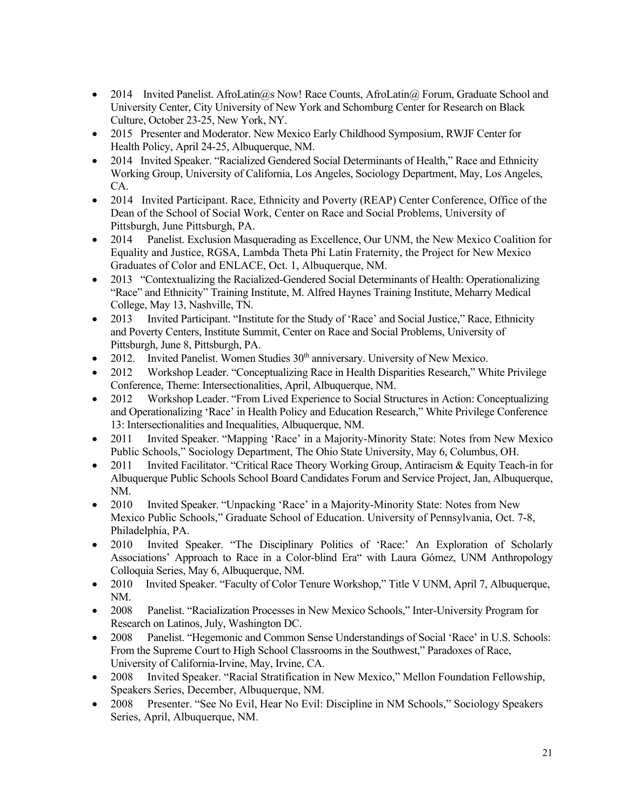- 2014 Invited Panelist. AfroLatin@s Now! Race Counts, AfroLatin@ Forum, Graduate School and University Center, City University of New York and Schomburg Center for Research on Black Culture, October 23-25, New York, NY.
- 2015 Presenter and Moderator. New Mexico Early Childhood Symposium, RWJF Center for Health Policy, April 24-25, Albuquerque, NM.
- 2014 Invited Speaker. "Racialized Gendered Social Determinants of Health," Race and Ethnicity Working Group, University of California, Los Angeles, Sociology Department, May, Los Angeles, CA.
- 2014 Invited Participant. Race, Ethnicity and Poverty (REAP) Center Conference, Office of the Dean of the School of Social Work, Center on Race and Social Problems, University of Pittsburgh, June Pittsburgh, PA.
- 2014 Panelist. Exclusion Masquerading as Excellence, Our UNM, the New Mexico Coalition for Equality and Justice, RGSA, Lambda Theta Phi Latin Fraternity, the Project for New Mexico Graduates of Color and ENLACE, Oct. 1, Albuquerque, NM.
- 2013 "Contextualizing the Racialized-Gendered Social Determinants of Health: Operationalizing "Race" and Ethnicity" Training Institute, M. Alfred Haynes Training Institute, Meharry Medical College, May 13, Nashville, TN.
- 2013 Invited Participant. "Institute for the Study of 'Race' and Social Justice," Race, Ethnicity and Poverty Centers, Institute Summit, Center on Race and Social Problems, University of Pittsburgh, June 8, Pittsburgh, PA.
- 2012. Invited Panelist. Women Studies  $30<sup>th</sup>$  anniversary. University of New Mexico.
- 2012 Workshop Leader. "Conceptualizing Race in Health Disparities Research," White Privilege Conference, Theme: Intersectionalities, April, Albuquerque, NM.
- 2012 Workshop Leader. "From Lived Experience to Social Structures in Action: Conceptualizing and Operationalizing 'Race' in Health Policy and Education Research," White Privilege Conference 13: Intersectionalities and Inequalities, Albuquerque, NM.
- 2011 Invited Speaker. "Mapping 'Race' in a Majority-Minority State: Notes from New Mexico Public Schools," Sociology Department, The Ohio State University, May 6, Columbus, OH.
- 2011 Invited Facilitator. "Critical Race Theory Working Group, Antiracism & Equity Teach-in for Albuquerque Public Schools School Board Candidates Forum and Service Project, Jan, Albuquerque, NM.
- 2010 Invited Speaker. "Unpacking 'Race' in a Majority-Minority State: Notes from New Mexico Public Schools," Graduate School of Education. University of Pennsylvania, Oct. 7-8, Philadelphia, PA.
- 2010 Invited Speaker. "The Disciplinary Politics of 'Race:' An Exploration of Scholarly Associations' Approach to Race in a Color-blind Era" with Laura Gómez, UNM Anthropology Colloquia Series, May 6, Albuquerque, NM.
- 2010 Invited Speaker. "Faculty of Color Tenure Workshop," Title V UNM, April 7, Albuquerque, NM.
- 2008 Panelist. "Racialization Processes in New Mexico Schools," Inter-University Program for Research on Latinos, July, Washington DC.
- 2008 Panelist. "Hegemonic and Common Sense Understandings of Social 'Race' in U.S. Schools: From the Supreme Court to High School Classrooms in the Southwest," Paradoxes of Race, University of California-Irvine, May, Irvine, CA.
- 2008 Invited Speaker. "Racial Stratification in New Mexico," Mellon Foundation Fellowship, Speakers Series, December, Albuquerque, NM.
- 2008 Presenter. "See No Evil, Hear No Evil: Discipline in NM Schools," Sociology Speakers Series, April, Albuquerque, NM.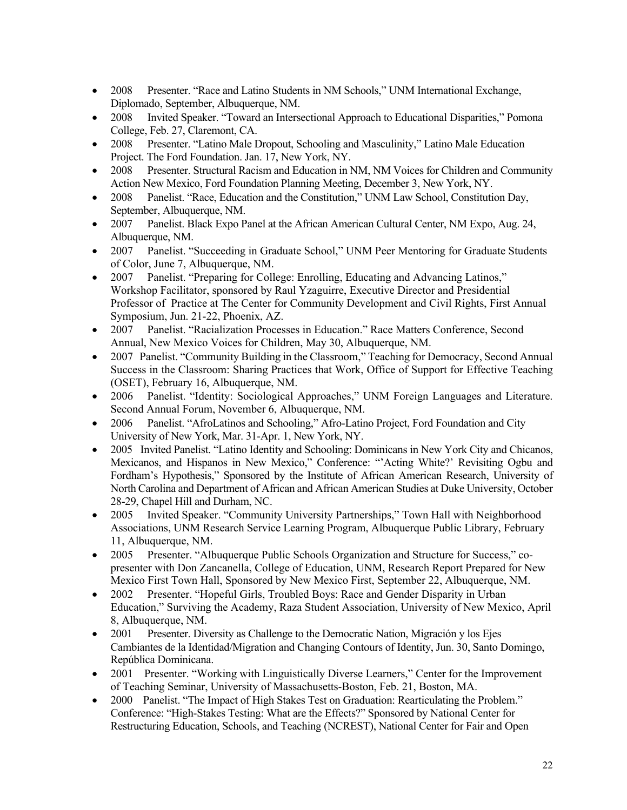- 2008 Presenter. "Race and Latino Students in NM Schools," UNM International Exchange, Diplomado, September, Albuquerque, NM.
- 2008 Invited Speaker. "Toward an Intersectional Approach to Educational Disparities," Pomona College, Feb. 27, Claremont, CA.
- 2008 Presenter. "Latino Male Dropout, Schooling and Masculinity," Latino Male Education Project. The Ford Foundation. Jan. 17, New York, NY.
- 2008 Presenter. Structural Racism and Education in NM, NM Voices for Children and Community Action New Mexico, Ford Foundation Planning Meeting, December 3, New York, NY.
- 2008 Panelist. "Race, Education and the Constitution," UNM Law School, Constitution Day, September, Albuquerque, NM.
- 2007 Panelist. Black Expo Panel at the African American Cultural Center, NM Expo, Aug. 24, Albuquerque, NM.
- 2007 Panelist. "Succeeding in Graduate School," UNM Peer Mentoring for Graduate Students of Color, June 7, Albuquerque, NM.
- 2007 Panelist. "Preparing for College: Enrolling, Educating and Advancing Latinos," Workshop Facilitator, sponsored by Raul Yzaguirre, Executive Director and Presidential Professor of Practice at The Center for Community Development and Civil Rights, First Annual Symposium, Jun. 21-22, Phoenix, AZ.
- 2007 Panelist. "Racialization Processes in Education." Race Matters Conference, Second Annual, New Mexico Voices for Children, May 30, Albuquerque, NM.
- 2007 Panelist. "Community Building in the Classroom," Teaching for Democracy, Second Annual Success in the Classroom: Sharing Practices that Work, Office of Support for Effective Teaching (OSET), February 16, Albuquerque, NM.
- 2006 Panelist. "Identity: Sociological Approaches," UNM Foreign Languages and Literature. Second Annual Forum, November 6, Albuquerque, NM.
- 2006 Panelist. "AfroLatinos and Schooling," Afro-Latino Project, Ford Foundation and City University of New York, Mar. 31-Apr. 1, New York, NY.
- 2005 Invited Panelist. "Latino Identity and Schooling: Dominicans in New York City and Chicanos, Mexicanos, and Hispanos in New Mexico," Conference: "'Acting White?' Revisiting Ogbu and Fordham's Hypothesis," Sponsored by the Institute of African American Research, University of North Carolina and Department of African and African American Studies at Duke University, October 28-29, Chapel Hill and Durham, NC.
- 2005 Invited Speaker. "Community University Partnerships," Town Hall with Neighborhood Associations, UNM Research Service Learning Program, Albuquerque Public Library, February 11, Albuquerque, NM.
- 2005 Presenter. "Albuquerque Public Schools Organization and Structure for Success," copresenter with Don Zancanella, College of Education, UNM, Research Report Prepared for New Mexico First Town Hall, Sponsored by New Mexico First, September 22, Albuquerque, NM.
- 2002 Presenter. "Hopeful Girls, Troubled Boys: Race and Gender Disparity in Urban Education," Surviving the Academy, Raza Student Association, University of New Mexico, April 8, Albuquerque, NM.
- 2001 Presenter. Diversity as Challenge to the Democratic Nation, Migración y los Ejes Cambiantes de la Identidad/Migration and Changing Contours of Identity, Jun. 30, Santo Domingo, República Dominicana.
- 2001 Presenter. "Working with Linguistically Diverse Learners," Center for the Improvement of Teaching Seminar, University of Massachusetts-Boston, Feb. 21, Boston, MA.
- 2000 Panelist. "The Impact of High Stakes Test on Graduation: Rearticulating the Problem." Conference: "High-Stakes Testing: What are the Effects?" Sponsored by National Center for Restructuring Education, Schools, and Teaching (NCREST), National Center for Fair and Open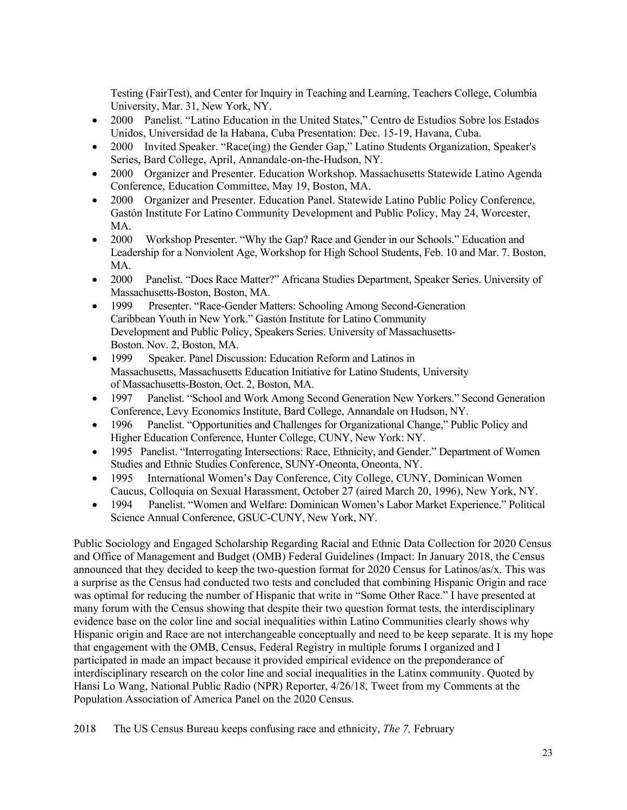Testing (FairTest), and Center for Inquiry in Teaching and Learning, Teachers College, Columbia University, Mar. 31, New York, NY.

- 2000 Panelist. "Latino Education in the United States," Centro de Estudios Sobre los Estados Unidos, Universidad de la Habana, Cuba Presentation: Dec. 15-19, Havana, Cuba.
- 2000 Invited Speaker. "Race(ing) the Gender Gap," Latino Students Organization, Speaker's Series, Bard College, April, Annandale-on-the-Hudson, NY.
- 2000 Organizer and Presenter. Education Workshop. Massachusetts Statewide Latino Agenda Conference, Education Committee, May 19, Boston, MA.
- 2000 Organizer and Presenter. Education Panel. Statewide Latino Public Policy Conference, Gastón Institute For Latino Community Development and Public Policy, May 24, Worcester, MA.
- 2000 Workshop Presenter. "Why the Gap? Race and Gender in our Schools." Education and Leadership for a Nonviolent Age, Workshop for High School Students, Feb. 10 and Mar. 7. Boston, MA.
- 2000 Panelist. "Does Race Matter?" Africana Studies Department, Speaker Series. University of Massachusetts-Boston, Boston, MA.
- 1999 Presenter. "Race-Gender Matters: Schooling Among Second-Generation Caribbean Youth in New York." Gastón Institute for Latino Community Development and Public Policy, Speakers Series. University of Massachusetts-Boston. Nov. 2, Boston, MA.
- 1999 Speaker. Panel Discussion: Education Reform and Latinos in Massachusetts, Massachusetts Education Initiative for Latino Students, University of Massachusetts-Boston, Oct. 2, Boston, MA.
- 1997 Panelist. "School and Work Among Second Generation New Yorkers." Second Generation Conference, Levy Economics Institute, Bard College, Annandale on Hudson, NY.
- 1996 Panelist. "Opportunities and Challenges for Organizational Change," Public Policy and Higher Education Conference, Hunter College, CUNY, New York: NY.
- 1995 Panelist. "Interrogating Intersections: Race, Ethnicity, and Gender." Department of Women Studies and Ethnic Studies Conference, SUNY-Oneonta, Oneonta, NY.
- 1995 International Women's Day Conference, City College, CUNY, Dominican Women Caucus, Colloquia on Sexual Harassment, October 27 (aired March 20, 1996), New York, NY.
- 1994 Panelist. "Women and Welfare: Dominican Women's Labor Market Experience." Political Science Annual Conference, GSUC-CUNY, New York, NY.

Public Sociology and Engaged Scholarship Regarding Racial and Ethnic Data Collection for 2020 Census and Office of Management and Budget (OMB) Federal Guidelines (Impact: In January 2018, the Census announced that they decided to keep the two-question format for 2020 Census for Latinos/as/x. This was a surprise as the Census had conducted two tests and concluded that combining Hispanic Origin and race was optimal for reducing the number of Hispanic that write in "Some Other Race." I have presented at many forum with the Census showing that despite their two question format tests, the interdisciplinary evidence base on the color line and social inequalities within Latino Communities clearly shows why Hispanic origin and Race are not interchangeable conceptually and need to be keep separate. It is my hope that engagement with the OMB, Census, Federal Registry in multiple forums I organized and I participated in made an impact because it provided empirical evidence on the preponderance of interdisciplinary research on the color line and social inequalities in the Latinx community. Quoted by Hansi Lo Wang, National Public Radio (NPR) Reporter, 4/26/18, Tweet from my Comments at the Population Association of America Panel on the 2020 Census.

2018 The US Census Bureau keeps confusing race and ethnicity, *The 7,* February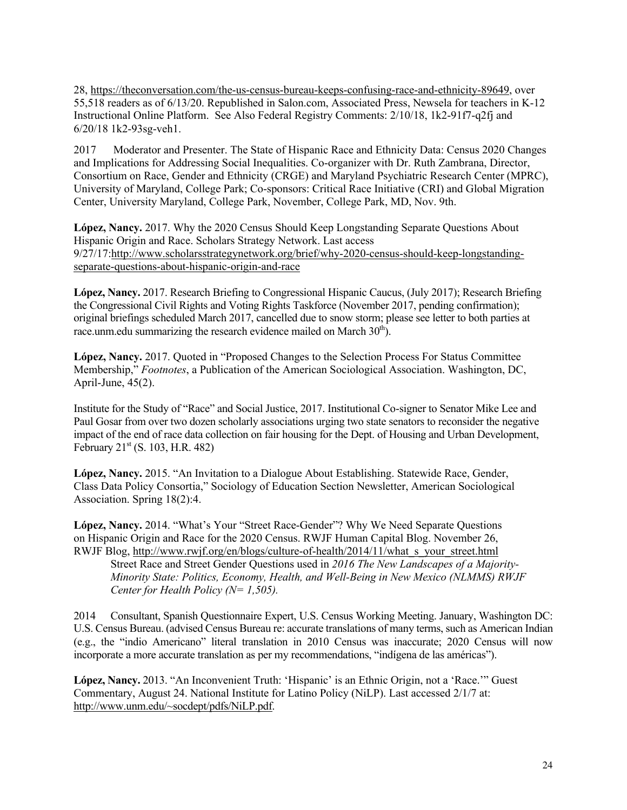28, https://theconversation.com/the-us-census-bureau-keeps-confusing-race-and-ethnicity-89649, over 55,518 readers as of 6/13/20. Republished in Salon.com, Associated Press, Newsela for teachers in K-12 Instructional Online Platform. See Also Federal Registry Comments: 2/10/18, 1k2-91f7-q2fj and 6/20/18 1k2-93sg-veh1.

2017 Moderator and Presenter. The State of Hispanic Race and Ethnicity Data: Census 2020 Changes and Implications for Addressing Social Inequalities. Co-organizer with Dr. Ruth Zambrana, Director, Consortium on Race, Gender and Ethnicity (CRGE) and Maryland Psychiatric Research Center (MPRC), University of Maryland, College Park; Co-sponsors: Critical Race Initiative (CRI) and Global Migration Center, University Maryland, College Park, November, College Park, MD, Nov. 9th.

**López, Nancy.** 2017. Why the 2020 Census Should Keep Longstanding Separate Questions About Hispanic Origin and Race. Scholars Strategy Network. Last access 9/27/17:http://www.scholarsstrategynetwork.org/brief/why-2020-census-should-keep-longstandingseparate-questions-about-hispanic-origin-and-race

**López, Nancy.** 2017. Research Briefing to Congressional Hispanic Caucus, (July 2017); Research Briefing the Congressional Civil Rights and Voting Rights Taskforce (November 2017, pending confirmation); original briefings scheduled March 2017, cancelled due to snow storm; please see letter to both parties at race.unm.edu summarizing the research evidence mailed on March  $30<sup>th</sup>$ .

**López, Nancy.** 2017. Quoted in "Proposed Changes to the Selection Process For Status Committee Membership," *Footnotes*, a Publication of the American Sociological Association. Washington, DC, April-June, 45(2).

Institute for the Study of "Race" and Social Justice, 2017. Institutional Co-signer to Senator Mike Lee and Paul Gosar from over two dozen scholarly associations urging two state senators to reconsider the negative impact of the end of race data collection on fair housing for the Dept. of Housing and Urban Development, February 21<sup>st</sup> (S. 103, H.R. 482)

**López, Nancy.** 2015. "An Invitation to a Dialogue About Establishing. Statewide Race, Gender, Class Data Policy Consortia," Sociology of Education Section Newsletter, American Sociological Association. Spring 18(2):4.

**López, Nancy.** 2014. "What's Your "Street Race-Gender"? Why We Need Separate Questions on Hispanic Origin and Race for the 2020 Census. RWJF Human Capital Blog. November 26, RWJF Blog, http://www.rwjf.org/en/blogs/culture-of-health/2014/11/what\_s\_your\_street.html Street Race and Street Gender Questions used in *2016 The New Landscapes of a Majority-Minority State: Politics, Economy, Health, and Well-Being in New Mexico (NLMMS) RWJF Center for Health Policy (N= 1,505).*

2014 Consultant, Spanish Questionnaire Expert, U.S. Census Working Meeting. January, Washington DC: U.S. Census Bureau. (advised Census Bureau re: accurate translations of many terms, such as American Indian (e.g., the "indio Americano" literal translation in 2010 Census was inaccurate; 2020 Census will now incorporate a more accurate translation as per my recommendations, "indígena de las américas").

**López, Nancy.** 2013. "An Inconvenient Truth: 'Hispanic' is an Ethnic Origin, not a 'Race.'" Guest Commentary, August 24. National Institute for Latino Policy (NiLP). Last accessed 2/1/7 at: http://www.unm.edu/~socdept/pdfs/NiLP.pdf.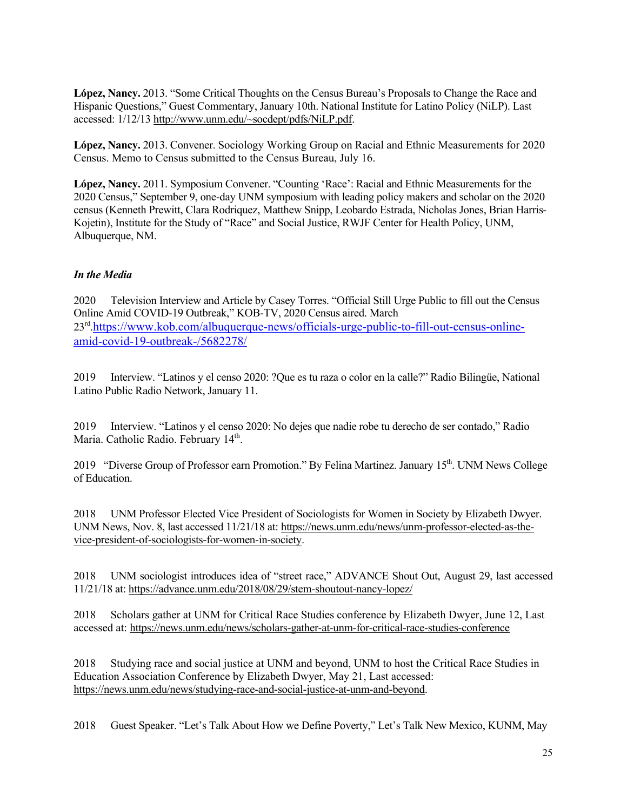**López, Nancy.** 2013. "Some Critical Thoughts on the Census Bureau's Proposals to Change the Race and Hispanic Questions," Guest Commentary, January 10th. National Institute for Latino Policy (NiLP). Last accessed: 1/12/13 http://www.unm.edu/~socdept/pdfs/NiLP.pdf.

**López, Nancy.** 2013. Convener. Sociology Working Group on Racial and Ethnic Measurements for 2020 Census. Memo to Census submitted to the Census Bureau, July 16.

**López, Nancy.** 2011. Symposium Convener. "Counting 'Race': Racial and Ethnic Measurements for the 2020 Census," September 9, one-day UNM symposium with leading policy makers and scholar on the 2020 census (Kenneth Prewitt, Clara Rodriquez, Matthew Snipp, Leobardo Estrada, Nicholas Jones, Brian Harris-Kojetin), Institute for the Study of "Race" and Social Justice, RWJF Center for Health Policy, UNM, Albuquerque, NM.

# *In the Media*

2020 Television Interview and Article by Casey Torres. "Official Still Urge Public to fill out the Census Online Amid COVID-19 Outbreak," KOB-TV, 2020 Census aired. March 23rd.https://www.kob.com/albuquerque-news/officials-urge-public-to-fill-out-census-onlineamid-covid-19-outbreak-/5682278/

2019 Interview. "Latinos y el censo 2020: ?Que es tu raza o color en la calle?" Radio Bilingüe, National Latino Public Radio Network, January 11.

2019 Interview. "Latinos y el censo 2020: No dejes que nadie robe tu derecho de ser contado," Radio Maria. Catholic Radio. February 14<sup>th</sup>.

2019 "Diverse Group of Professor earn Promotion." By Felina Martinez. January 15<sup>th</sup>. UNM News College of Education.

2018 UNM Professor Elected Vice President of Sociologists for Women in Society by Elizabeth Dwyer. UNM News, Nov. 8, last accessed 11/21/18 at: https://news.unm.edu/news/unm-professor-elected-as-thevice-president-of-sociologists-for-women-in-society.

2018 UNM sociologist introduces idea of "street race," ADVANCE Shout Out, August 29, last accessed 11/21/18 at: https://advance.unm.edu/2018/08/29/stem-shoutout-nancy-lopez/

2018 Scholars gather at UNM for Critical Race Studies conference by Elizabeth Dwyer, June 12, Last accessed at: https://news.unm.edu/news/scholars-gather-at-unm-for-critical-race-studies-conference

2018 Studying race and social justice at UNM and beyond, UNM to host the Critical Race Studies in Education Association Conference by Elizabeth Dwyer, May 21, Last accessed: https://news.unm.edu/news/studying-race-and-social-justice-at-unm-and-beyond.

2018 Guest Speaker. "Let's Talk About How we Define Poverty," Let's Talk New Mexico, KUNM, May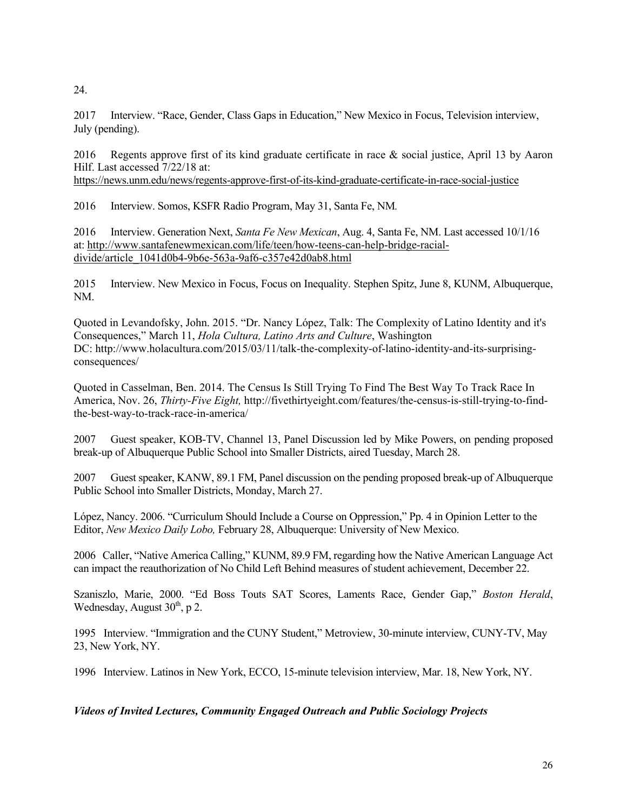24.

2017 Interview. "Race, Gender, Class Gaps in Education," New Mexico in Focus, Television interview, July (pending).

2016 Regents approve first of its kind graduate certificate in race & social justice, April 13 by Aaron Hilf. Last accessed 7/22/18 at:

https://news.unm.edu/news/regents-approve-first-of-its-kind-graduate-certificate-in-race-social-justice

2016 Interview. Somos, KSFR Radio Program, May 31, Santa Fe, NM*.*

2016 Interview. Generation Next, *Santa Fe New Mexican*, Aug. 4, Santa Fe, NM. Last accessed 10/1/16 at: http://www.santafenewmexican.com/life/teen/how-teens-can-help-bridge-racialdivide/article\_1041d0b4-9b6e-563a-9af6-c357e42d0ab8.html

2015 Interview. New Mexico in Focus, Focus on Inequality. Stephen Spitz, June 8, KUNM, Albuquerque, NM.

Quoted in Levandofsky, John. 2015. "Dr. Nancy López, Talk: The Complexity of Latino Identity and it's Consequences," March 11, *Hola Cultura, Latino Arts and Culture*, Washington DC: http://www.holacultura.com/2015/03/11/talk-the-complexity-of-latino-identity-and-its-surprisingconsequences/

Quoted in Casselman, Ben. 2014. The Census Is Still Trying To Find The Best Way To Track Race In America, Nov. 26, *Thirty-Five Eight,* http://fivethirtyeight.com/features/the-census-is-still-trying-to-findthe-best-way-to-track-race-in-america/

2007 Guest speaker, KOB-TV, Channel 13, Panel Discussion led by Mike Powers, on pending proposed break-up of Albuquerque Public School into Smaller Districts, aired Tuesday, March 28.

2007 Guest speaker, KANW, 89.1 FM, Panel discussion on the pending proposed break-up of Albuquerque Public School into Smaller Districts, Monday, March 27.

López, Nancy. 2006. "Curriculum Should Include a Course on Oppression," Pp. 4 in Opinion Letter to the Editor, *New Mexico Daily Lobo,* February 28, Albuquerque: University of New Mexico.

2006 Caller, "Native America Calling," KUNM, 89.9 FM, regarding how the Native American Language Act can impact the reauthorization of No Child Left Behind measures of student achievement, December 22.

Szaniszlo, Marie, 2000. "Ed Boss Touts SAT Scores, Laments Race, Gender Gap," *Boston Herald*, Wednesday, August  $30<sup>th</sup>$ , p 2.

1995 Interview. "Immigration and the CUNY Student," Metroview, 30-minute interview, CUNY-TV, May 23, New York, NY.

1996 Interview. Latinos in New York, ECCO, 15-minute television interview, Mar. 18, New York, NY.

# *Videos of Invited Lectures, Community Engaged Outreach and Public Sociology Projects*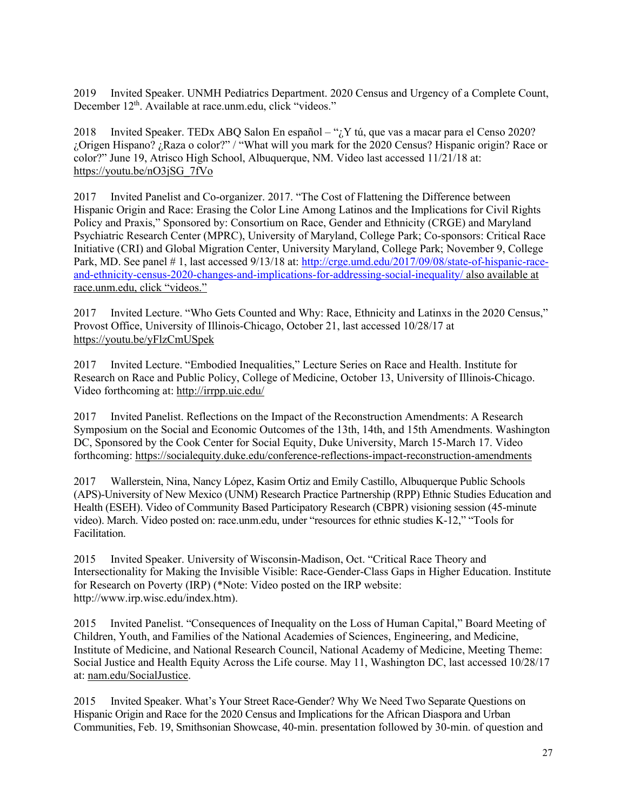2019 Invited Speaker. UNMH Pediatrics Department. 2020 Census and Urgency of a Complete Count, December 12<sup>th</sup>. Available at race.unm.edu, click "videos."

2018 Invited Speaker. TEDx ABQ Salon En español – " $i$ , Y tú, que vas a macar para el Censo 2020? ¿Origen Hispano? ¿Raza o color?" / "What will you mark for the 2020 Census? Hispanic origin? Race or color?" June 19, Atrisco High School, Albuquerque, NM. Video last accessed 11/21/18 at: https://youtu.be/nO3jSG\_7fVo

2017 Invited Panelist and Co-organizer. 2017. "The Cost of Flattening the Difference between Hispanic Origin and Race: Erasing the Color Line Among Latinos and the Implications for Civil Rights Policy and Praxis," Sponsored by: Consortium on Race, Gender and Ethnicity (CRGE) and Maryland Psychiatric Research Center (MPRC), University of Maryland, College Park; Co-sponsors: Critical Race Initiative (CRI) and Global Migration Center, University Maryland, College Park; November 9, College Park, MD. See panel # 1, last accessed 9/13/18 at: http://crge.umd.edu/2017/09/08/state-of-hispanic-raceand-ethnicity-census-2020-changes-and-implications-for-addressing-social-inequality/ also available at race.unm.edu, click "videos."

2017 Invited Lecture. "Who Gets Counted and Why: Race, Ethnicity and Latinxs in the 2020 Census," Provost Office, University of Illinois-Chicago, October 21, last accessed 10/28/17 at https://youtu.be/yFlzCmUSpek

2017 Invited Lecture. "Embodied Inequalities," Lecture Series on Race and Health. Institute for Research on Race and Public Policy, College of Medicine, October 13, University of Illinois-Chicago. Video forthcoming at: http://irrpp.uic.edu/

2017 Invited Panelist. Reflections on the Impact of the Reconstruction Amendments: A Research Symposium on the Social and Economic Outcomes of the 13th, 14th, and 15th Amendments. Washington DC, Sponsored by the Cook Center for Social Equity, Duke University, March 15-March 17. Video forthcoming: https://socialequity.duke.edu/conference-reflections-impact-reconstruction-amendments

2017 Wallerstein, Nina, Nancy López, Kasim Ortiz and Emily Castillo, Albuquerque Public Schools (APS)-University of New Mexico (UNM) Research Practice Partnership (RPP) Ethnic Studies Education and Health (ESEH). Video of Community Based Participatory Research (CBPR) visioning session (45-minute video). March. Video posted on: race.unm.edu, under "resources for ethnic studies K-12," "Tools for Facilitation.

2015 Invited Speaker. University of Wisconsin-Madison, Oct. "Critical Race Theory and Intersectionality for Making the Invisible Visible: Race-Gender-Class Gaps in Higher Education. Institute for Research on Poverty (IRP) (\*Note: Video posted on the IRP website: http://www.irp.wisc.edu/index.htm).

2015 Invited Panelist. "Consequences of Inequality on the Loss of Human Capital," Board Meeting of Children, Youth, and Families of the National Academies of Sciences, Engineering, and Medicine, Institute of Medicine, and National Research Council, National Academy of Medicine, Meeting Theme: Social Justice and Health Equity Across the Life course. May 11, Washington DC, last accessed 10/28/17 at: nam.edu/SocialJustice.

2015 Invited Speaker. What's Your Street Race-Gender? Why We Need Two Separate Questions on Hispanic Origin and Race for the 2020 Census and Implications for the African Diaspora and Urban Communities, Feb. 19, Smithsonian Showcase, 40-min. presentation followed by 30-min. of question and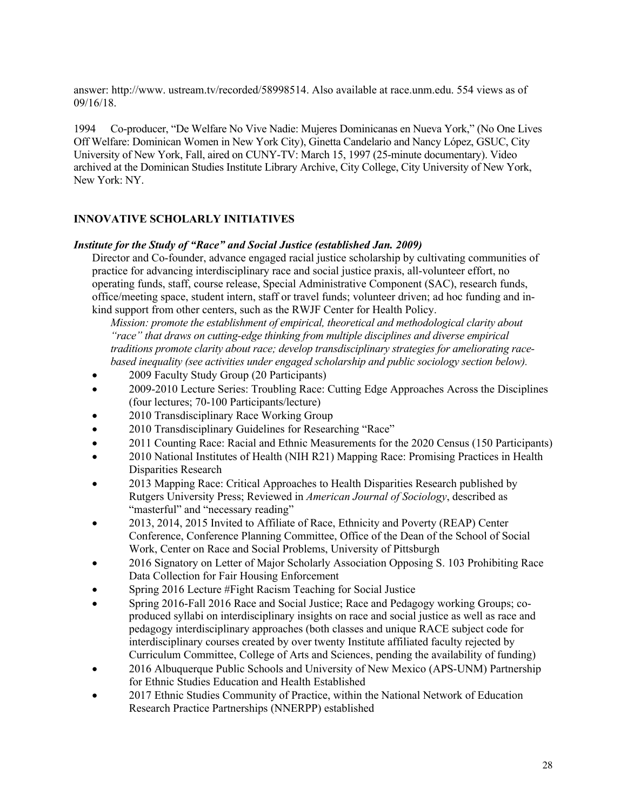answer: http://www. ustream.tv/recorded/58998514. Also available at race.unm.edu. 554 views as of 09/16/18.

1994 Co-producer, "De Welfare No Vive Nadie: Mujeres Dominicanas en Nueva York," (No One Lives Off Welfare: Dominican Women in New York City), Ginetta Candelario and Nancy López, GSUC, City University of New York, Fall, aired on CUNY-TV: March 15, 1997 (25-minute documentary). Video archived at the Dominican Studies Institute Library Archive, City College, City University of New York, New York: NY.

# **INNOVATIVE SCHOLARLY INITIATIVES**

#### *Institute for the Study of "Race" and Social Justice (established Jan. 2009)*

Director and Co-founder, advance engaged racial justice scholarship by cultivating communities of practice for advancing interdisciplinary race and social justice praxis, all-volunteer effort, no operating funds, staff, course release, Special Administrative Component (SAC), research funds, office/meeting space, student intern, staff or travel funds; volunteer driven; ad hoc funding and inkind support from other centers, such as the RWJF Center for Health Policy.

*Mission: promote the establishment of empirical, theoretical and methodological clarity about "race" that draws on cutting-edge thinking from multiple disciplines and diverse empirical traditions promote clarity about race; develop transdisciplinary strategies for ameliorating racebased inequality (see activities under engaged scholarship and public sociology section below).*

- 2009 Faculty Study Group (20 Participants)
- 2009-2010 Lecture Series: Troubling Race: Cutting Edge Approaches Across the Disciplines (four lectures; 70-100 Participants/lecture)
- 2010 Transdisciplinary Race Working Group
- 2010 Transdisciplinary Guidelines for Researching "Race"
- 2011 Counting Race: Racial and Ethnic Measurements for the 2020 Census (150 Participants)
- 2010 National Institutes of Health (NIH R21) Mapping Race: Promising Practices in Health Disparities Research
- 2013 Mapping Race: Critical Approaches to Health Disparities Research published by Rutgers University Press; Reviewed in *American Journal of Sociology*, described as "masterful" and "necessary reading"
- 2013, 2014, 2015 Invited to Affiliate of Race, Ethnicity and Poverty (REAP) Center Conference, Conference Planning Committee, Office of the Dean of the School of Social Work, Center on Race and Social Problems, University of Pittsburgh
- 2016 Signatory on Letter of Major Scholarly Association Opposing S. 103 Prohibiting Race Data Collection for Fair Housing Enforcement
- Spring 2016 Lecture #Fight Racism Teaching for Social Justice
- Spring 2016-Fall 2016 Race and Social Justice; Race and Pedagogy working Groups; coproduced syllabi on interdisciplinary insights on race and social justice as well as race and pedagogy interdisciplinary approaches (both classes and unique RACE subject code for interdisciplinary courses created by over twenty Institute affiliated faculty rejected by Curriculum Committee, College of Arts and Sciences, pending the availability of funding)
- 2016 Albuquerque Public Schools and University of New Mexico (APS-UNM) Partnership for Ethnic Studies Education and Health Established
- 2017 Ethnic Studies Community of Practice, within the National Network of Education Research Practice Partnerships (NNERPP) established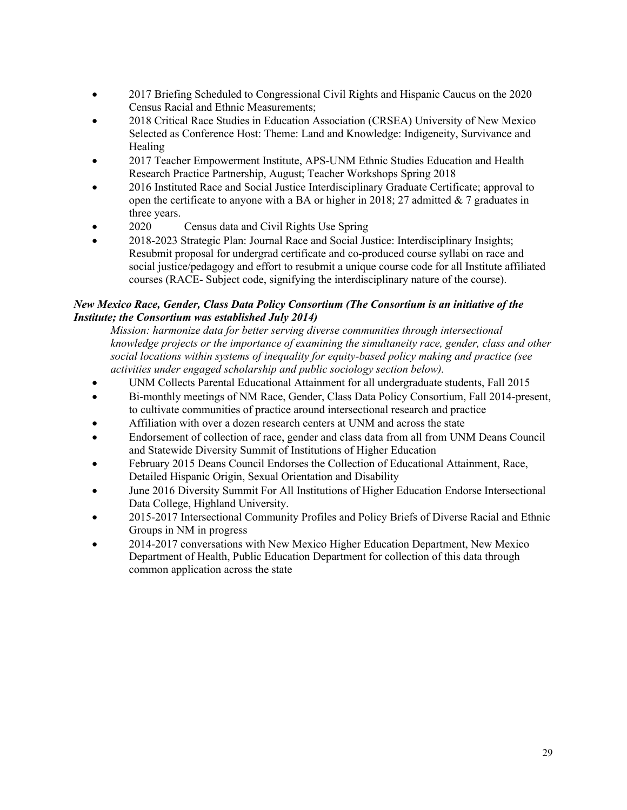- 2017 Briefing Scheduled to Congressional Civil Rights and Hispanic Caucus on the 2020 Census Racial and Ethnic Measurements;
- 2018 Critical Race Studies in Education Association (CRSEA) University of New Mexico Selected as Conference Host: Theme: Land and Knowledge: Indigeneity, Survivance and Healing
- 2017 Teacher Empowerment Institute, APS-UNM Ethnic Studies Education and Health Research Practice Partnership, August; Teacher Workshops Spring 2018
- 2016 Instituted Race and Social Justice Interdisciplinary Graduate Certificate; approval to open the certificate to anyone with a BA or higher in 2018; 27 admitted  $& 7$  graduates in three years.
- 2020 Census data and Civil Rights Use Spring
- 2018-2023 Strategic Plan: Journal Race and Social Justice: Interdisciplinary Insights; Resubmit proposal for undergrad certificate and co-produced course syllabi on race and social justice/pedagogy and effort to resubmit a unique course code for all Institute affiliated courses (RACE- Subject code, signifying the interdisciplinary nature of the course).

# *New Mexico Race, Gender, Class Data Policy Consortium (The Consortium is an initiative of the Institute; the Consortium was established July 2014)*

*Mission: harmonize data for better serving diverse communities through intersectional knowledge projects or the importance of examining the simultaneity race, gender, class and other social locations within systems of inequality for equity-based policy making and practice (see activities under engaged scholarship and public sociology section below).*

- UNM Collects Parental Educational Attainment for all undergraduate students, Fall 2015
- Bi-monthly meetings of NM Race, Gender, Class Data Policy Consortium, Fall 2014-present, to cultivate communities of practice around intersectional research and practice
- Affiliation with over a dozen research centers at UNM and across the state
- Endorsement of collection of race, gender and class data from all from UNM Deans Council and Statewide Diversity Summit of Institutions of Higher Education
- February 2015 Deans Council Endorses the Collection of Educational Attainment, Race, Detailed Hispanic Origin, Sexual Orientation and Disability
- June 2016 Diversity Summit For All Institutions of Higher Education Endorse Intersectional Data College, Highland University.
- 2015-2017 Intersectional Community Profiles and Policy Briefs of Diverse Racial and Ethnic Groups in NM in progress
- 2014-2017 conversations with New Mexico Higher Education Department, New Mexico Department of Health, Public Education Department for collection of this data through common application across the state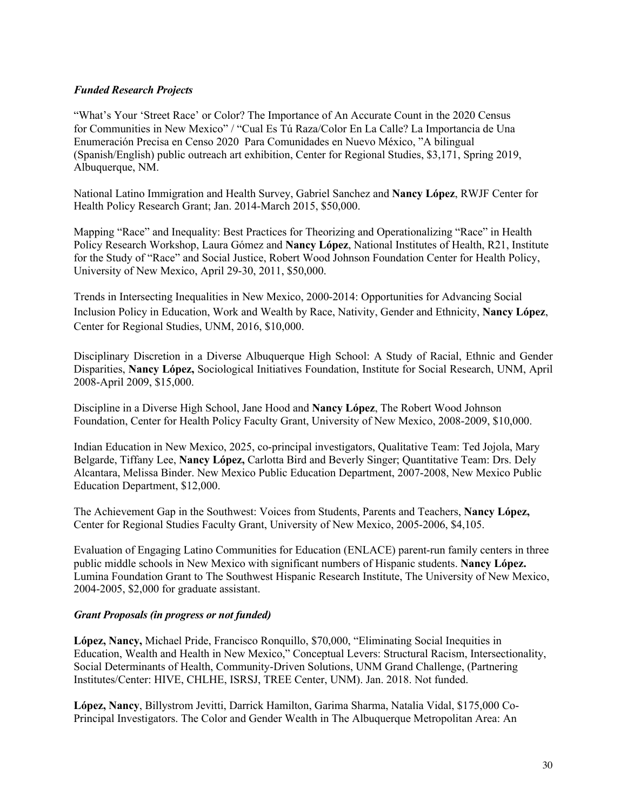# *Funded Research Projects*

"What's Your 'Street Race' or Color? The Importance of An Accurate Count in the 2020 Census for Communities in New Mexico" / "Cual Es Tú Raza/Color En La Calle? La Importancia de Una Enumeración Precisa en Censo 2020 Para Comunidades en Nuevo México, "A bilingual (Spanish/English) public outreach art exhibition, Center for Regional Studies, \$3,171, Spring 2019, Albuquerque, NM.

National Latino Immigration and Health Survey, Gabriel Sanchez and **Nancy López**, RWJF Center for Health Policy Research Grant; Jan. 2014-March 2015, \$50,000.

Mapping "Race" and Inequality: Best Practices for Theorizing and Operationalizing "Race" in Health Policy Research Workshop, Laura Gómez and **Nancy López**, National Institutes of Health, R21, Institute for the Study of "Race" and Social Justice, Robert Wood Johnson Foundation Center for Health Policy, University of New Mexico, April 29-30, 2011, \$50,000.

Trends in Intersecting Inequalities in New Mexico, 2000-2014: Opportunities for Advancing Social Inclusion Policy in Education, Work and Wealth by Race, Nativity, Gender and Ethnicity, **Nancy López**, Center for Regional Studies, UNM, 2016, \$10,000.

Disciplinary Discretion in a Diverse Albuquerque High School: A Study of Racial, Ethnic and Gender Disparities, **Nancy López,** Sociological Initiatives Foundation, Institute for Social Research, UNM, April 2008-April 2009, \$15,000.

Discipline in a Diverse High School, Jane Hood and **Nancy López**, The Robert Wood Johnson Foundation, Center for Health Policy Faculty Grant, University of New Mexico, 2008-2009, \$10,000.

Indian Education in New Mexico, 2025, co-principal investigators, Qualitative Team: Ted Jojola, Mary Belgarde, Tiffany Lee, **Nancy López,** Carlotta Bird and Beverly Singer; Quantitative Team: Drs. Dely Alcantara, Melissa Binder. New Mexico Public Education Department, 2007-2008, New Mexico Public Education Department, \$12,000.

The Achievement Gap in the Southwest: Voices from Students, Parents and Teachers, **Nancy López,** Center for Regional Studies Faculty Grant, University of New Mexico, 2005-2006, \$4,105.

Evaluation of Engaging Latino Communities for Education (ENLACE) parent-run family centers in three public middle schools in New Mexico with significant numbers of Hispanic students. **Nancy López.** Lumina Foundation Grant to The Southwest Hispanic Research Institute, The University of New Mexico, 2004-2005, \$2,000 for graduate assistant.

#### *Grant Proposals (in progress or not funded)*

**López, Nancy,** Michael Pride, Francisco Ronquillo, \$70,000, "Eliminating Social Inequities in Education, Wealth and Health in New Mexico," Conceptual Levers: Structural Racism, Intersectionality, Social Determinants of Health, Community-Driven Solutions, UNM Grand Challenge, (Partnering Institutes/Center: HIVE, CHLHE, ISRSJ, TREE Center, UNM). Jan. 2018. Not funded.

**López, Nancy**, Billystrom Jevitti, Darrick Hamilton, Garima Sharma, Natalia Vidal, \$175,000 Co-Principal Investigators. The Color and Gender Wealth in The Albuquerque Metropolitan Area: An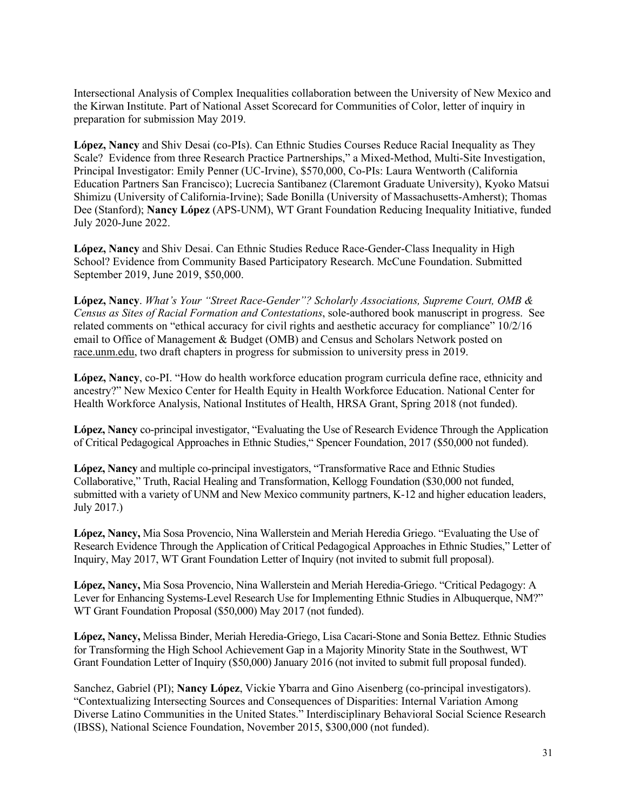Intersectional Analysis of Complex Inequalities collaboration between the University of New Mexico and the Kirwan Institute. Part of National Asset Scorecard for Communities of Color, letter of inquiry in preparation for submission May 2019.

**López, Nancy** and Shiv Desai (co-PIs). Can Ethnic Studies Courses Reduce Racial Inequality as They Scale? Evidence from three Research Practice Partnerships," a Mixed-Method, Multi-Site Investigation, Principal Investigator: Emily Penner (UC-Irvine), \$570,000, Co-PIs: Laura Wentworth (California Education Partners San Francisco); Lucrecia Santibanez (Claremont Graduate University), Kyoko Matsui Shimizu (University of California-Irvine); Sade Bonilla (University of Massachusetts-Amherst); Thomas Dee (Stanford); **Nancy López** (APS-UNM), WT Grant Foundation Reducing Inequality Initiative, funded July 2020-June 2022.

**López, Nancy** and Shiv Desai. Can Ethnic Studies Reduce Race-Gender-Class Inequality in High School? Evidence from Community Based Participatory Research. McCune Foundation. Submitted September 2019, June 2019, \$50,000.

**López, Nancy**. *What's Your "Street Race-Gender"? Scholarly Associations, Supreme Court, OMB & Census as Sites of Racial Formation and Contestations*, sole-authored book manuscript in progress. See related comments on "ethical accuracy for civil rights and aesthetic accuracy for compliance" 10/2/16 email to Office of Management & Budget (OMB) and Census and Scholars Network posted on race.unm.edu, two draft chapters in progress for submission to university press in 2019.

**López, Nancy**, co-PI. "How do health workforce education program curricula define race, ethnicity and ancestry?" New Mexico Center for Health Equity in Health Workforce Education. National Center for Health Workforce Analysis, National Institutes of Health, HRSA Grant, Spring 2018 (not funded).

**López, Nancy** co-principal investigator, "Evaluating the Use of Research Evidence Through the Application of Critical Pedagogical Approaches in Ethnic Studies," Spencer Foundation, 2017 (\$50,000 not funded).

**López, Nancy** and multiple co-principal investigators, "Transformative Race and Ethnic Studies Collaborative," Truth, Racial Healing and Transformation, Kellogg Foundation (\$30,000 not funded, submitted with a variety of UNM and New Mexico community partners, K-12 and higher education leaders, July 2017.)

**López, Nancy,** Mia Sosa Provencio, Nina Wallerstein and Meriah Heredia Griego. "Evaluating the Use of Research Evidence Through the Application of Critical Pedagogical Approaches in Ethnic Studies," Letter of Inquiry, May 2017, WT Grant Foundation Letter of Inquiry (not invited to submit full proposal).

**López, Nancy,** Mia Sosa Provencio, Nina Wallerstein and Meriah Heredia-Griego. "Critical Pedagogy: A Lever for Enhancing Systems-Level Research Use for Implementing Ethnic Studies in Albuquerque, NM?" WT Grant Foundation Proposal (\$50,000) May 2017 (not funded).

**López, Nancy,** Melissa Binder, Meriah Heredia-Griego, Lisa Cacari-Stone and Sonia Bettez. Ethnic Studies for Transforming the High School Achievement Gap in a Majority Minority State in the Southwest, WT Grant Foundation Letter of Inquiry (\$50,000) January 2016 (not invited to submit full proposal funded).

Sanchez, Gabriel (PI); **Nancy López**, Vickie Ybarra and Gino Aisenberg (co-principal investigators). "Contextualizing Intersecting Sources and Consequences of Disparities: Internal Variation Among Diverse Latino Communities in the United States." Interdisciplinary Behavioral Social Science Research (IBSS), National Science Foundation, November 2015, \$300,000 (not funded).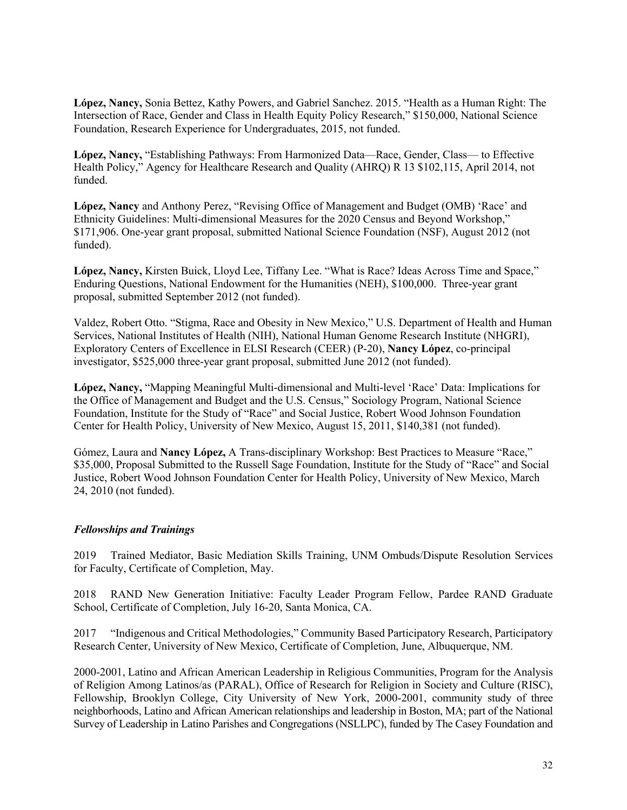**López, Nancy,** Sonia Bettez, Kathy Powers, and Gabriel Sanchez. 2015. "Health as a Human Right: The Intersection of Race, Gender and Class in Health Equity Policy Research," \$150,000, National Science Foundation, Research Experience for Undergraduates, 2015, not funded.

**López, Nancy,** "Establishing Pathways: From Harmonized Data—Race, Gender, Class— to Effective Health Policy," Agency for Healthcare Research and Quality (AHRQ) R 13 \$102,115, April 2014, not funded.

**López, Nancy** and Anthony Perez, "Revising Office of Management and Budget (OMB) 'Race' and Ethnicity Guidelines: Multi-dimensional Measures for the 2020 Census and Beyond Workshop," \$171,906. One-year grant proposal, submitted National Science Foundation (NSF), August 2012 (not funded).

**López, Nancy,** Kirsten Buick, Lloyd Lee, Tiffany Lee. "What is Race? Ideas Across Time and Space," Enduring Questions, National Endowment for the Humanities (NEH), \$100,000. Three-year grant proposal, submitted September 2012 (not funded).

Valdez, Robert Otto. "Stigma, Race and Obesity in New Mexico," U.S. Department of Health and Human Services, National Institutes of Health (NIH), National Human Genome Research Institute (NHGRI), Exploratory Centers of Excellence in ELSI Research (CEER) (P-20), **Nancy López**, co-principal investigator, \$525,000 three-year grant proposal, submitted June 2012 (not funded).

**López, Nancy,** "Mapping Meaningful Multi-dimensional and Multi-level 'Race' Data: Implications for the Office of Management and Budget and the U.S. Census," Sociology Program, National Science Foundation, Institute for the Study of "Race" and Social Justice, Robert Wood Johnson Foundation Center for Health Policy, University of New Mexico, August 15, 2011, \$140,381 (not funded).

Gómez, Laura and **Nancy López,** A Trans-disciplinary Workshop: Best Practices to Measure "Race," \$35,000, Proposal Submitted to the Russell Sage Foundation, Institute for the Study of "Race" and Social Justice, Robert Wood Johnson Foundation Center for Health Policy, University of New Mexico, March 24, 2010 (not funded).

#### *Fellowships and Trainings*

2019 Trained Mediator, Basic Mediation Skills Training, UNM Ombuds/Dispute Resolution Services for Faculty, Certificate of Completion, May.

2018 RAND New Generation Initiative: Faculty Leader Program Fellow, Pardee RAND Graduate School, Certificate of Completion, July 16-20, Santa Monica, CA.

2017 "Indigenous and Critical Methodologies," Community Based Participatory Research, Participatory Research Center, University of New Mexico, Certificate of Completion, June, Albuquerque, NM.

2000-2001, Latino and African American Leadership in Religious Communities, Program for the Analysis of Religion Among Latinos/as (PARAL), Office of Research for Religion in Society and Culture (RISC), Fellowship, Brooklyn College, City University of New York, 2000-2001, community study of three neighborhoods, Latino and African American relationships and leadership in Boston, MA; part of the National Survey of Leadership in Latino Parishes and Congregations (NSLLPC), funded by The Casey Foundation and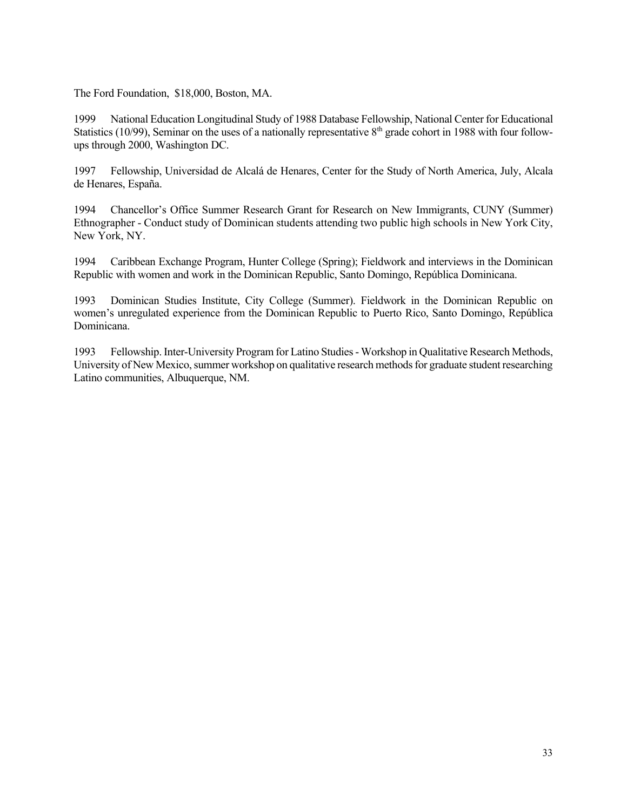The Ford Foundation, \$18,000, Boston, MA.

1999 National Education Longitudinal Study of 1988 Database Fellowship, National Center for Educational Statistics (10/99), Seminar on the uses of a nationally representative  $8<sup>th</sup>$  grade cohort in 1988 with four followups through 2000, Washington DC.

1997 Fellowship, Universidad de Alcalá de Henares, Center for the Study of North America, July, Alcala de Henares, España.

1994 Chancellor's Office Summer Research Grant for Research on New Immigrants, CUNY (Summer) Ethnographer - Conduct study of Dominican students attending two public high schools in New York City, New York, NY.

1994 Caribbean Exchange Program, Hunter College (Spring); Fieldwork and interviews in the Dominican Republic with women and work in the Dominican Republic, Santo Domingo, República Dominicana.

1993 Dominican Studies Institute, City College (Summer). Fieldwork in the Dominican Republic on women's unregulated experience from the Dominican Republic to Puerto Rico, Santo Domingo, República Dominicana.

1993 Fellowship. Inter-University Program for Latino Studies - Workshop in Qualitative Research Methods, University of New Mexico, summer workshop on qualitative research methods for graduate student researching Latino communities, Albuquerque, NM.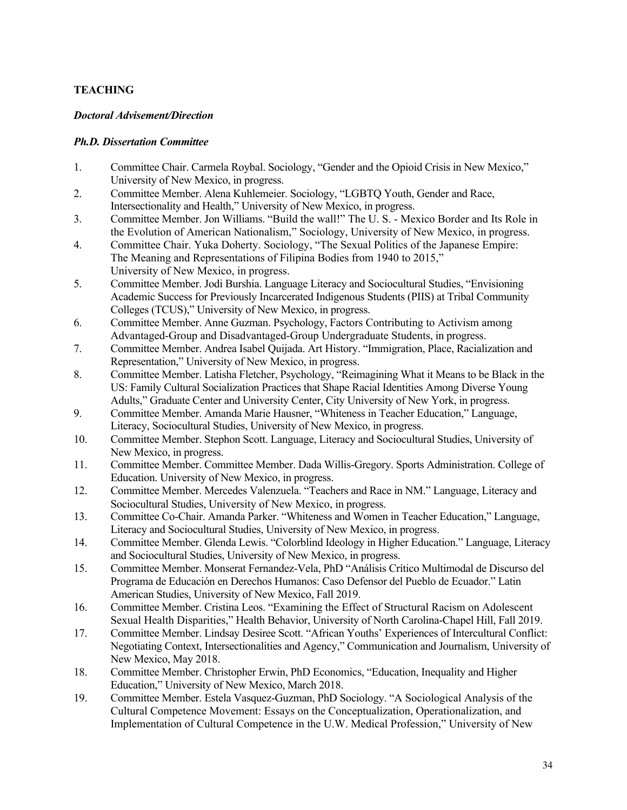# **TEACHING**

# *Doctoral Advisement/Direction*

# *Ph.D. Dissertation Committee*

- 1. Committee Chair. Carmela Roybal. Sociology, "Gender and the Opioid Crisis in New Mexico," University of New Mexico, in progress.
- 2. Committee Member. Alena Kuhlemeier. Sociology, "LGBTQ Youth, Gender and Race, Intersectionality and Health," University of New Mexico, in progress.
- 3. Committee Member. Jon Williams. "Build the wall!" The U. S. Mexico Border and Its Role in the Evolution of American Nationalism," Sociology, University of New Mexico, in progress.
- 4. Committee Chair. Yuka Doherty. Sociology, "The Sexual Politics of the Japanese Empire: The Meaning and Representations of Filipina Bodies from 1940 to 2015," University of New Mexico, in progress.
- 5. Committee Member. Jodi Burshia. Language Literacy and Sociocultural Studies, "Envisioning Academic Success for Previously Incarcerated Indigenous Students (PIIS) at Tribal Community Colleges (TCUS)," University of New Mexico, in progress.
- 6. Committee Member. Anne Guzman. Psychology, Factors Contributing to Activism among Advantaged-Group and Disadvantaged-Group Undergraduate Students, in progress.
- 7. Committee Member. Andrea Isabel Quijada. Art History. "Immigration, Place, Racialization and Representation," University of New Mexico, in progress.
- 8. Committee Member. Latisha Fletcher, Psychology, "Reimagining What it Means to be Black in the US: Family Cultural Socialization Practices that Shape Racial Identities Among Diverse Young Adults," Graduate Center and University Center, City University of New York, in progress.
- 9. Committee Member. Amanda Marie Hausner, "Whiteness in Teacher Education," Language, Literacy, Sociocultural Studies, University of New Mexico, in progress.
- 10. Committee Member. Stephon Scott. Language, Literacy and Sociocultural Studies, University of New Mexico, in progress.
- 11. Committee Member. Committee Member. Dada Willis-Gregory. Sports Administration. College of Education. University of New Mexico, in progress.
- 12. Committee Member. Mercedes Valenzuela. "Teachers and Race in NM." Language, Literacy and Sociocultural Studies, University of New Mexico, in progress.
- 13. Committee Co-Chair. Amanda Parker. "Whiteness and Women in Teacher Education," Language, Literacy and Sociocultural Studies, University of New Mexico, in progress.
- 14. Committee Member. Glenda Lewis. "Colorblind Ideology in Higher Education." Language, Literacy and Sociocultural Studies, University of New Mexico, in progress.
- 15. Committee Member. Monserat Fernandez-Vela, PhD "Análisis Crítico Multimodal de Discurso del Programa de Educación en Derechos Humanos: Caso Defensor del Pueblo de Ecuador." Latin American Studies, University of New Mexico, Fall 2019.
- 16. Committee Member. Cristina Leos. "Examining the Effect of Structural Racism on Adolescent Sexual Health Disparities," Health Behavior, University of North Carolina-Chapel Hill, Fall 2019.
- 17. Committee Member. Lindsay Desiree Scott. "African Youths' Experiences of Intercultural Conflict: Negotiating Context, Intersectionalities and Agency," Communication and Journalism, University of New Mexico, May 2018.
- 18. Committee Member. Christopher Erwin, PhD Economics, "Education, Inequality and Higher Education," University of New Mexico, March 2018.
- 19. Committee Member. Estela Vasquez-Guzman, PhD Sociology. "A Sociological Analysis of the Cultural Competence Movement: Essays on the Conceptualization, Operationalization, and Implementation of Cultural Competence in the U.W. Medical Profession," University of New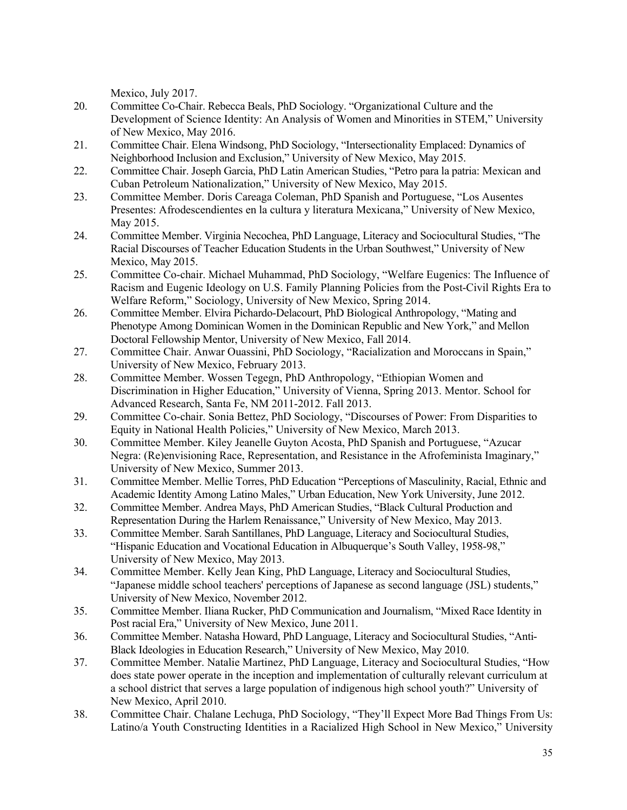Mexico, July 2017.

- 20. Committee Co-Chair. Rebecca Beals, PhD Sociology. "Organizational Culture and the Development of Science Identity: An Analysis of Women and Minorities in STEM," University of New Mexico, May 2016.
- 21. Committee Chair. Elena Windsong, PhD Sociology, "Intersectionality Emplaced: Dynamics of Neighborhood Inclusion and Exclusion," University of New Mexico, May 2015.
- 22. Committee Chair. Joseph Garcia, PhD Latin American Studies, "Petro para la patria: Mexican and Cuban Petroleum Nationalization," University of New Mexico, May 2015.
- 23. Committee Member. Doris Careaga Coleman, PhD Spanish and Portuguese, "Los Ausentes Presentes: Afrodescendientes en la cultura y literatura Mexicana," University of New Mexico, May 2015.
- 24. Committee Member. Virginia Necochea, PhD Language, Literacy and Sociocultural Studies, "The Racial Discourses of Teacher Education Students in the Urban Southwest," University of New Mexico, May 2015.
- 25. Committee Co-chair. Michael Muhammad, PhD Sociology, "Welfare Eugenics: The Influence of Racism and Eugenic Ideology on U.S. Family Planning Policies from the Post-Civil Rights Era to Welfare Reform," Sociology, University of New Mexico, Spring 2014.
- 26. Committee Member. Elvira Pichardo-Delacourt, PhD Biological Anthropology, "Mating and Phenotype Among Dominican Women in the Dominican Republic and New York," and Mellon Doctoral Fellowship Mentor, University of New Mexico, Fall 2014.
- 27. Committee Chair. Anwar Ouassini, PhD Sociology, "Racialization and Moroccans in Spain," University of New Mexico, February 2013.
- 28. Committee Member. Wossen Tegegn, PhD Anthropology, "Ethiopian Women and Discrimination in Higher Education," University of Vienna, Spring 2013. Mentor. School for Advanced Research, Santa Fe, NM 2011-2012. Fall 2013.
- 29. Committee Co-chair. Sonia Bettez, PhD Sociology, "Discourses of Power: From Disparities to Equity in National Health Policies," University of New Mexico, March 2013.
- 30. Committee Member. Kiley Jeanelle Guyton Acosta, PhD Spanish and Portuguese, "Azucar Negra: (Re)envisioning Race, Representation, and Resistance in the Afrofeminista Imaginary," University of New Mexico, Summer 2013.
- 31. Committee Member. Mellie Torres, PhD Education "Perceptions of Masculinity, Racial, Ethnic and Academic Identity Among Latino Males," Urban Education, New York University, June 2012.
- 32. Committee Member. Andrea Mays, PhD American Studies, "Black Cultural Production and Representation During the Harlem Renaissance," University of New Mexico, May 2013.
- 33. Committee Member. Sarah Santillanes, PhD Language, Literacy and Sociocultural Studies, "Hispanic Education and Vocational Education in Albuquerque's South Valley, 1958-98," University of New Mexico, May 2013.
- 34. Committee Member. Kelly Jean King, PhD Language, Literacy and Sociocultural Studies, "Japanese middle school teachers' perceptions of Japanese as second language (JSL) students," University of New Mexico, November 2012.
- 35. Committee Member. Iliana Rucker, PhD Communication and Journalism, "Mixed Race Identity in Post racial Era," University of New Mexico, June 2011.
- 36. Committee Member. Natasha Howard, PhD Language, Literacy and Sociocultural Studies, "Anti-Black Ideologies in Education Research," University of New Mexico, May 2010.
- 37. Committee Member. Natalie Martinez, PhD Language, Literacy and Sociocultural Studies, "How does state power operate in the inception and implementation of culturally relevant curriculum at a school district that serves a large population of indigenous high school youth?" University of New Mexico, April 2010.
- 38. Committee Chair. Chalane Lechuga, PhD Sociology, "They'll Expect More Bad Things From Us: Latino/a Youth Constructing Identities in a Racialized High School in New Mexico," University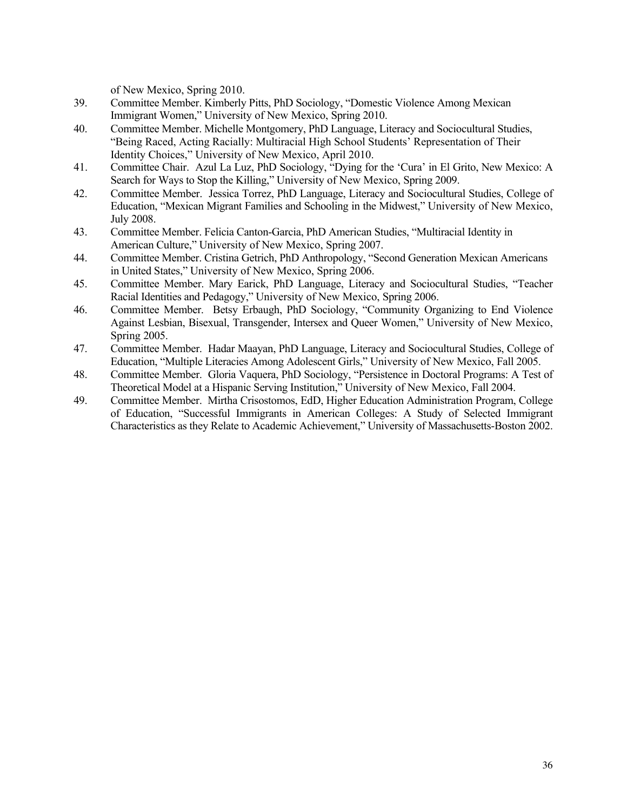of New Mexico, Spring 2010.

- 39. Committee Member. Kimberly Pitts, PhD Sociology, "Domestic Violence Among Mexican Immigrant Women," University of New Mexico, Spring 2010.
- 40. Committee Member. Michelle Montgomery, PhD Language, Literacy and Sociocultural Studies, "Being Raced, Acting Racially: Multiracial High School Students' Representation of Their Identity Choices," University of New Mexico, April 2010.
- 41. Committee Chair. Azul La Luz, PhD Sociology, "Dying for the 'Cura' in El Grito, New Mexico: A Search for Ways to Stop the Killing," University of New Mexico, Spring 2009.
- 42. Committee Member. Jessica Torrez, PhD Language, Literacy and Sociocultural Studies, College of Education, "Mexican Migrant Families and Schooling in the Midwest," University of New Mexico, July 2008.
- 43. Committee Member. Felicia Canton-Garcia, PhD American Studies, "Multiracial Identity in American Culture," University of New Mexico, Spring 2007.
- 44. Committee Member. Cristina Getrich, PhD Anthropology, "Second Generation Mexican Americans in United States," University of New Mexico, Spring 2006.
- 45. Committee Member. Mary Earick, PhD Language, Literacy and Sociocultural Studies, "Teacher Racial Identities and Pedagogy," University of New Mexico, Spring 2006.
- 46. Committee Member. Betsy Erbaugh, PhD Sociology, "Community Organizing to End Violence Against Lesbian, Bisexual, Transgender, Intersex and Queer Women," University of New Mexico, Spring 2005.
- 47. Committee Member. Hadar Maayan, PhD Language, Literacy and Sociocultural Studies, College of Education, "Multiple Literacies Among Adolescent Girls," University of New Mexico, Fall 2005.
- 48. Committee Member. Gloria Vaquera, PhD Sociology, "Persistence in Doctoral Programs: A Test of Theoretical Model at a Hispanic Serving Institution," University of New Mexico, Fall 2004.
- 49. Committee Member. Mirtha Crisostomos, EdD, Higher Education Administration Program, College of Education, "Successful Immigrants in American Colleges: A Study of Selected Immigrant Characteristics as they Relate to Academic Achievement," University of Massachusetts-Boston 2002.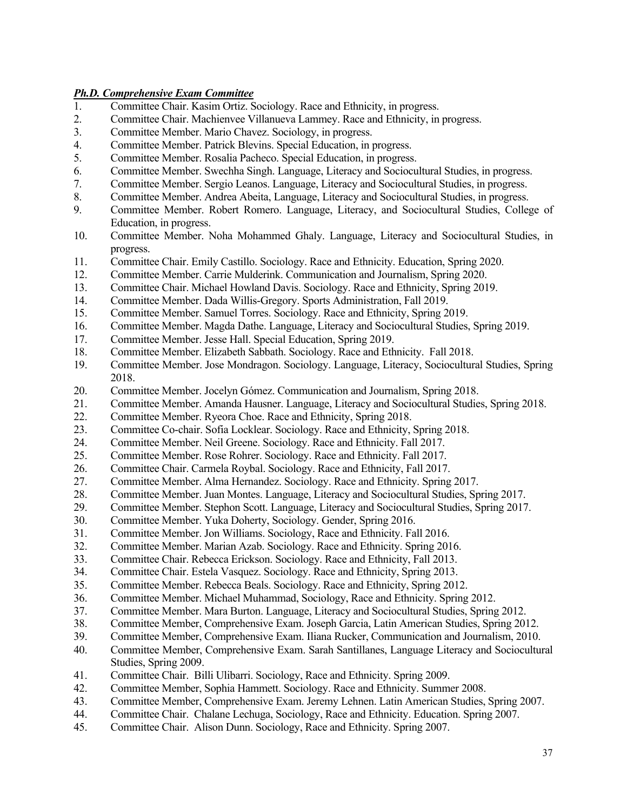#### *Ph.D. Comprehensive Exam Committee*

- 1. Committee Chair. Kasim Ortiz. Sociology. Race and Ethnicity, in progress.
- 2. Committee Chair. Machienvee Villanueva Lammey. Race and Ethnicity, in progress.
- 3. Committee Member. Mario Chavez. Sociology, in progress.
- 4. Committee Member. Patrick Blevins. Special Education, in progress.
- 5. Committee Member. Rosalia Pacheco. Special Education, in progress.
- 6. Committee Member. Swechha Singh. Language, Literacy and Sociocultural Studies, in progress.
- 7. Committee Member. Sergio Leanos. Language, Literacy and Sociocultural Studies, in progress.
- 8. Committee Member. Andrea Abeita, Language, Literacy and Sociocultural Studies, in progress.
- 9. Committee Member. Robert Romero. Language, Literacy, and Sociocultural Studies, College of Education, in progress.
- 10. Committee Member. Noha Mohammed Ghaly. Language, Literacy and Sociocultural Studies, in progress.
- 11. Committee Chair. Emily Castillo. Sociology. Race and Ethnicity. Education, Spring 2020.
- 12. Committee Member. Carrie Mulderink. Communication and Journalism, Spring 2020.
- 13. Committee Chair. Michael Howland Davis. Sociology. Race and Ethnicity, Spring 2019.
- 14. Committee Member. Dada Willis-Gregory. Sports Administration, Fall 2019.
- 15. Committee Member. Samuel Torres. Sociology. Race and Ethnicity, Spring 2019.
- 16. Committee Member. Magda Dathe. Language, Literacy and Sociocultural Studies, Spring 2019.
- 17. Committee Member. Jesse Hall. Special Education, Spring 2019.
- 18. Committee Member. Elizabeth Sabbath. Sociology. Race and Ethnicity. Fall 2018.
- 19. Committee Member. Jose Mondragon. Sociology. Language, Literacy, Sociocultural Studies, Spring 2018.
- 20. Committee Member. Jocelyn Gómez. Communication and Journalism, Spring 2018.
- 21. Committee Member. Amanda Hausner. Language, Literacy and Sociocultural Studies, Spring 2018.
- 22. Committee Member. Ryeora Choe. Race and Ethnicity, Spring 2018.
- 23. Committee Co-chair. Sofia Locklear. Sociology. Race and Ethnicity, Spring 2018.
- 24. Committee Member. Neil Greene. Sociology. Race and Ethnicity. Fall 2017.
- 25. Committee Member. Rose Rohrer. Sociology. Race and Ethnicity. Fall 2017.
- 26. Committee Chair. Carmela Roybal. Sociology. Race and Ethnicity, Fall 2017.
- 27. Committee Member. Alma Hernandez. Sociology. Race and Ethnicity. Spring 2017.
- 28. Committee Member. Juan Montes. Language, Literacy and Sociocultural Studies, Spring 2017.<br>29. Committee Member. Stephon Scott. Language, Literacy and Sociocultural Studies, Spring 2017
- 29. Committee Member. Stephon Scott. Language, Literacy and Sociocultural Studies, Spring 2017.
- 30. Committee Member. Yuka Doherty, Sociology. Gender, Spring 2016.
- 31. Committee Member. Jon Williams. Sociology, Race and Ethnicity. Fall 2016.
- 32. Committee Member. Marian Azab. Sociology. Race and Ethnicity. Spring 2016.
- 33. Committee Chair. Rebecca Erickson. Sociology. Race and Ethnicity, Fall 2013.
- 34. Committee Chair. Estela Vasquez. Sociology. Race and Ethnicity, Spring 2013.
- 35. Committee Member. Rebecca Beals. Sociology. Race and Ethnicity, Spring 2012.
- 36. Committee Member. Michael Muhammad, Sociology, Race and Ethnicity. Spring 2012.
- 37. Committee Member. Mara Burton. Language, Literacy and Sociocultural Studies, Spring 2012.
- 38. Committee Member, Comprehensive Exam. Joseph Garcia, Latin American Studies, Spring 2012.
- 39. Committee Member, Comprehensive Exam. Iliana Rucker, Communication and Journalism, 2010.
- 40. Committee Member, Comprehensive Exam. Sarah Santillanes, Language Literacy and Sociocultural Studies, Spring 2009.
- 41. Committee Chair. Billi Ulibarri. Sociology, Race and Ethnicity. Spring 2009.
- 42. Committee Member, Sophia Hammett. Sociology. Race and Ethnicity. Summer 2008.
- 43. Committee Member, Comprehensive Exam. Jeremy Lehnen. Latin American Studies, Spring 2007.
- 44. Committee Chair. Chalane Lechuga, Sociology, Race and Ethnicity. Education. Spring 2007.
- 45. Committee Chair. Alison Dunn. Sociology, Race and Ethnicity. Spring 2007.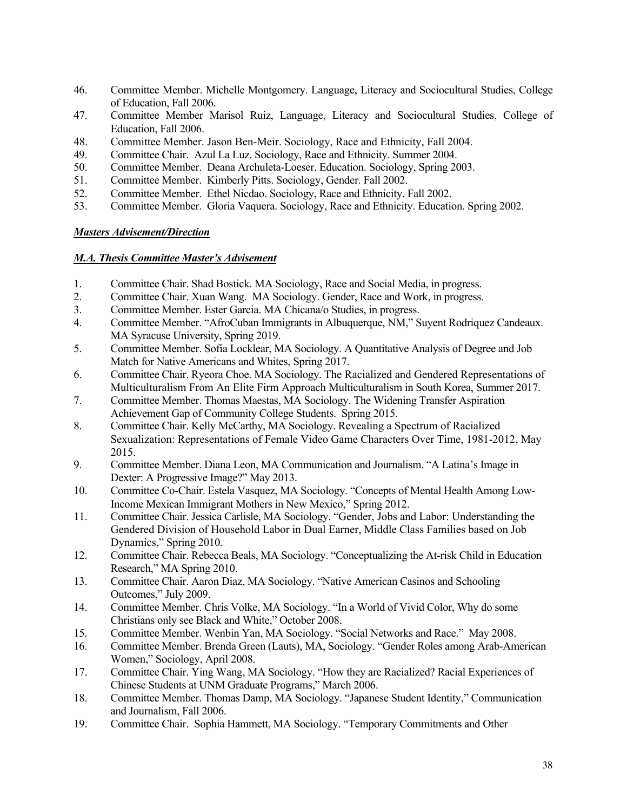- 46. Committee Member. Michelle Montgomery. Language, Literacy and Sociocultural Studies, College of Education, Fall 2006.
- 47. Committee Member Marisol Ruiz, Language, Literacy and Sociocultural Studies, College of Education, Fall 2006.
- 48. Committee Member. Jason Ben-Meir. Sociology, Race and Ethnicity, Fall 2004.
- 49. Committee Chair. Azul La Luz. Sociology, Race and Ethnicity. Summer 2004.
- 50. Committee Member. Deana Archuleta-Loeser. Education. Sociology, Spring 2003.
- 51. Committee Member. Kimberly Pitts. Sociology, Gender. Fall 2002.
- 52. Committee Member. Ethel Nicdao. Sociology, Race and Ethnicity. Fall 2002.
- 53. Committee Member. Gloria Vaquera. Sociology, Race and Ethnicity. Education. Spring 2002.

# *Masters Advisement/Direction*

#### *M.A. Thesis Committee Master's Advisement*

- 1. Committee Chair. Shad Bostick. MA Sociology, Race and Social Media, in progress.
- 2. Committee Chair. Xuan Wang. MA Sociology. Gender, Race and Work, in progress.
- 3. Committee Member. Ester Garcia. MA Chicana/o Studies, in progress.
- 4. Committee Member. "AfroCuban Immigrants in Albuquerque, NM," Suyent Rodriquez Candeaux. MA Syracuse University, Spring 2019.
- 5. Committee Member. Sofia Locklear, MA Sociology. A Quantitative Analysis of Degree and Job Match for Native Americans and Whites, Spring 2017.
- 6. Committee Chair. Ryeora Choe. MA Sociology. The Racialized and Gendered Representations of Multiculturalism From An Elite Firm Approach Multiculturalism in South Korea, Summer 2017.
- 7. Committee Member. Thomas Maestas, MA Sociology. The Widening Transfer Aspiration Achievement Gap of Community College Students. Spring 2015.
- 8. Committee Chair. Kelly McCarthy, MA Sociology. Revealing a Spectrum of Racialized Sexualization: Representations of Female Video Game Characters Over Time, 1981-2012, May 2015.
- 9. Committee Member. Diana Leon, MA Communication and Journalism. "A Latina's Image in Dexter: A Progressive Image?" May 2013.
- 10. Committee Co-Chair. Estela Vasquez, MA Sociology. "Concepts of Mental Health Among Low-Income Mexican Immigrant Mothers in New Mexico," Spring 2012.
- 11. Committee Chair. Jessica Carlisle, MA Sociology. "Gender, Jobs and Labor: Understanding the Gendered Division of Household Labor in Dual Earner, Middle Class Families based on Job Dynamics," Spring 2010.
- 12. Committee Chair. Rebecca Beals, MA Sociology. "Conceptualizing the At-risk Child in Education Research," MA Spring 2010.
- 13. Committee Chair. Aaron Diaz, MA Sociology. "Native American Casinos and Schooling Outcomes," July 2009.
- 14. Committee Member. Chris Volke, MA Sociology. "In a World of Vivid Color, Why do some Christians only see Black and White," October 2008.
- 15. Committee Member. Wenbin Yan, MA Sociology. "Social Networks and Race." May 2008.
- 16. Committee Member. Brenda Green (Lauts), MA, Sociology. "Gender Roles among Arab-American Women," Sociology, April 2008.
- 17. Committee Chair. Ying Wang, MA Sociology. "How they are Racialized? Racial Experiences of Chinese Students at UNM Graduate Programs," March 2006.
- 18. Committee Member. Thomas Damp, MA Sociology. "Japanese Student Identity," Communication and Journalism, Fall 2006.
- 19. Committee Chair. Sophia Hammett, MA Sociology. "Temporary Commitments and Other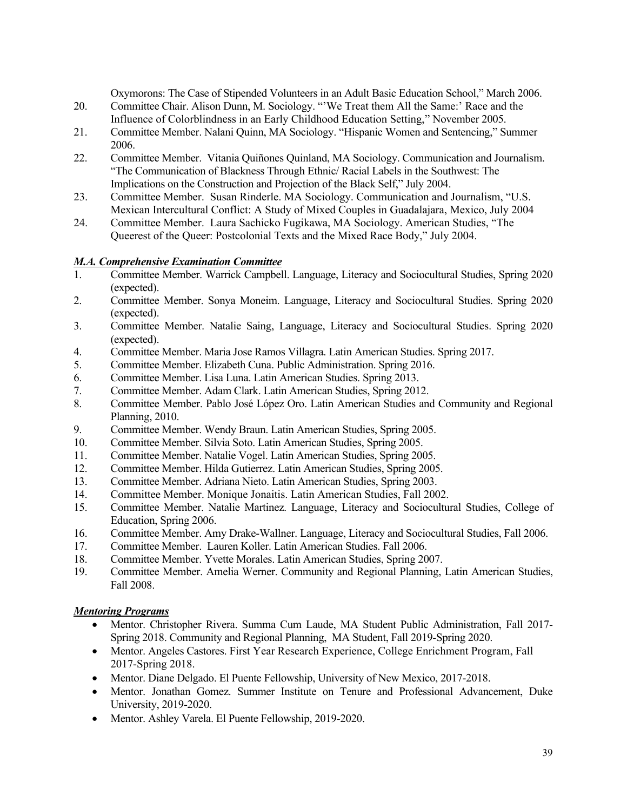Oxymorons: The Case of Stipended Volunteers in an Adult Basic Education School," March 2006.

- 20. Committee Chair. Alison Dunn, M. Sociology. "'We Treat them All the Same:' Race and the Influence of Colorblindness in an Early Childhood Education Setting," November 2005.
- 21. Committee Member. Nalani Quinn, MA Sociology. "Hispanic Women and Sentencing," Summer 2006.
- 22. Committee Member. Vitania Quiñones Quinland, MA Sociology. Communication and Journalism. "The Communication of Blackness Through Ethnic/ Racial Labels in the Southwest: The Implications on the Construction and Projection of the Black Self," July 2004.
- 23. Committee Member. Susan Rinderle. MA Sociology. Communication and Journalism, "U.S. Mexican Intercultural Conflict: A Study of Mixed Couples in Guadalajara, Mexico, July 2004
- 24. Committee Member. Laura Sachicko Fugikawa, MA Sociology. American Studies, "The Queerest of the Queer: Postcolonial Texts and the Mixed Race Body," July 2004.

# *M.A. Comprehensive Examination Committee*

- 1. Committee Member. Warrick Campbell. Language, Literacy and Sociocultural Studies, Spring 2020 (expected).
- 2. Committee Member. Sonya Moneim. Language, Literacy and Sociocultural Studies. Spring 2020 (expected).
- 3. Committee Member. Natalie Saing, Language, Literacy and Sociocultural Studies. Spring 2020 (expected).
- 4. Committee Member. Maria Jose Ramos Villagra. Latin American Studies. Spring 2017.
- 5. Committee Member. Elizabeth Cuna. Public Administration. Spring 2016.
- 6. Committee Member. Lisa Luna. Latin American Studies. Spring 2013.
- 7. Committee Member. Adam Clark. Latin American Studies, Spring 2012.
- 8. Committee Member. Pablo José López Oro. Latin American Studies and Community and Regional Planning, 2010.
- 9. Committee Member. Wendy Braun. Latin American Studies, Spring 2005.
- 10. Committee Member. Silvia Soto. Latin American Studies, Spring 2005.
- 11. Committee Member. Natalie Vogel. Latin American Studies, Spring 2005.
- 12. Committee Member. Hilda Gutierrez. Latin American Studies, Spring 2005.
- 13. Committee Member. Adriana Nieto. Latin American Studies, Spring 2003.
- 14. Committee Member. Monique Jonaitis. Latin American Studies, Fall 2002.
- 15. Committee Member. Natalie Martinez. Language, Literacy and Sociocultural Studies, College of Education, Spring 2006.
- 16. Committee Member. Amy Drake-Wallner. Language, Literacy and Sociocultural Studies, Fall 2006.
- 17. Committee Member. Lauren Koller. Latin American Studies. Fall 2006.
- 18. Committee Member. Yvette Morales. Latin American Studies, Spring 2007.
- 19. Committee Member. Amelia Werner. Community and Regional Planning, Latin American Studies, Fall 2008.

# *Mentoring Programs*

- Mentor. Christopher Rivera. Summa Cum Laude, MA Student Public Administration, Fall 2017- Spring 2018. Community and Regional Planning, MA Student, Fall 2019-Spring 2020.
- Mentor. Angeles Castores. First Year Research Experience, College Enrichment Program, Fall 2017-Spring 2018.
- Mentor. Diane Delgado. El Puente Fellowship, University of New Mexico, 2017-2018.
- Mentor. Jonathan Gomez. Summer Institute on Tenure and Professional Advancement, Duke University, 2019-2020.
- Mentor. Ashley Varela. El Puente Fellowship, 2019-2020.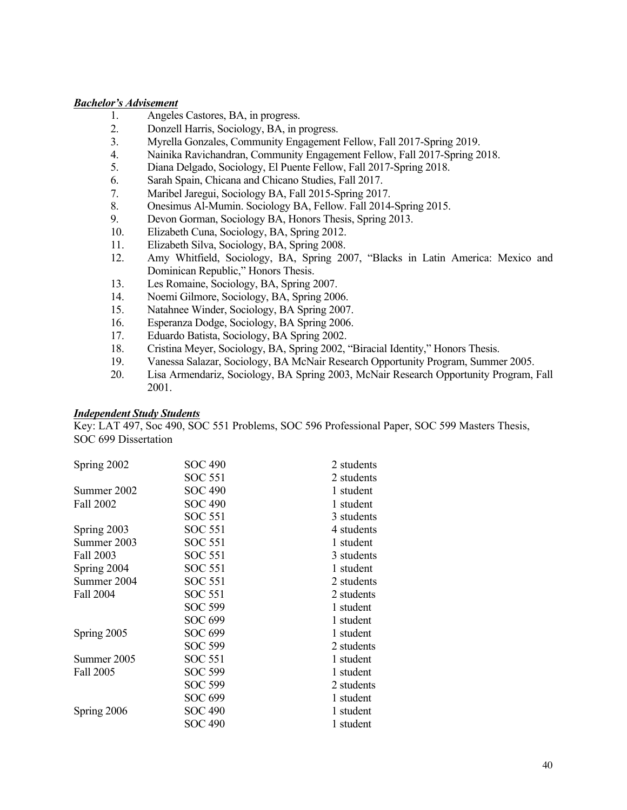#### *Bachelor's Advisement*

- 1. Angeles Castores, BA, in progress.
- 2. Donzell Harris, Sociology, BA, in progress.
- 3. Myrella Gonzales, Community Engagement Fellow, Fall 2017-Spring 2019.
- 4. Nainika Ravichandran, Community Engagement Fellow, Fall 2017-Spring 2018.
- 5. Diana Delgado, Sociology, El Puente Fellow, Fall 2017-Spring 2018.
- 6. Sarah Spain, Chicana and Chicano Studies, Fall 2017.
- 7. Maribel Jaregui, Sociology BA, Fall 2015-Spring 2017.
- 8. Onesimus Al-Mumin. Sociology BA, Fellow. Fall 2014-Spring 2015.
- 9. Devon Gorman, Sociology BA, Honors Thesis, Spring 2013.
- 10. Elizabeth Cuna, Sociology, BA, Spring 2012.
- 11. Elizabeth Silva, Sociology, BA, Spring 2008.
- 12. Amy Whitfield, Sociology, BA, Spring 2007, "Blacks in Latin America: Mexico and Dominican Republic," Honors Thesis.
- 13. Les Romaine, Sociology, BA, Spring 2007.
- 14. Noemi Gilmore, Sociology, BA, Spring 2006.
- 15. Natahnee Winder, Sociology, BA Spring 2007.
- 16. Esperanza Dodge, Sociology, BA Spring 2006.
- 17. Eduardo Batista, Sociology, BA Spring 2002.
- 18. Cristina Meyer, Sociology, BA, Spring 2002, "Biracial Identity," Honors Thesis.<br>19. Vanessa Salazar, Sociology, BA McNair Research Opportunity Program, Summe
- 19. Vanessa Salazar, Sociology, BA McNair Research Opportunity Program, Summer 2005.
- 20. Lisa Armendariz, Sociology, BA Spring 2003, McNair Research Opportunity Program, Fall 2001.

# *Independent Study Students*

Key: LAT 497, Soc 490, SOC 551 Problems, SOC 596 Professional Paper, SOC 599 Masters Thesis, SOC 699 Dissertation

| Spring 2002 | SOC 490        | 2 students |
|-------------|----------------|------------|
|             | <b>SOC 551</b> | 2 students |
| Summer 2002 | <b>SOC 490</b> | 1 student  |
| Fall 2002   | <b>SOC 490</b> | 1 student  |
|             | <b>SOC 551</b> | 3 students |
| Spring 2003 | <b>SOC 551</b> | 4 students |
| Summer 2003 | <b>SOC 551</b> | 1 student  |
| Fall 2003   | SOC 551        | 3 students |
| Spring 2004 | <b>SOC 551</b> | 1 student  |
| Summer 2004 | <b>SOC 551</b> | 2 students |
| Fall 2004   | <b>SOC 551</b> | 2 students |
|             | <b>SOC 599</b> | 1 student  |
|             | SOC 699        | 1 student  |
| Spring 2005 | SOC 699        | 1 student  |
|             | <b>SOC 599</b> | 2 students |
| Summer 2005 | <b>SOC 551</b> | 1 student  |
| Fall 2005   | <b>SOC 599</b> | 1 student  |
|             | SOC 599        | 2 students |
|             | SOC 699        | 1 student  |
| Spring 2006 | <b>SOC 490</b> | 1 student  |
|             | SOC 490        | 1 student  |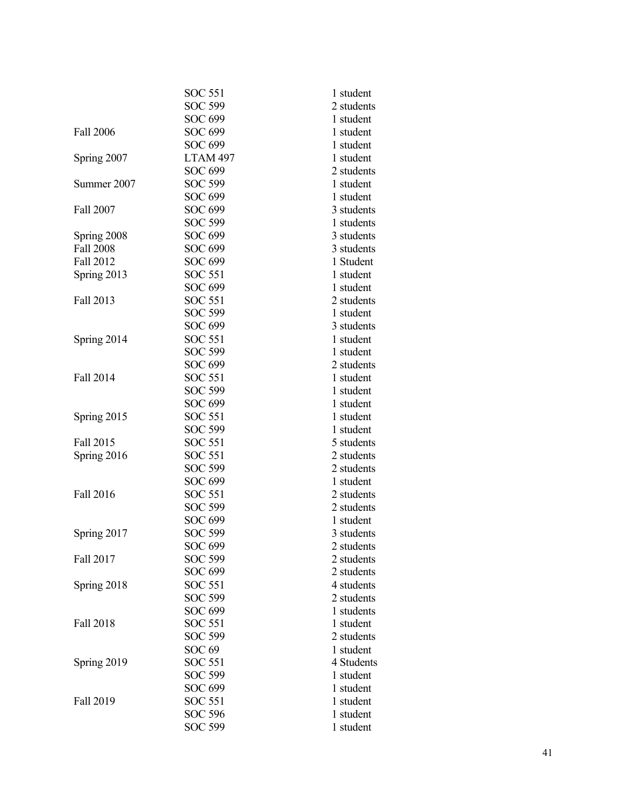|                  | <b>SOC 551</b>      | 1 student  |
|------------------|---------------------|------------|
|                  | <b>SOC 599</b>      | 2 students |
|                  | SOC 699             | 1 student  |
| <b>Fall 2006</b> | SOC 699             | 1 student  |
|                  | SOC 699             | 1 student  |
| Spring 2007      | LTAM <sub>497</sub> | 1 student  |
|                  | <b>SOC 699</b>      | 2 students |
| Summer 2007      | <b>SOC 599</b>      | 1 student  |
|                  | SOC 699             | 1 student  |
| Fall 2007        | SOC 699             | 3 students |
|                  | <b>SOC 599</b>      | 1 students |
| Spring 2008      | SOC 699             | 3 students |
| <b>Fall 2008</b> | SOC 699             | 3 students |
| <b>Fall 2012</b> | SOC 699             | 1 Student  |
| Spring 2013      | <b>SOC 551</b>      | 1 student  |
|                  | SOC 699             | 1 student  |
| Fall 2013        | <b>SOC 551</b>      | 2 students |
|                  | <b>SOC 599</b>      | 1 student  |
|                  | <b>SOC 699</b>      | 3 students |
| Spring 2014      | <b>SOC 551</b>      | 1 student  |
|                  | SOC 599             | 1 student  |
|                  | <b>SOC 699</b>      | 2 students |
| Fall 2014        | <b>SOC 551</b>      | 1 student  |
|                  | <b>SOC 599</b>      | 1 student  |
|                  | SOC 699             | 1 student  |
| Spring 2015      | <b>SOC 551</b>      | 1 student  |
|                  | <b>SOC 599</b>      | 1 student  |
| Fall 2015        | <b>SOC 551</b>      | 5 students |
| Spring 2016      | <b>SOC 551</b>      | 2 students |
|                  | SOC 599             | 2 students |
|                  | SOC 699             | 1 student  |
| <b>Fall 2016</b> | <b>SOC 551</b>      | 2 students |
|                  | SOC 599             | 2 students |
|                  | SOC 699             | 1 student  |
| Spring 2017      | <b>SOC 599</b>      | 3 students |
|                  | SOC 699             | 2 students |
| Fall 2017        | SOC 599             | 2 students |
|                  | SOC 699             | 2 students |
| Spring 2018      | SOC 551             | 4 students |
|                  | SOC 599             | 2 students |
|                  | SOC 699             | 1 students |
| Fall 2018        | <b>SOC 551</b>      | 1 student  |
|                  | <b>SOC 599</b>      | 2 students |
|                  | SOC <sub>69</sub>   | 1 student  |
| Spring 2019      | SOC 551             | 4 Students |
|                  | SOC 599             | 1 student  |
|                  | SOC 699             | 1 student  |
| Fall 2019        | SOC 551             | 1 student  |
|                  | <b>SOC 596</b>      | 1 student  |
|                  | SOC 599             | 1 student  |
|                  |                     |            |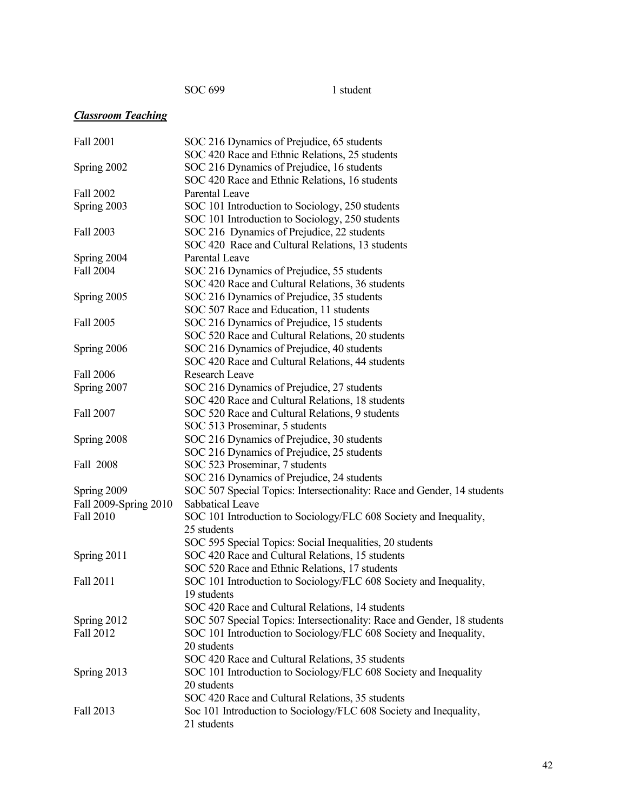SOC 699 1 student

# *Classroom Teaching*

| Fall 2001             | SOC 216 Dynamics of Prejudice, 65 students                              |
|-----------------------|-------------------------------------------------------------------------|
|                       | SOC 420 Race and Ethnic Relations, 25 students                          |
| Spring 2002           | SOC 216 Dynamics of Prejudice, 16 students                              |
|                       | SOC 420 Race and Ethnic Relations, 16 students                          |
| Fall 2002             | <b>Parental Leave</b>                                                   |
| Spring 2003           | SOC 101 Introduction to Sociology, 250 students                         |
|                       | SOC 101 Introduction to Sociology, 250 students                         |
| Fall 2003             | SOC 216 Dynamics of Prejudice, 22 students                              |
|                       | SOC 420 Race and Cultural Relations, 13 students                        |
| Spring 2004           | Parental Leave                                                          |
| Fall 2004             | SOC 216 Dynamics of Prejudice, 55 students                              |
|                       | SOC 420 Race and Cultural Relations, 36 students                        |
| Spring 2005           | SOC 216 Dynamics of Prejudice, 35 students                              |
|                       | SOC 507 Race and Education, 11 students                                 |
| Fall 2005             | SOC 216 Dynamics of Prejudice, 15 students                              |
|                       | SOC 520 Race and Cultural Relations, 20 students                        |
| Spring 2006           | SOC 216 Dynamics of Prejudice, 40 students                              |
|                       | SOC 420 Race and Cultural Relations, 44 students                        |
| Fall 2006             | Research Leave                                                          |
| Spring 2007           | SOC 216 Dynamics of Prejudice, 27 students                              |
|                       | SOC 420 Race and Cultural Relations, 18 students                        |
| Fall 2007             | SOC 520 Race and Cultural Relations, 9 students                         |
|                       | SOC 513 Proseminar, 5 students                                          |
| Spring 2008           | SOC 216 Dynamics of Prejudice, 30 students                              |
|                       | SOC 216 Dynamics of Prejudice, 25 students                              |
| Fall 2008             | SOC 523 Proseminar, 7 students                                          |
|                       | SOC 216 Dynamics of Prejudice, 24 students                              |
| Spring 2009           | SOC 507 Special Topics: Intersectionality: Race and Gender, 14 students |
| Fall 2009-Spring 2010 | Sabbatical Leave                                                        |
| Fall 2010             | SOC 101 Introduction to Sociology/FLC 608 Society and Inequality,       |
|                       | 25 students                                                             |
|                       | SOC 595 Special Topics: Social Inequalities, 20 students                |
| Spring 2011           | SOC 420 Race and Cultural Relations, 15 students                        |
|                       | SOC 520 Race and Ethnic Relations, 17 students                          |
| Fall 2011             | SOC 101 Introduction to Sociology/FLC 608 Society and Inequality,       |
|                       | 19 students                                                             |
|                       | SOC 420 Race and Cultural Relations, 14 students                        |
| Spring 2012           | SOC 507 Special Topics: Intersectionality: Race and Gender, 18 students |
| Fall 2012             | SOC 101 Introduction to Sociology/FLC 608 Society and Inequality,       |
|                       | 20 students                                                             |
|                       | SOC 420 Race and Cultural Relations, 35 students                        |
| Spring 2013           | SOC 101 Introduction to Sociology/FLC 608 Society and Inequality        |
|                       | 20 students                                                             |
|                       | SOC 420 Race and Cultural Relations, 35 students                        |
| Fall 2013             | Soc 101 Introduction to Sociology/FLC 608 Society and Inequality,       |
|                       | 21 students                                                             |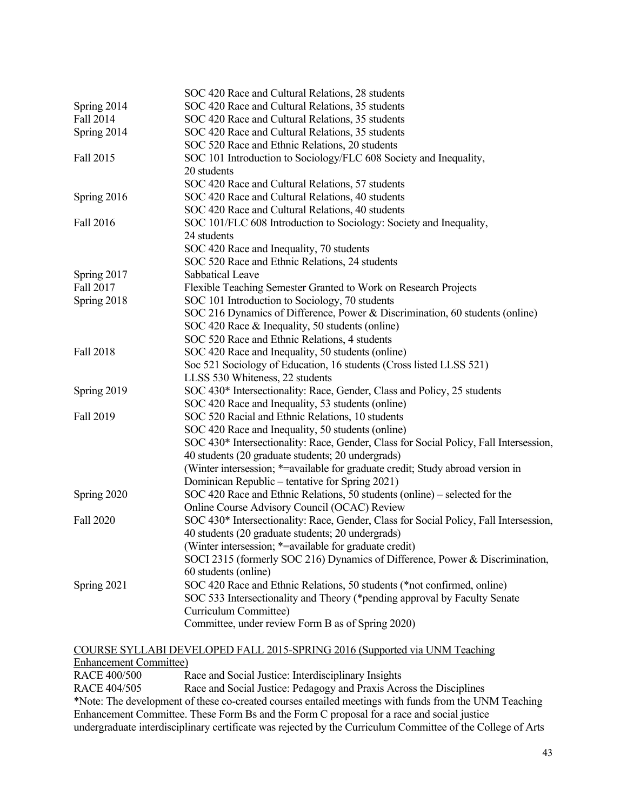|                  | SOC 420 Race and Cultural Relations, 28 students                                      |
|------------------|---------------------------------------------------------------------------------------|
| Spring 2014      | SOC 420 Race and Cultural Relations, 35 students                                      |
| Fall 2014        | SOC 420 Race and Cultural Relations, 35 students                                      |
| Spring 2014      | SOC 420 Race and Cultural Relations, 35 students                                      |
|                  | SOC 520 Race and Ethnic Relations, 20 students                                        |
| Fall 2015        | SOC 101 Introduction to Sociology/FLC 608 Society and Inequality,                     |
|                  | 20 students                                                                           |
|                  | SOC 420 Race and Cultural Relations, 57 students                                      |
| Spring 2016      | SOC 420 Race and Cultural Relations, 40 students                                      |
|                  | SOC 420 Race and Cultural Relations, 40 students                                      |
| <b>Fall 2016</b> | SOC 101/FLC 608 Introduction to Sociology: Society and Inequality,                    |
|                  | 24 students                                                                           |
|                  | SOC 420 Race and Inequality, 70 students                                              |
|                  | SOC 520 Race and Ethnic Relations, 24 students                                        |
| Spring 2017      | Sabbatical Leave                                                                      |
| <b>Fall 2017</b> | Flexible Teaching Semester Granted to Work on Research Projects                       |
| Spring 2018      | SOC 101 Introduction to Sociology, 70 students                                        |
|                  | SOC 216 Dynamics of Difference, Power & Discrimination, 60 students (online)          |
|                  | SOC 420 Race & Inequality, 50 students (online)                                       |
|                  | SOC 520 Race and Ethnic Relations, 4 students                                         |
| <b>Fall 2018</b> | SOC 420 Race and Inequality, 50 students (online)                                     |
|                  | Soc 521 Sociology of Education, 16 students (Cross listed LLSS 521)                   |
|                  | LLSS 530 Whiteness, 22 students                                                       |
| Spring 2019      | SOC 430* Intersectionality: Race, Gender, Class and Policy, 25 students               |
|                  | SOC 420 Race and Inequality, 53 students (online)                                     |
| Fall 2019        | SOC 520 Racial and Ethnic Relations, 10 students                                      |
|                  | SOC 420 Race and Inequality, 50 students (online)                                     |
|                  | SOC 430* Intersectionality: Race, Gender, Class for Social Policy, Fall Intersession, |
|                  | 40 students (20 graduate students; 20 undergrads)                                     |
|                  | (Winter intersession; *= available for graduate credit; Study abroad version in       |
|                  | Dominican Republic – tentative for Spring 2021)                                       |
| Spring 2020      | SOC 420 Race and Ethnic Relations, 50 students (online) - selected for the            |
|                  | Online Course Advisory Council (OCAC) Review                                          |
| <b>Fall 2020</b> | SOC 430* Intersectionality: Race, Gender, Class for Social Policy, Fall Intersession, |
|                  | 40 students (20 graduate students; 20 undergrads)                                     |
|                  | (Winter intersession; *= available for graduate credit)                               |
|                  | SOCI 2315 (formerly SOC 216) Dynamics of Difference, Power & Discrimination,          |
|                  | 60 students (online)                                                                  |
| Spring 2021      | SOC 420 Race and Ethnic Relations, 50 students (*not confirmed, online)               |
|                  | SOC 533 Intersectionality and Theory (*pending approval by Faculty Senate             |
|                  | Curriculum Committee)<br>Committee, under review Form B as of Spring 2020)            |
|                  |                                                                                       |

# COURSE SYLLABI DEVELOPED FALL 2015-SPRING 2016 (Supported via UNM Teaching Enhancement Committee)<br>RACE 400/500 R

RACE 400/500 Race and Social Justice: Interdisciplinary Insights<br>RACE 404/505 Race and Social Justice: Pedagogy and Praxis Acro Race and Social Justice: Pedagogy and Praxis Across the Disciplines \*Note: The development of these co-created courses entailed meetings with funds from the UNM Teaching Enhancement Committee. These Form Bs and the Form C proposal for a race and social justice undergraduate interdisciplinary certificate was rejected by the Curriculum Committee of the College of Arts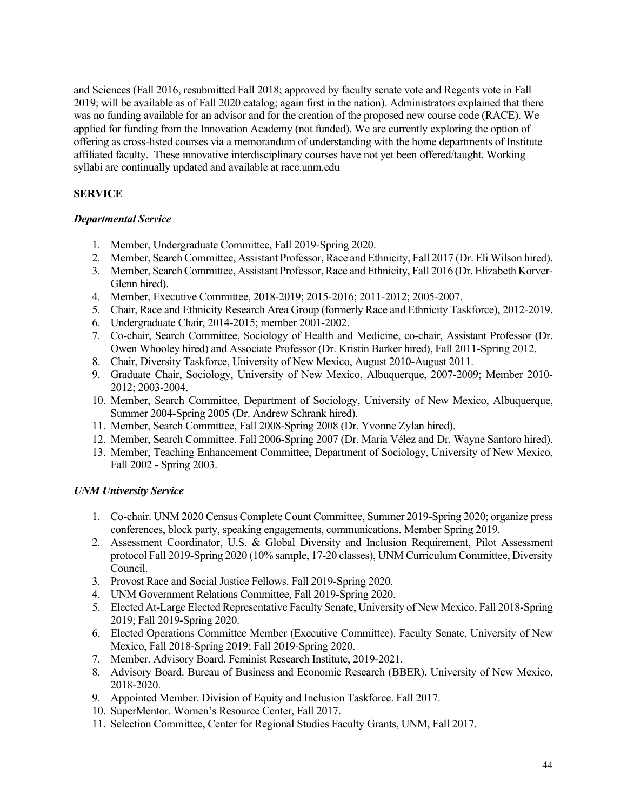and Sciences (Fall 2016, resubmitted Fall 2018; approved by faculty senate vote and Regents vote in Fall 2019; will be available as of Fall 2020 catalog; again first in the nation). Administrators explained that there was no funding available for an advisor and for the creation of the proposed new course code (RACE). We applied for funding from the Innovation Academy (not funded). We are currently exploring the option of offering as cross-listed courses via a memorandum of understanding with the home departments of Institute affiliated faculty. These innovative interdisciplinary courses have not yet been offered/taught. Working syllabi are continually updated and available at race.unm.edu

# **SERVICE**

# *Departmental Service*

- 1. Member, Undergraduate Committee, Fall 2019-Spring 2020.
- 2. Member, Search Committee, Assistant Professor, Race and Ethnicity, Fall 2017 (Dr. Eli Wilson hired).
- 3. Member, Search Committee, Assistant Professor, Race and Ethnicity, Fall 2016 (Dr. Elizabeth Korver-Glenn hired).
- 4. Member, Executive Committee, 2018-2019; 2015-2016; 2011-2012; 2005-2007.
- 5. Chair, Race and Ethnicity Research Area Group (formerly Race and Ethnicity Taskforce), 2012-2019.
- 6. Undergraduate Chair, 2014-2015; member 2001-2002.
- 7. Co-chair, Search Committee, Sociology of Health and Medicine, co-chair, Assistant Professor (Dr. Owen Whooley hired) and Associate Professor (Dr. Kristin Barker hired), Fall 2011-Spring 2012.
- 8. Chair, Diversity Taskforce, University of New Mexico, August 2010-August 2011.
- 9. Graduate Chair, Sociology, University of New Mexico, Albuquerque, 2007-2009; Member 2010- 2012; 2003-2004.
- 10. Member, Search Committee, Department of Sociology, University of New Mexico, Albuquerque, Summer 2004-Spring 2005 (Dr. Andrew Schrank hired).
- 11. Member, Search Committee, Fall 2008-Spring 2008 (Dr. Yvonne Zylan hired).
- 12. Member, Search Committee, Fall 2006-Spring 2007 (Dr. María Vélez and Dr. Wayne Santoro hired).
- 13. Member, Teaching Enhancement Committee, Department of Sociology, University of New Mexico, Fall 2002 - Spring 2003.

# *UNM University Service*

- 1. Co-chair. UNM 2020 Census Complete Count Committee, Summer 2019-Spring 2020; organize press conferences, block party, speaking engagements, communications. Member Spring 2019.
- 2. Assessment Coordinator, U.S. & Global Diversity and Inclusion Requirement, Pilot Assessment protocol Fall 2019-Spring 2020 (10% sample, 17-20 classes), UNM Curriculum Committee, Diversity Council.
- 3. Provost Race and Social Justice Fellows. Fall 2019-Spring 2020.
- 4. UNM Government Relations Committee, Fall 2019-Spring 2020.
- 5. Elected At-Large Elected Representative Faculty Senate, University of New Mexico, Fall 2018-Spring 2019; Fall 2019-Spring 2020.
- 6. Elected Operations Committee Member (Executive Committee). Faculty Senate, University of New Mexico, Fall 2018-Spring 2019; Fall 2019-Spring 2020.
- 7. Member. Advisory Board. Feminist Research Institute, 2019-2021.
- 8. Advisory Board. Bureau of Business and Economic Research (BBER), University of New Mexico, 2018-2020.
- 9. Appointed Member. Division of Equity and Inclusion Taskforce. Fall 2017.
- 10. SuperMentor. Women's Resource Center, Fall 2017.
- 11. Selection Committee, Center for Regional Studies Faculty Grants, UNM, Fall 2017.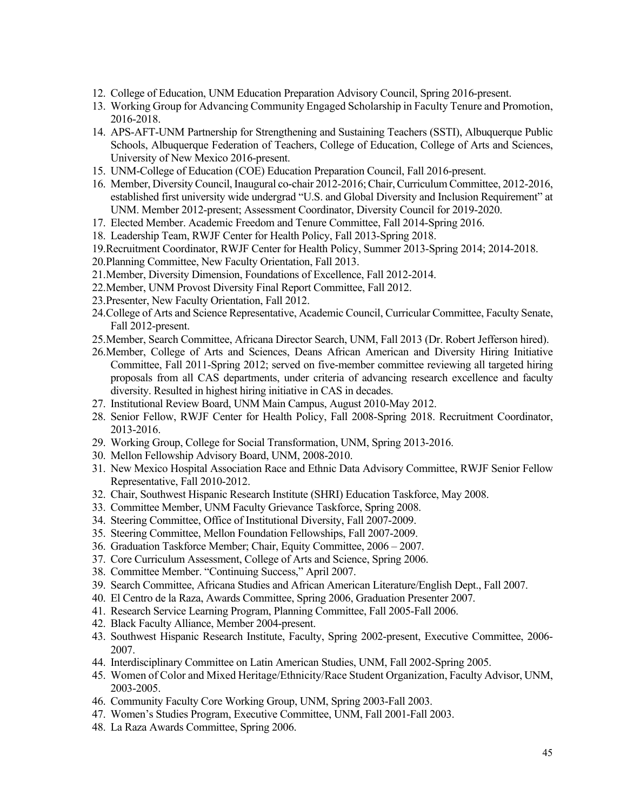- 12. College of Education, UNM Education Preparation Advisory Council, Spring 2016-present.
- 13. Working Group for Advancing Community Engaged Scholarship in Faculty Tenure and Promotion, 2016-2018.
- 14. APS-AFT-UNM Partnership for Strengthening and Sustaining Teachers (SSTI), Albuquerque Public Schools, Albuquerque Federation of Teachers, College of Education, College of Arts and Sciences, University of New Mexico 2016-present.
- 15. UNM-College of Education (COE) Education Preparation Council, Fall 2016-present.
- 16. Member, Diversity Council,Inaugural co-chair 2012-2016; Chair, Curriculum Committee, 2012-2016, established first university wide undergrad "U.S. and Global Diversity and Inclusion Requirement" at UNM. Member 2012-present; Assessment Coordinator, Diversity Council for 2019-2020.
- 17. Elected Member. Academic Freedom and Tenure Committee, Fall 2014-Spring 2016.
- 18. Leadership Team, RWJF Center for Health Policy, Fall 2013-Spring 2018.
- 19.Recruitment Coordinator, RWJF Center for Health Policy, Summer 2013-Spring 2014; 2014-2018.
- 20.Planning Committee, New Faculty Orientation, Fall 2013.
- 21.Member, Diversity Dimension, Foundations of Excellence, Fall 2012-2014.
- 22.Member, UNM Provost Diversity Final Report Committee, Fall 2012.
- 23.Presenter, New Faculty Orientation, Fall 2012.
- 24.College of Arts and Science Representative, Academic Council, Curricular Committee, Faculty Senate, Fall 2012-present.
- 25.Member, Search Committee, Africana Director Search, UNM, Fall 2013 (Dr. Robert Jefferson hired).
- 26.Member, College of Arts and Sciences, Deans African American and Diversity Hiring Initiative Committee, Fall 2011-Spring 2012; served on five-member committee reviewing all targeted hiring proposals from all CAS departments, under criteria of advancing research excellence and faculty diversity. Resulted in highest hiring initiative in CAS in decades.
- 27. Institutional Review Board, UNM Main Campus, August 2010-May 2012.
- 28. Senior Fellow, RWJF Center for Health Policy, Fall 2008-Spring 2018. Recruitment Coordinator, 2013-2016.
- 29. Working Group, College for Social Transformation, UNM, Spring 2013-2016.
- 30. Mellon Fellowship Advisory Board, UNM, 2008-2010.
- 31. New Mexico Hospital Association Race and Ethnic Data Advisory Committee, RWJF Senior Fellow Representative, Fall 2010-2012.
- 32. Chair, Southwest Hispanic Research Institute (SHRI) Education Taskforce, May 2008.
- 33. Committee Member, UNM Faculty Grievance Taskforce, Spring 2008.
- 34. Steering Committee, Office of Institutional Diversity, Fall 2007-2009.
- 35. Steering Committee, Mellon Foundation Fellowships, Fall 2007-2009.
- 36. Graduation Taskforce Member; Chair, Equity Committee, 2006 2007.
- 37. Core Curriculum Assessment, College of Arts and Science, Spring 2006.
- 38. Committee Member. "Continuing Success," April 2007.
- 39. Search Committee, Africana Studies and African American Literature/English Dept., Fall 2007.
- 40. El Centro de la Raza, Awards Committee, Spring 2006, Graduation Presenter 2007.
- 41. Research Service Learning Program, Planning Committee, Fall 2005-Fall 2006.
- 42. Black Faculty Alliance, Member 2004-present.
- 43. Southwest Hispanic Research Institute, Faculty, Spring 2002-present, Executive Committee, 2006- 2007.
- 44. Interdisciplinary Committee on Latin American Studies, UNM, Fall 2002-Spring 2005.
- 45. Women of Color and Mixed Heritage/Ethnicity/Race Student Organization, Faculty Advisor, UNM, 2003-2005.
- 46. Community Faculty Core Working Group, UNM, Spring 2003-Fall 2003.
- 47. Women's Studies Program, Executive Committee, UNM, Fall 2001-Fall 2003.
- 48. La Raza Awards Committee, Spring 2006.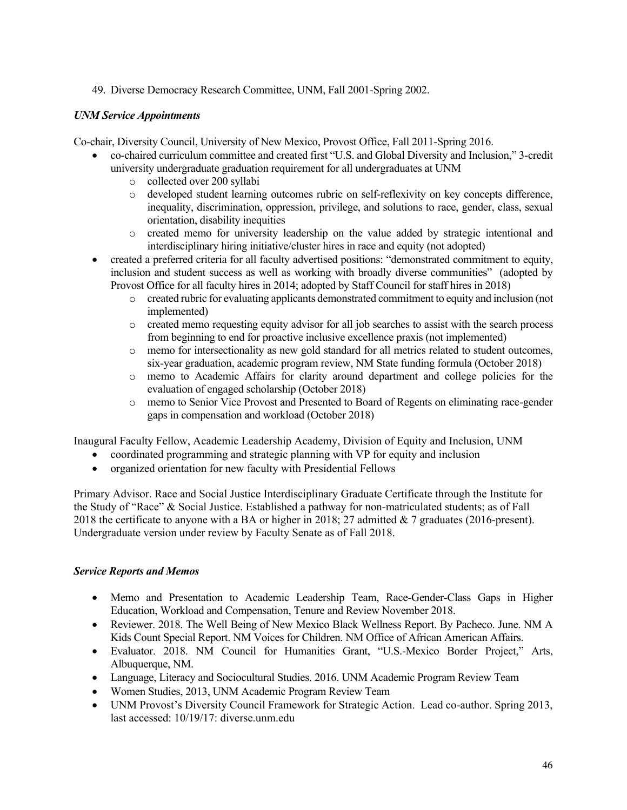49. Diverse Democracy Research Committee, UNM, Fall 2001-Spring 2002.

# *UNM Service Appointments*

Co-chair, Diversity Council, University of New Mexico, Provost Office, Fall 2011-Spring 2016.

- co-chaired curriculum committee and created first "U.S. and Global Diversity and Inclusion," 3-credit university undergraduate graduation requirement for all undergraduates at UNM
	- o collected over 200 syllabi
	- o developed student learning outcomes rubric on self-reflexivity on key concepts difference, inequality, discrimination, oppression, privilege, and solutions to race, gender, class, sexual orientation, disability inequities
	- o created memo for university leadership on the value added by strategic intentional and interdisciplinary hiring initiative/cluster hires in race and equity (not adopted)
- created a preferred criteria for all faculty advertised positions: "demonstrated commitment to equity, inclusion and student success as well as working with broadly diverse communities" (adopted by Provost Office for all faculty hires in 2014; adopted by Staff Council for staff hires in 2018)
	- o created rubric for evaluating applicants demonstrated commitment to equity and inclusion (not implemented)
	- o created memo requesting equity advisor for all job searches to assist with the search process from beginning to end for proactive inclusive excellence praxis (not implemented)
	- o memo for intersectionality as new gold standard for all metrics related to student outcomes, six-year graduation, academic program review, NM State funding formula (October 2018)
	- o memo to Academic Affairs for clarity around department and college policies for the evaluation of engaged scholarship (October 2018)
	- o memo to Senior Vice Provost and Presented to Board of Regents on eliminating race-gender gaps in compensation and workload (October 2018)

Inaugural Faculty Fellow, Academic Leadership Academy, Division of Equity and Inclusion, UNM

- coordinated programming and strategic planning with VP for equity and inclusion
- organized orientation for new faculty with Presidential Fellows

Primary Advisor. Race and Social Justice Interdisciplinary Graduate Certificate through the Institute for the Study of "Race" & Social Justice. Established a pathway for non-matriculated students; as of Fall 2018 the certificate to anyone with a BA or higher in 2018; 27 admitted & 7 graduates (2016-present). Undergraduate version under review by Faculty Senate as of Fall 2018.

#### *Service Reports and Memos*

- Memo and Presentation to Academic Leadership Team, Race-Gender-Class Gaps in Higher Education, Workload and Compensation, Tenure and Review November 2018.
- Reviewer. 2018. The Well Being of New Mexico Black Wellness Report. By Pacheco. June. NM A Kids Count Special Report. NM Voices for Children. NM Office of African American Affairs.
- Evaluator. 2018. NM Council for Humanities Grant, "U.S.-Mexico Border Project," Arts, Albuquerque, NM.
- Language, Literacy and Sociocultural Studies. 2016. UNM Academic Program Review Team
- Women Studies, 2013, UNM Academic Program Review Team
- UNM Provost's Diversity Council Framework for Strategic Action. Lead co-author. Spring 2013, last accessed: 10/19/17: diverse.unm.edu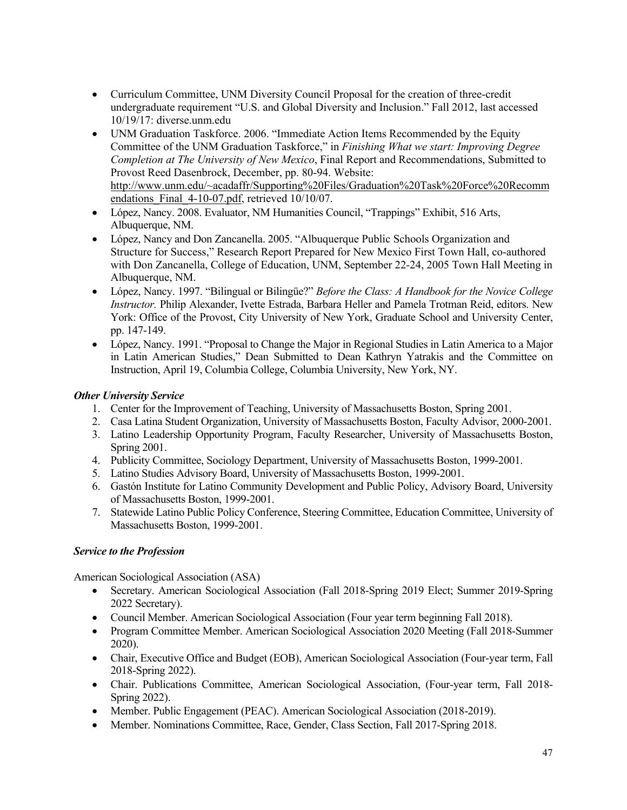- Curriculum Committee, UNM Diversity Council Proposal for the creation of three-credit undergraduate requirement "U.S. and Global Diversity and Inclusion." Fall 2012, last accessed 10/19/17: diverse.unm.edu
- UNM Graduation Taskforce. 2006. "Immediate Action Items Recommended by the Equity Committee of the UNM Graduation Taskforce," in *Finishing What we start: Improving Degree Completion at The University of New Mexico*, Final Report and Recommendations, Submitted to Provost Reed Dasenbrock, December, pp. 80-94. Website: http://www.unm.edu/~acadaffr/Supporting%20Files/Graduation%20Task%20Force%20Recomm endations Final 4-10-07.pdf, retrieved 10/10/07.
- López, Nancy. 2008. Evaluator, NM Humanities Council, "Trappings" Exhibit, 516 Arts, Albuquerque, NM.
- López, Nancy and Don Zancanella. 2005. "Albuquerque Public Schools Organization and Structure for Success," Research Report Prepared for New Mexico First Town Hall, co-authored with Don Zancanella, College of Education, UNM, September 22-24, 2005 Town Hall Meeting in Albuquerque, NM.
- López, Nancy. 1997. "Bilingual or Bilingüe?" *Before the Class: A Handbook for the Novice College Instructor.* Philip Alexander, Ivette Estrada, Barbara Heller and Pamela Trotman Reid, editors. New York: Office of the Provost, City University of New York, Graduate School and University Center, pp. 147-149.
- López, Nancy. 1991. "Proposal to Change the Major in Regional Studies in Latin America to a Major in Latin American Studies," Dean Submitted to Dean Kathryn Yatrakis and the Committee on Instruction, April 19, Columbia College, Columbia University, New York, NY.

# *Other University Service*

- 1. Center for the Improvement of Teaching, University of Massachusetts Boston, Spring 2001.
- 2. Casa Latina Student Organization, University of Massachusetts Boston, Faculty Advisor, 2000-2001.
- 3. Latino Leadership Opportunity Program, Faculty Researcher, University of Massachusetts Boston, Spring 2001.
- 4. Publicity Committee, Sociology Department, University of Massachusetts Boston, 1999-2001.
- 5. Latino Studies Advisory Board, University of Massachusetts Boston, 1999-2001.
- 6. Gastón Institute for Latino Community Development and Public Policy, Advisory Board, University of Massachusetts Boston, 1999-2001.
- 7. Statewide Latino Public Policy Conference, Steering Committee, Education Committee, University of Massachusetts Boston, 1999-2001.

# *Service to the Profession*

American Sociological Association (ASA)

- Secretary. American Sociological Association (Fall 2018-Spring 2019 Elect; Summer 2019-Spring 2022 Secretary).
- Council Member. American Sociological Association (Four year term beginning Fall 2018).
- Program Committee Member. American Sociological Association 2020 Meeting (Fall 2018-Summer 2020).
- Chair, Executive Office and Budget (EOB), American Sociological Association (Four-year term, Fall 2018-Spring 2022).
- Chair. Publications Committee, American Sociological Association, (Four-year term, Fall 2018- Spring 2022).
- Member. Public Engagement (PEAC). American Sociological Association (2018-2019).
- Member. Nominations Committee, Race, Gender, Class Section, Fall 2017-Spring 2018.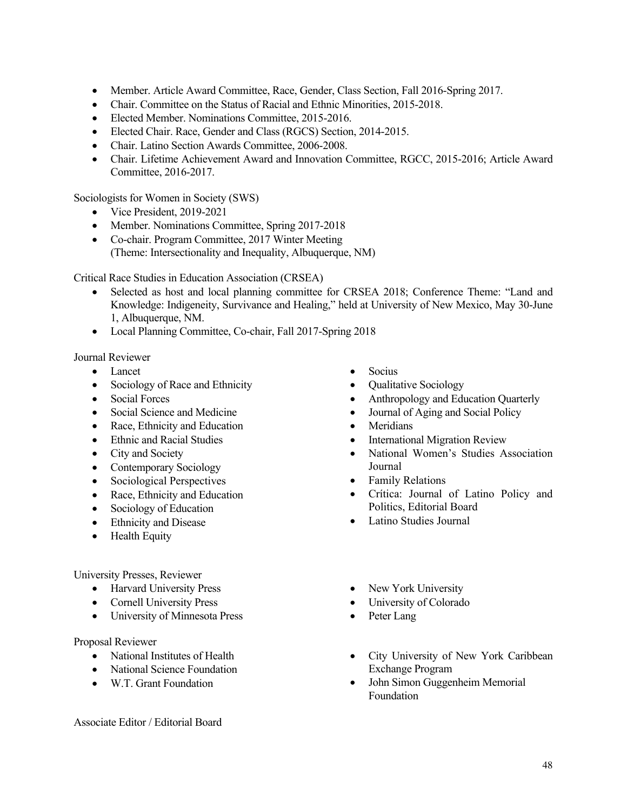- Member. Article Award Committee, Race, Gender, Class Section, Fall 2016-Spring 2017.
- Chair. Committee on the Status of Racial and Ethnic Minorities, 2015-2018.
- Elected Member. Nominations Committee, 2015-2016.
- Elected Chair. Race, Gender and Class (RGCS) Section, 2014-2015.
- Chair. Latino Section Awards Committee, 2006-2008.
- Chair. Lifetime Achievement Award and Innovation Committee, RGCC, 2015-2016; Article Award Committee, 2016-2017.

Sociologists for Women in Society (SWS)

- Vice President, 2019-2021
- Member. Nominations Committee, Spring 2017-2018
- Co-chair. Program Committee, 2017 Winter Meeting (Theme: Intersectionality and Inequality, Albuquerque, NM)

Critical Race Studies in Education Association (CRSEA)

- Selected as host and local planning committee for CRSEA 2018; Conference Theme: "Land and Knowledge: Indigeneity, Survivance and Healing," held at University of New Mexico, May 30-June 1, Albuquerque, NM.
- Local Planning Committee, Co-chair, Fall 2017-Spring 2018

Journal Reviewer

- Lancet
- Sociology of Race and Ethnicity
- Social Forces
- Social Science and Medicine
- Race, Ethnicity and Education
- Ethnic and Racial Studies
- City and Society
- Contemporary Sociology
- Sociological Perspectives
- Race, Ethnicity and Education
- Sociology of Education
- Ethnicity and Disease
- Health Equity

University Presses, Reviewer

- Harvard University Press
- Cornell University Press
- University of Minnesota Press

Proposal Reviewer

- National Institutes of Health
- National Science Foundation
- W.T. Grant Foundation

Associate Editor / Editorial Board

- Socius
- Qualitative Sociology
- Anthropology and Education Quarterly
- Journal of Aging and Social Policy
- Meridians
- **International Migration Review**
- National Women's Studies Association Journal
- Family Relations
- Crítica: Journal of Latino Policy and Politics, Editorial Board
- Latino Studies Journal
- New York University
- University of Colorado
- Peter Lang
- City University of New York Caribbean Exchange Program
- John Simon Guggenheim Memorial Foundation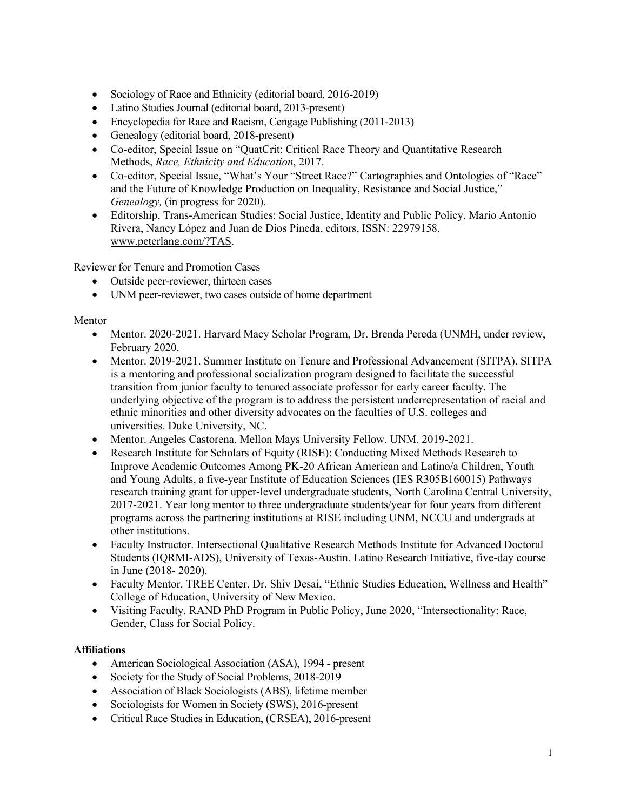- Sociology of Race and Ethnicity (editorial board, 2016-2019)
- Latino Studies Journal (editorial board, 2013-present)
- Encyclopedia for Race and Racism, Cengage Publishing (2011-2013)
- Genealogy (editorial board, 2018-present)
- Co-editor, Special Issue on "QuatCrit: Critical Race Theory and Quantitative Research Methods, *Race, Ethnicity and Education*, 2017.
- Co-editor, Special Issue, "What's Your "Street Race?" Cartographies and Ontologies of "Race" and the Future of Knowledge Production on Inequality, Resistance and Social Justice," *Genealogy,* (in progress for 2020).
- Editorship, Trans-American Studies: Social Justice, Identity and Public Policy, Mario Antonio Rivera, Nancy López and Juan de Dios Pineda, editors, ISSN: 22979158, www.peterlang.com/?TAS.

Reviewer for Tenure and Promotion Cases

- Outside peer-reviewer, thirteen cases
- UNM peer-reviewer, two cases outside of home department

# Mentor

- Mentor. 2020-2021. Harvard Macy Scholar Program, Dr. Brenda Pereda (UNMH, under review, February 2020.
- Mentor. 2019-2021. Summer Institute on Tenure and Professional Advancement (SITPA). SITPA is a mentoring and professional socialization program designed to facilitate the successful transition from junior faculty to tenured associate professor for early career faculty. The underlying objective of the program is to address the persistent underrepresentation of racial and ethnic minorities and other diversity advocates on the faculties of U.S. colleges and universities. Duke University, NC.
- Mentor. Angeles Castorena. Mellon Mays University Fellow. UNM. 2019-2021.
- Research Institute for Scholars of Equity (RISE): Conducting Mixed Methods Research to Improve Academic Outcomes Among PK-20 African American and Latino/a Children, Youth and Young Adults, a five-year Institute of Education Sciences (IES R305B160015) Pathways research training grant for upper-level undergraduate students, North Carolina Central University, 2017-2021. Year long mentor to three undergraduate students/year for four years from different programs across the partnering institutions at RISE including UNM, NCCU and undergrads at other institutions.
- Faculty Instructor. Intersectional Qualitative Research Methods Institute for Advanced Doctoral Students (IQRMI-ADS), University of Texas-Austin. Latino Research Initiative, five-day course in June (2018- 2020).
- Faculty Mentor. TREE Center. Dr. Shiv Desai, "Ethnic Studies Education, Wellness and Health" College of Education, University of New Mexico.
- Visiting Faculty. RAND PhD Program in Public Policy, June 2020, "Intersectionality: Race, Gender, Class for Social Policy.

# **Affiliations**

- American Sociological Association (ASA), 1994 present
- Society for the Study of Social Problems, 2018-2019
- Association of Black Sociologists (ABS), lifetime member
- Sociologists for Women in Society (SWS), 2016-present
- Critical Race Studies in Education, (CRSEA), 2016-present